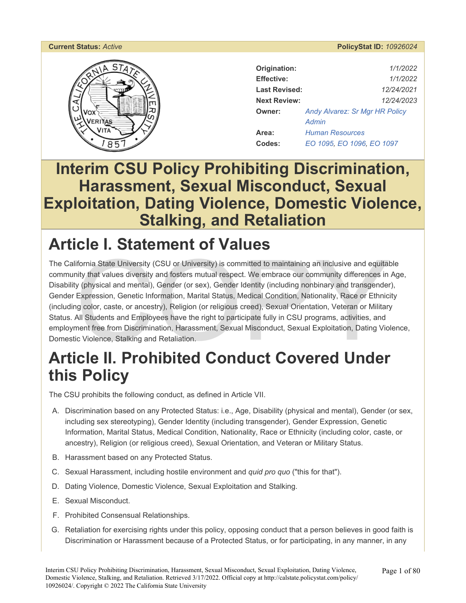# ERITAS

#### **Current Status:** *Active* **PolicyStat ID:** *10926024*

| Origination:         | 1/1/2022                              |
|----------------------|---------------------------------------|
| Effective:           | 1/1/2022                              |
| <b>Last Revised:</b> | 12/24/2021                            |
| <b>Next Review:</b>  | 12/24/2023                            |
| <b>Owner:</b>        | <b>Andy Alvarez: Sr Mgr HR Policy</b> |
|                      | Admin                                 |
| Area:                | <b>Human Resources</b>                |
| Codes:               | EO 1095, EO 1096, EO 1097             |

# **Interim CSU Policy Prohibiting Discrimination, Harassment, Sexual Misconduct, Sexual Exploitation, Dating Violence, Domestic Violence, Stalking, and Retaliation**

# **Article I. Statement of Values**

Formia State University (CSU or University) is committed to maintaining an inclusive and equital<br>hity that values diversity and fosters mutual respect. We embrace our community differences in<br>y (physical and mental), Gende The California State University (CSU or University) is committed to maintaining an inclusive and equitable community that values diversity and fosters mutual respect. We embrace our community differences in Age, Disability (physical and mental), Gender (or sex), Gender Identity (including nonbinary and transgender), Gender Expression, Genetic Information, Marital Status, Medical Condition, Nationality, Race or Ethnicity (including color, caste, or ancestry), Religion (or religious creed), Sexual Orientation, Veteran or Military Status. All Students and Employees have the right to participate fully in CSU programs, activities, and employment free from Discrimination, Harassment, Sexual Misconduct, Sexual Exploitation, Dating Violence, Domestic Violence, Stalking and Retaliation.

# **Article II. Prohibited Conduct Covered Under this Policy**

The CSU prohibits the following conduct, as defined in Article VII.

- A. Discrimination based on any Protected Status: i.e., Age, Disability (physical and mental), Gender (or sex, including sex stereotyping), Gender Identity (including transgender), Gender Expression, Genetic Information, Marital Status, Medical Condition, Nationality, Race or Ethnicity (including color, caste, or ancestry), Religion (or religious creed), Sexual Orientation, and Veteran or Military Status.
- B. Harassment based on any Protected Status.
- C. Sexual Harassment, including hostile environment and *quid pro quo* ("this for that").
- D. Dating Violence, Domestic Violence, Sexual Exploitation and Stalking.
- E. Sexual Misconduct.
- F. Prohibited Consensual Relationships.
- G. Retaliation for exercising rights under this policy, opposing conduct that a person believes in good faith is Discrimination or Harassment because of a Protected Status, or for participating, in any manner, in any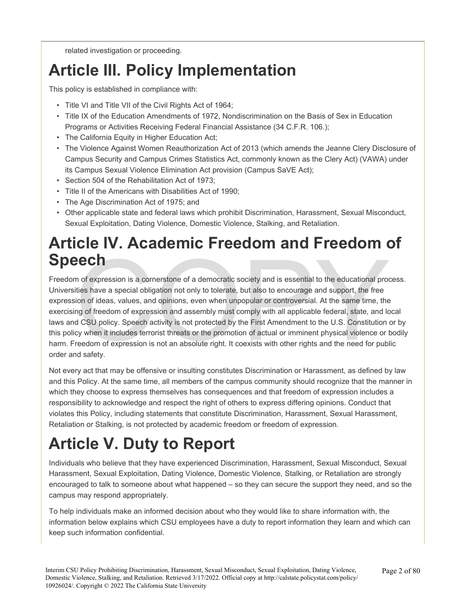related investigation or proceeding.

# **Article III. Policy Implementation**

This policy is established in compliance with:

- Title VI and Title VII of the Civil Rights Act of 1964;
- Title IX of the Education Amendments of 1972, Nondiscrimination on the Basis of Sex in Education Programs or Activities Receiving Federal Financial Assistance (34 C.F.R. 106.);
- The California Equity in Higher Education Act;
- The Violence Against Women Reauthorization Act of 2013 (which amends the Jeanne Clery Disclosure of Campus Security and Campus Crimes Statistics Act, commonly known as the Clery Act) (VAWA) under its Campus Sexual Violence Elimination Act provision (Campus SaVE Act);
- Section 504 of the Rehabilitation Act of 1973;
- Title II of the Americans with Disabilities Act of 1990;
- The Age Discrimination Act of 1975; and
- Other applicable state and federal laws which prohibit Discrimination, Harassment, Sexual Misconduct, Sexual Exploitation, Dating Violence, Domestic Violence, Stalking, and Retaliation.

# **Article IV. Academic Freedom and Freedom of Speech**

**ECH**<br>In of expression is a cornerstone of a democratic society and is essential to the educational protities have a special obligation not only to tolerate, but also to encourage and support, the free<br>ion of ideas, values Freedom of expression is a cornerstone of a democratic society and is essential to the educational process. Universities have a special obligation not only to tolerate, but also to encourage and support, the free expression of ideas, values, and opinions, even when unpopular or controversial. At the same time, the exercising of freedom of expression and assembly must comply with all applicable federal, state, and local laws and CSU policy. Speech activity is not protected by the First Amendment to the U.S. Constitution or by this policy when it includes terrorist threats or the promotion of actual or imminent physical violence or bodily harm. Freedom of expression is not an absolute right. It coexists with other rights and the need for public order and safety.

Not every act that may be offensive or insulting constitutes Discrimination or Harassment, as defined by law and this Policy. At the same time, all members of the campus community should recognize that the manner in which they choose to express themselves has consequences and that freedom of expression includes a responsibility to acknowledge and respect the right of others to express differing opinions. Conduct that violates this Policy, including statements that constitute Discrimination, Harassment, Sexual Harassment, Retaliation or Stalking, is not protected by academic freedom or freedom of expression.

# **Article V. Duty to Report**

Individuals who believe that they have experienced Discrimination, Harassment, Sexual Misconduct, Sexual Harassment, Sexual Exploitation, Dating Violence, Domestic Violence, Stalking, or Retaliation are strongly encouraged to talk to someone about what happened – so they can secure the support they need, and so the campus may respond appropriately.

To help individuals make an informed decision about who they would like to share information with, the information below explains which CSU employees have a duty to report information they learn and which can keep such information confidential.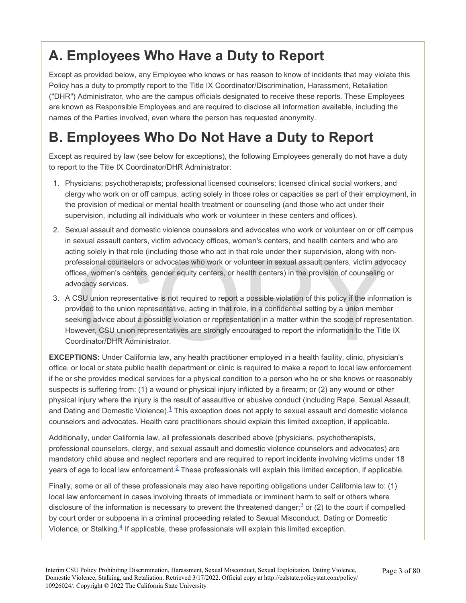# **A. Employees Who Have a Duty to Report**

Except as provided below, any Employee who knows or has reason to know of incidents that may violate this Policy has a duty to promptly report to the Title IX Coordinator/Discrimination, Harassment, Retaliation ("DHR") Administrator, who are the campus officials designated to receive these reports. These Employees are known as Responsible Employees and are required to disclose all information available, including the names of the Parties involved, even where the person has requested anonymity.

# **B. Employees Who Do Not Have a Duty to Report**

Except as required by law (see below for exceptions), the following Employees generally do **not** have a duty to report to the Title IX Coordinator/DHR Administrator:

- 1. Physicians; psychotherapists; professional licensed counselors; licensed clinical social workers, and clergy who work on or off campus, acting solely in those roles or capacities as part of their employment, in the provision of medical or mental health treatment or counseling (and those who act under their supervision, including all individuals who work or volunteer in these centers and offices).
- 2. Sexual assault and domestic violence counselors and advocates who work or volunteer on or off campus in sexual assault centers, victim advocacy offices, women's centers, and health centers and who are acting solely in that role (including those who act in that role under their supervision, along with nonprofessional counselors or advocates who work or volunteer in sexual assault centers, victim advocacy offices, women's centers, gender equity centers, or health centers) in the provision of counseling or advocacy services.
- ing solely in that role (including those who act in that role under their supervision, along with no<br>fessional counselors or advocates who work or volunteer in sexual assault centers, victim advo<br>ces, women's centers, gend 3. A CSU union representative is not required to report a possible violation of this policy if the information is provided to the union representative, acting in that role, in a confidential setting by a union member seeking advice about a possible violation or representation in a matter within the scope of representation. However, CSU union representatives are strongly encouraged to report the information to the Title IX Coordinator/DHR Administrator.

**EXCEPTIONS:** Under California law, any health practitioner employed in a health facility, clinic, physician's office, or local or state public health department or clinic is required to make a report to local law enforcement if he or she provides medical services for a physical condition to a person who he or she knows or reasonably suspects is suffering from: (1) a wound or physical injury inflicted by a firearm; or (2) any wound or other physical injury where the injury is the result of assaultive or abusive conduct (including Rape, Sexual Assault, and Dating and Domestic Violence). $1$  This exception does not apply to sexual assault and domestic violence counselors and advocates. Health care practitioners should explain this limited exception, if applicable.

Additionally, under California law, all professionals described above (physicians, psychotherapists, professional counselors, clergy, and sexual assault and domestic violence counselors and advocates) are mandatory child abuse and neglect reporters and are required to report incidents involving victims under 18 years of age to local law enforcement.<sup>[2](#page-77-0)</sup> These professionals will explain this limited exception, if applicable.

Finally, some or all of these professionals may also have reporting obligations under California law to: (1) local law enforcement in cases involving threats of immediate or imminent harm to self or others where disclosure of the information is necessary to prevent the threatened danger;<sup>[3](#page-77-0)</sup> or (2) to the court if compelled by court order or subpoena in a criminal proceeding related to Sexual Misconduct, Dating or Domestic Violence, or Stalking. $4$  If applicable, these professionals will explain this limited exception.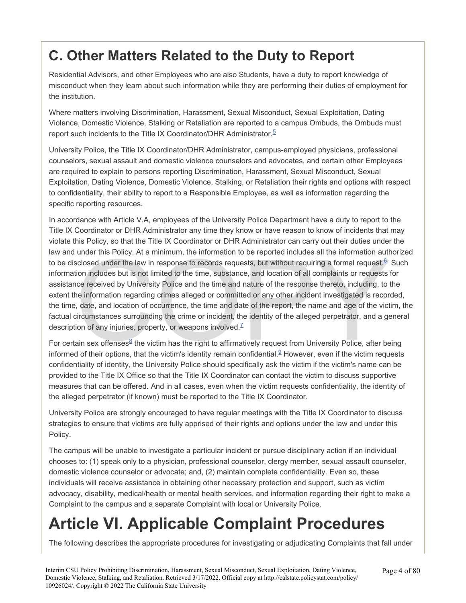# **C. Other Matters Related to the Duty to Report**

Residential Advisors, and other Employees who are also Students, have a duty to report knowledge of misconduct when they learn about such information while they are performing their duties of employment for the institution.

Where matters involving Discrimination, Harassment, Sexual Misconduct, Sexual Exploitation, Dating Violence, Domestic Violence, Stalking or Retaliation are reported to a campus Ombuds, the Ombuds must report such incidents to the Title IX Coordinator/DHR Administrator.<sup>5</sup>

University Police, the Title IX Coordinator/DHR Administrator, campus-employed physicians, professional counselors, sexual assault and domestic violence counselors and advocates, and certain other Employees are required to explain to persons reporting Discrimination, Harassment, Sexual Misconduct, Sexual Exploitation, Dating Violence, Domestic Violence, Stalking, or Retaliation their rights and options with respect to confidentiality, their ability to report to a Responsible Employee, as well as information regarding the specific reporting resources.

under this Policy. At a minimum, the information to be reported includes all the information auth<br>sclosed under the law in response to records requests, but without requiring a formal request.  $§$ <br>tion includes but is not In accordance with Article V.A, employees of the University Police Department have a duty to report to the Title IX Coordinator or DHR Administrator any time they know or have reason to know of incidents that may violate this Policy, so that the Title IX Coordinator or DHR Administrator can carry out their duties under the law and under this Policy. At a minimum, the information to be reported includes all the information authorized to be disclosed under the law in response to records requests, but without requiring a formal request.<sup>6</sup> Such information includes but is not limited to the time, substance, and location of all complaints or requests for assistance received by University Police and the time and nature of the response thereto, including, to the extent the information regarding crimes alleged or committed or any other incident investigated is recorded, the time, date, and location of occurrence, the time and date of the report, the name and age of the victim, the factual circumstances surrounding the crime or incident, the identity of the alleged perpetrator, and a general description of any injuries, property, or weapons involved. $<sup>Z</sup>$ </sup>

For certain sex offenses<sup>8</sup> the victim has the right to affirmatively request from University Police, after being informed of their options, that the victim's identity remain confidential.<sup>9</sup> However, even if the victim requests confidentiality of identity, the University Police should specifically ask the victim if the victim's name can be provided to the Title IX Office so that the Title IX Coordinator can contact the victim to discuss supportive measures that can be offered. And in all cases, even when the victim requests confidentiality, the identity of the alleged perpetrator (if known) must be reported to the Title IX Coordinator.

University Police are strongly encouraged to have regular meetings with the Title IX Coordinator to discuss strategies to ensure that victims are fully apprised of their rights and options under the law and under this Policy.

The campus will be unable to investigate a particular incident or pursue disciplinary action if an individual chooses to: (1) speak only to a physician, professional counselor, clergy member, sexual assault counselor, domestic violence counselor or advocate; and, (2) maintain complete confidentiality. Even so, these individuals will receive assistance in obtaining other necessary protection and support, such as victim advocacy, disability, medical/health or mental health services, and information regarding their right to make a Complaint to the campus and a separate Complaint with local or University Police.

# **Article VI. Applicable Complaint Procedures**

The following describes the appropriate procedures for investigating or adjudicating Complaints that fall under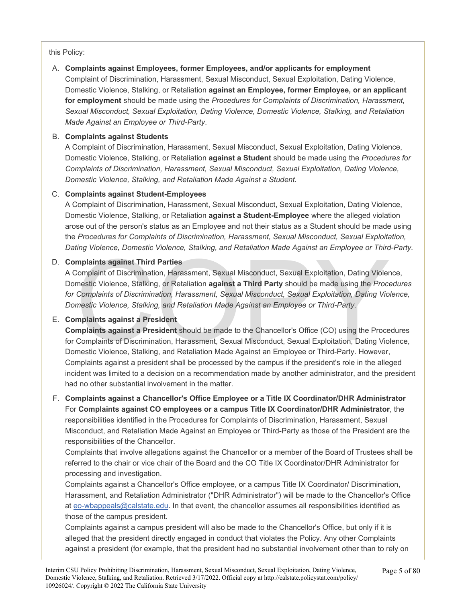this Policy:

A. **Complaints against Employees, former Employees, and/or applicants for employment**  Complaint of Discrimination, Harassment, Sexual Misconduct, Sexual Exploitation, Dating Violence, Domestic Violence, Stalking, or Retaliation **against an Employee, former Employee, or an applicant for employment** should be made using the *Procedures for Complaints of Discrimination, Harassment, Sexual Misconduct, Sexual Exploitation, Dating Violence, Domestic Violence, Stalking, and Retaliation Made Against an Employee or Third-Party*.

### B. **Complaints against Students**

A Complaint of Discrimination, Harassment, Sexual Misconduct, Sexual Exploitation, Dating Violence, Domestic Violence, Stalking, or Retaliation **against a Student** should be made using the *Procedures for Complaints of Discrimination, Harassment, Sexual Misconduct, Sexual Exploitation, Dating Violence, Domestic Violence, Stalking, and Retaliation Made Against a Student.* 

### C. **Complaints against Student-Employees**

A Complaint of Discrimination, Harassment, Sexual Misconduct, Sexual Exploitation, Dating Violence, Domestic Violence, Stalking, or Retaliation **against a Student-Employee** where the alleged violation arose out of the person's status as an Employee and not their status as a Student should be made using the *Procedures for Complaints of Discrimination, Harassment, Sexual Misconduct, Sexual Exploitation, Dating Violence, Domestic Violence, Stalking, and Retaliation Made Against an Employee or Third-Party.* 

### D. **Complaints against Third Parties**

my Visitiney Definited Visitiney, etc., Sexual Misconduct, Sexual Exploitation, Dating Violer<br>mestic Violence, Stalking, or Retaliation against a Third Party should be made using the Proce<br>mestic Violence, Stalking, or Ret A Complaint of Discrimination, Harassment, Sexual Misconduct, Sexual Exploitation, Dating Violence, Domestic Violence, Stalking, or Retaliation **against a Third Party** should be made using the *Procedures for Complaints of Discrimination, Harassment, Sexual Misconduct, Sexual Exploitation, Dating Violence, Domestic Violence, Stalking, and Retaliation Made Against an Employee or Third-Party.* 

### E. **Complaints against a President**

**Complaints against a President** should be made to the Chancellor's Office (CO) using the Procedures for Complaints of Discrimination, Harassment, Sexual Misconduct, Sexual Exploitation, Dating Violence, Domestic Violence, Stalking, and Retaliation Made Against an Employee or Third-Party. However, Complaints against a president shall be processed by the campus if the president's role in the alleged incident was limited to a decision on a recommendation made by another administrator, and the president had no other substantial involvement in the matter.

F. **Complaints against a Chancellor's Office Employee or a Title IX Coordinator/DHR Administrator**  For **Complaints against CO employees or a campus Title IX Coordinator/DHR Administrator**, the responsibilities identified in the Procedures for Complaints of Discrimination, Harassment, Sexual Misconduct, and Retaliation Made Against an Employee or Third-Party as those of the President are the responsibilities of the Chancellor.

Complaints that involve allegations against the Chancellor or a member of the Board of Trustees shall be referred to the chair or vice chair of the Board and the CO Title IX Coordinator/DHR Administrator for processing and investigation.

Complaints against a Chancellor's Office employee, or a campus Title IX Coordinator/ Discrimination, Harassment, and Retaliation Administrator ("DHR Administrator") will be made to the Chancellor's Office at [eo-wbappeals@calstate.edu](mailto:eo-wbappeals@calstate.edu). In that event, the chancellor assumes all responsibilities identified as those of the campus president.

Complaints against a campus president will also be made to the Chancellor's Office, but only if it is alleged that the president directly engaged in conduct that violates the Policy. Any other Complaints against a president (for example, that the president had no substantial involvement other than to rely on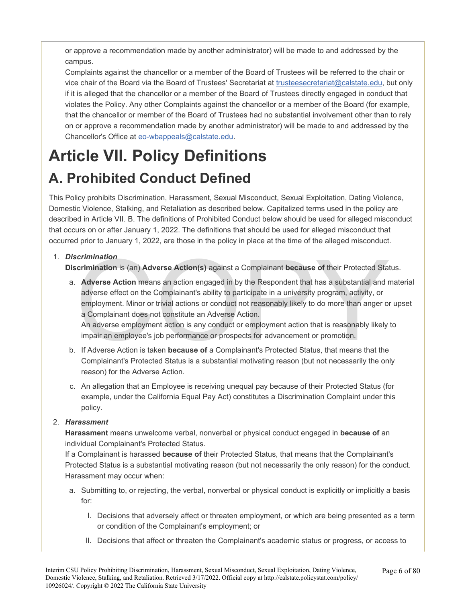or approve a recommendation made by another administrator) will be made to and addressed by the campus.

Complaints against the chancellor or a member of the Board of Trustees will be referred to the chair or vice chair of the Board via the Board of Trustees' Secretariat at [trusteesecretariat@calstate.edu](mailto:trusteesecretariat@calstate.edu), but only if it is alleged that the chancellor or a member of the Board of Trustees directly engaged in conduct that violates the Policy. Any other Complaints against the chancellor or a member of the Board (for example, that the chancellor or member of the Board of Trustees had no substantial involvement other than to rely on or approve a recommendation made by another administrator) will be made to and addressed by the Chancellor's Office at [eo-wbappeals@calstate.edu.](mailto:eo-wbappeals@calstate.edu)

# **Article VII. Policy Definitions A. Prohibited Conduct Defined**

This Policy prohibits Discrimination, Harassment, Sexual Misconduct, Sexual Exploitation, Dating Violence, Domestic Violence, Stalking, and Retaliation as described below. Capitalized terms used in the policy are described in Article VII. B. The definitions of Prohibited Conduct below should be used for alleged misconduct that occurs on or after January 1, 2022. The definitions that should be used for alleged misconduct that occurred prior to January 1, 2022, are those in the policy in place at the time of the alleged misconduct.

### 1. *Discrimination*

**Discrimination** is (an) **Adverse Action(s)** against a Complainant **because of** their Protected Status.

- **Scrimination**<br> **Scrimination** is (an) Adverse Action(s) against a Complainant because of their Protected State<br>
Adverse Action means an action engaged in by the Respondent that has a substantial and r<br>
adverse effect on t a. **Adverse Action** means an action engaged in by the Respondent that has a substantial and material adverse effect on the Complainant's ability to participate in a university program, activity, or employment. Minor or trivial actions or conduct not reasonably likely to do more than anger or upset a Complainant does not constitute an Adverse Action. An adverse employment action is any conduct or employment action that is reasonably likely to impair an employee's job performance or prospects for advancement or promotion.
- b. If Adverse Action is taken **because of** a Complainant's Protected Status, that means that the Complainant's Protected Status is a substantial motivating reason (but not necessarily the only reason) for the Adverse Action.
- c. An allegation that an Employee is receiving unequal pay because of their Protected Status (for example, under the California Equal Pay Act) constitutes a Discrimination Complaint under this policy.

### 2. *Harassment*

**Harassment** means unwelcome verbal, nonverbal or physical conduct engaged in **because of** an individual Complainant's Protected Status.

If a Complainant is harassed **because of** their Protected Status, that means that the Complainant's Protected Status is a substantial motivating reason (but not necessarily the only reason) for the conduct. Harassment may occur when:

- a. Submitting to, or rejecting, the verbal, nonverbal or physical conduct is explicitly or implicitly a basis for:
	- I. Decisions that adversely affect or threaten employment, or which are being presented as a term or condition of the Complainant's employment; or
	- II. Decisions that affect or threaten the Complainant's academic status or progress, or access to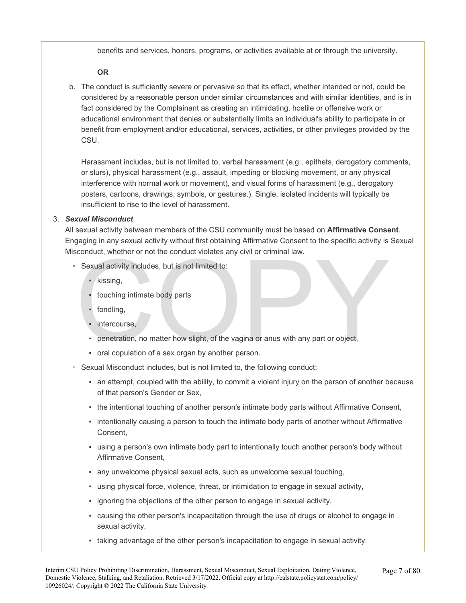benefits and services, honors, programs, or activities available at or through the university.

### **OR**

b. The conduct is sufficiently severe or pervasive so that its effect, whether intended or not, could be considered by a reasonable person under similar circumstances and with similar identities, and is in fact considered by the Complainant as creating an intimidating, hostile or offensive work or educational environment that denies or substantially limits an individual's ability to participate in or benefit from employment and/or educational, services, activities, or other privileges provided by the CSU.

Harassment includes, but is not limited to, verbal harassment (e.g., epithets, derogatory comments, or slurs), physical harassment (e.g., assault, impeding or blocking movement, or any physical interference with normal work or movement), and visual forms of harassment (e.g., derogatory posters, cartoons, drawings, symbols, or gestures.). Single, isolated incidents will typically be insufficient to rise to the level of harassment.

### 3. *Sexual Misconduct*

All sexual activity between members of the CSU community must be based on **Affirmative Consent**. Engaging in any sexual activity without first obtaining Affirmative Consent to the specific activity is Sexual Misconduct, whether or not the conduct violates any civil or criminal law.

- Sexual activity includes, but is not limited to:
	- kissing,
	- touching intimate body parts
	- fondling,
	- · intercourse.
- conduct, whether or not the conduct violates any civil or criminal law.<br>
Sexual activity includes, but is not limited to:<br>
 kissing,<br>
 touching intimate body parts<br>
 fondling,<br>
 intercourse,<br>
 penetration, no matter h ▪ penetration, no matter how slight, of the vagina or anus with any part or object,
	- oral copulation of a sex organ by another person.
- Sexual Misconduct includes, but is not limited to, the following conduct:
	- an attempt, coupled with the ability, to commit a violent injury on the person of another because of that person's Gender or Sex,
	- the intentional touching of another person's intimate body parts without Affirmative Consent,
	- intentionally causing a person to touch the intimate body parts of another without Affirmative Consent,
	- using a person's own intimate body part to intentionally touch another person's body without Affirmative Consent,
	- any unwelcome physical sexual acts, such as unwelcome sexual touching,
	- using physical force, violence, threat, or intimidation to engage in sexual activity,
	- ignoring the objections of the other person to engage in sexual activity,
	- causing the other person's incapacitation through the use of drugs or alcohol to engage in sexual activity,
	- taking advantage of the other person's incapacitation to engage in sexual activity.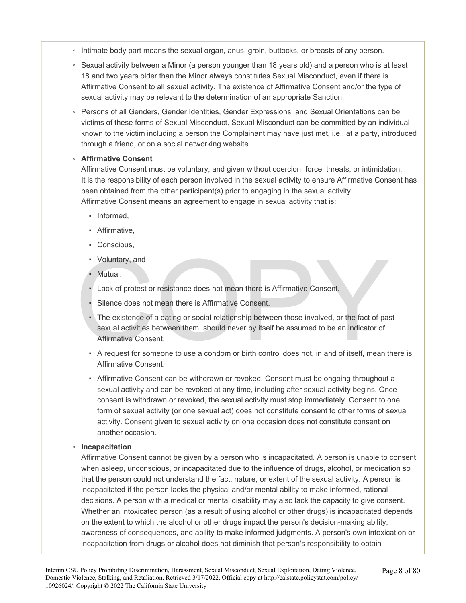- Intimate body part means the sexual organ, anus, groin, buttocks, or breasts of any person.
- Sexual activity between a Minor (a person younger than 18 years old) and a person who is at least 18 and two years older than the Minor always constitutes Sexual Misconduct, even if there is Affirmative Consent to all sexual activity. The existence of Affirmative Consent and/or the type of sexual activity may be relevant to the determination of an appropriate Sanction.
- Persons of all Genders, Gender Identities, Gender Expressions, and Sexual Orientations can be victims of these forms of Sexual Misconduct. Sexual Misconduct can be committed by an individual known to the victim including a person the Complainant may have just met, i.e., at a party, introduced through a friend, or on a social networking website.

### ◦ **Affirmative Consent**

Affirmative Consent must be voluntary, and given without coercion, force, threats, or intimidation. It is the responsibility of each person involved in the sexual activity to ensure Affirmative Consent has been obtained from the other participant(s) prior to engaging in the sexual activity. Affirmative Consent means an agreement to engage in sexual activity that is:

- Informed.
- **•** Affirmative.
- Conscious,
- Voluntary, and
- **Mutual**
- Lack of protest or resistance does not mean there is Affirmative Consent.
- Silence does not mean there is Affirmative Consent.
- Voluntary, and<br>
 Mutual.<br>
 Lack of protest or resistance does not mean there is Affirmative Consent.<br>
 Silence does not mean there is Affirmative Consent.<br>
 The existence of a dating or social relationship between th **•** The existence of a dating or social relationship between those involved, or the fact of past sexual activities between them, should never by itself be assumed to be an indicator of Affirmative Consent.
	- A request for someone to use a condom or birth control does not, in and of itself, mean there is Affirmative Consent.
	- Affirmative Consent can be withdrawn or revoked. Consent must be ongoing throughout a sexual activity and can be revoked at any time, including after sexual activity begins. Once consent is withdrawn or revoked, the sexual activity must stop immediately. Consent to one form of sexual activity (or one sexual act) does not constitute consent to other forms of sexual activity. Consent given to sexual activity on one occasion does not constitute consent on another occasion.

### ◦ **Incapacitation**

Affirmative Consent cannot be given by a person who is incapacitated. A person is unable to consent when asleep, unconscious, or incapacitated due to the influence of drugs, alcohol, or medication so that the person could not understand the fact, nature, or extent of the sexual activity. A person is incapacitated if the person lacks the physical and/or mental ability to make informed, rational decisions. A person with a medical or mental disability may also lack the capacity to give consent. Whether an intoxicated person (as a result of using alcohol or other drugs) is incapacitated depends on the extent to which the alcohol or other drugs impact the person's decision-making ability, awareness of consequences, and ability to make informed judgments. A person's own intoxication or incapacitation from drugs or alcohol does not diminish that person's responsibility to obtain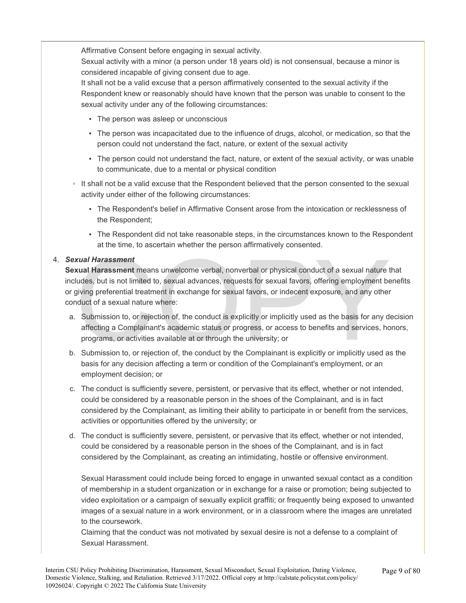Affirmative Consent before engaging in sexual activity.

Sexual activity with a minor (a person under 18 years old) is not consensual, because a minor is considered incapable of giving consent due to age.

It shall not be a valid excuse that a person affirmatively consented to the sexual activity if the Respondent knew or reasonably should have known that the person was unable to consent to the sexual activity under any of the following circumstances:

- The person was asleep or unconscious
- The person was incapacitated due to the influence of drugs, alcohol, or medication, so that the person could not understand the fact, nature, or extent of the sexual activity
- The person could not understand the fact, nature, or extent of the sexual activity, or was unable to communicate, due to a mental or physical condition
- It shall not be a valid excuse that the Respondent believed that the person consented to the sexual activity under either of the following circumstances:
	- The Respondent's belief in Affirmative Consent arose from the intoxication or recklessness of the Respondent;
	- The Respondent did not take reasonable steps, in the circumstances known to the Respondent at the time, to ascertain whether the person affirmatively consented.

### 4. *Sexual Harassment*

**Example 10**<br> **Example 10**<br> **Example 10**<br> **Example 10**<br> **EXEL SERVIDE 20**<br> **EXEL SERVIDE 20**<br> **EXEL SERVIDE 20**<br> **EXEL SERVIDE 20**<br> **EXEL SERVIDE 20**<br> **EXEL SERVIDE 20**<br> **EXEL SERVIDE 20**<br> **EXEL SERVIDE 20**<br> **EXEL SERVIDE Sexual Harassment** means unwelcome verbal, nonverbal or physical conduct of a sexual nature that includes, but is not limited to, sexual advances, requests for sexual favors, offering employment benefits or giving preferential treatment in exchange for sexual favors, or indecent exposure, and any other conduct of a sexual nature where:

- a. Submission to, or rejection of, the conduct is explicitly or implicitly used as the basis for any decision affecting a Complainant's academic status or progress, or access to benefits and services, honors, programs, or activities available at or through the university; or
- b. Submission to, or rejection of, the conduct by the Complainant is explicitly or implicitly used as the basis for any decision affecting a term or condition of the Complainant's employment, or an employment decision; or
- c. The conduct is sufficiently severe, persistent, or pervasive that its effect, whether or not intended, could be considered by a reasonable person in the shoes of the Complainant, and is in fact considered by the Complainant, as limiting their ability to participate in or benefit from the services, activities or opportunities offered by the university; or
- d. The conduct is sufficiently severe, persistent, or pervasive that its effect, whether or not intended, could be considered by a reasonable person in the shoes of the Complainant, and is in fact considered by the Complainant, as creating an intimidating, hostile or offensive environment.

Sexual Harassment could include being forced to engage in unwanted sexual contact as a condition of membership in a student organization or in exchange for a raise or promotion; being subjected to video exploitation or a campaign of sexually explicit graffiti; or frequently being exposed to unwanted images of a sexual nature in a work environment, or in a classroom where the images are unrelated to the coursework.

Claiming that the conduct was not motivated by sexual desire is not a defense to a complaint of Sexual Harassment.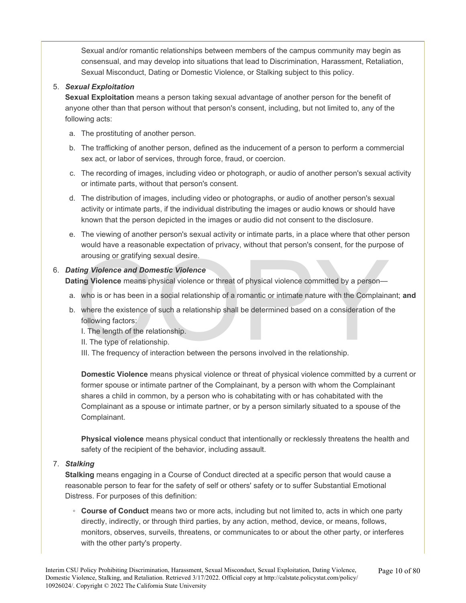Sexual and/or romantic relationships between members of the campus community may begin as consensual, and may develop into situations that lead to Discrimination, Harassment, Retaliation, Sexual Misconduct, Dating or Domestic Violence, or Stalking subject to this policy.

### 5. *Sexual Exploitation*

**Sexual Exploitation** means a person taking sexual advantage of another person for the benefit of anyone other than that person without that person's consent, including, but not limited to, any of the following acts:

- a. The prostituting of another person.
- b. The trafficking of another person, defined as the inducement of a person to perform a commercial sex act, or labor of services, through force, fraud, or coercion.
- c. The recording of images, including video or photograph, or audio of another person's sexual activity or intimate parts, without that person's consent.
- d. The distribution of images, including video or photographs, or audio of another person's sexual activity or intimate parts, if the individual distributing the images or audio knows or should have known that the person depicted in the images or audio did not consent to the disclosure.
- e. The viewing of another person's sexual activity or intimate parts, in a place where that other person would have a reasonable expectation of privacy, without that person's consent, for the purpose of arousing or gratifying sexual desire.

### 6. *Dating Violence and Domestic Violence*

**Dating Violence** means physical violence or threat of physical violence committed by a person—

- a. who is or has been in a social relationship of a romantic or intimate nature with the Complainant; **and**
- arousing or gratifying sexual desire.<br> **Example 3** Violence and Domestic Violence<br> **Example 3** Violence means physical violence or threat of physical violence committed by a person—<br>
who is or has been in a social relation b. where the existence of such a relationship shall be determined based on a consideration of the following factors:
	- I. The length of the relationship.
	- II. The type of relationship.
	- III. The frequency of interaction between the persons involved in the relationship.

**Domestic Violence** means physical violence or threat of physical violence committed by a current or former spouse or intimate partner of the Complainant, by a person with whom the Complainant shares a child in common, by a person who is cohabitating with or has cohabitated with the Complainant as a spouse or intimate partner, or by a person similarly situated to a spouse of the Complainant.

**Physical violence** means physical conduct that intentionally or recklessly threatens the health and safety of the recipient of the behavior, including assault.

7. *Stalking* 

**Stalking** means engaging in a Course of Conduct directed at a specific person that would cause a reasonable person to fear for the safety of self or others' safety or to suffer Substantial Emotional Distress. For purposes of this definition:

◦ **Course of Conduct** means two or more acts, including but not limited to, acts in which one party directly, indirectly, or through third parties, by any action, method, device, or means, follows, monitors, observes, surveils, threatens, or communicates to or about the other party, or interferes with the other party's property.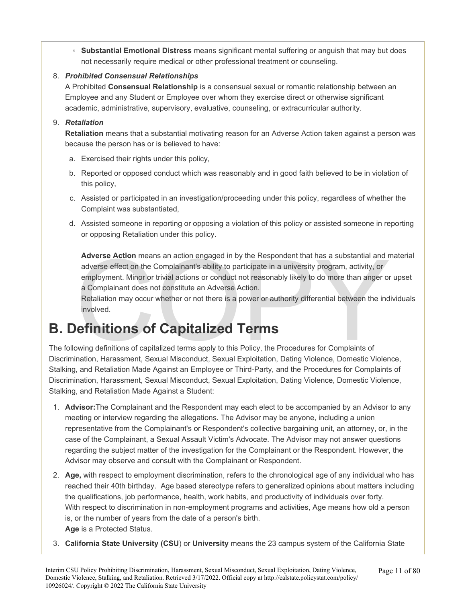◦ **Substantial Emotional Distress** means significant mental suffering or anguish that may but does not necessarily require medical or other professional treatment or counseling.

### 8. *Prohibited Consensual Relationships*

A Prohibited **Consensual Relationship** is a consensual sexual or romantic relationship between an Employee and any Student or Employee over whom they exercise direct or otherwise significant academic, administrative, supervisory, evaluative, counseling, or extracurricular authority.

### 9. *Retaliation*

**Retaliation** means that a substantial motivating reason for an Adverse Action taken against a person was because the person has or is believed to have:

- a. Exercised their rights under this policy,
- b. Reported or opposed conduct which was reasonably and in good faith believed to be in violation of this policy,
- c. Assisted or participated in an investigation/proceeding under this policy, regardless of whether the Complaint was substantiated,
- d. Assisted someone in reporting or opposing a violation of this policy or assisted someone in reporting or opposing Retaliation under this policy.

Adverse Action means an action engaged in by the Respondent that has a substantial and r<br>adverse effect on the Complainant's ability to participate in a university program, activity, or<br>employment. Minor or trivial actions **Adverse Action** means an action engaged in by the Respondent that has a substantial and material adverse effect on the Complainant's ability to participate in a university program, activity, or employment. Minor or trivial actions or conduct not reasonably likely to do more than anger or upset a Complainant does not constitute an Adverse Action.

Retaliation may occur whether or not there is a power or authority differential between the individuals involved.

# **B. Definitions of Capitalized Terms**

The following definitions of capitalized terms apply to this Policy, the Procedures for Complaints of Discrimination, Harassment, Sexual Misconduct, Sexual Exploitation, Dating Violence, Domestic Violence, Stalking, and Retaliation Made Against an Employee or Third-Party, and the Procedures for Complaints of Discrimination, Harassment, Sexual Misconduct, Sexual Exploitation, Dating Violence, Domestic Violence, Stalking, and Retaliation Made Against a Student:

- 1. **Advisor:**The Complainant and the Respondent may each elect to be accompanied by an Advisor to any meeting or interview regarding the allegations. The Advisor may be anyone, including a union representative from the Complainant's or Respondent's collective bargaining unit, an attorney, or, in the case of the Complainant, a Sexual Assault Victim's Advocate. The Advisor may not answer questions regarding the subject matter of the investigation for the Complainant or the Respondent. However, the Advisor may observe and consult with the Complainant or Respondent.
- 2. **Age,** with respect to employment discrimination, refers to the chronological age of any individual who has reached their 40th birthday. Age based stereotype refers to generalized opinions about matters including the qualifications, job performance, health, work habits, and productivity of individuals over forty. With respect to discrimination in non-employment programs and activities, Age means how old a person is, or the number of years from the date of a person's birth. **Age** is a Protected Status.
- 3. **California State University (CSU**) or **University** means the 23 campus system of the California State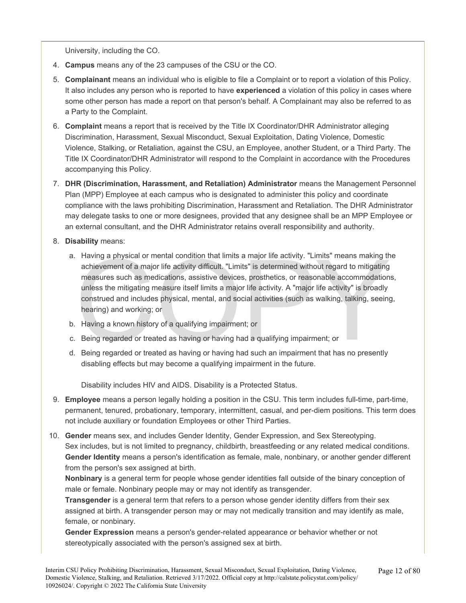University, including the CO.

- 4. **Campus** means any of the 23 campuses of the CSU or the CO.
- 5. **Complainant** means an individual who is eligible to file a Complaint or to report a violation of this Policy. It also includes any person who is reported to have **experienced** a violation of this policy in cases where some other person has made a report on that person's behalf. A Complainant may also be referred to as a Party to the Complaint.
- 6. **Complaint** means a report that is received by the Title IX Coordinator/DHR Administrator alleging Discrimination, Harassment, Sexual Misconduct, Sexual Exploitation, Dating Violence, Domestic Violence, Stalking, or Retaliation, against the CSU, an Employee, another Student, or a Third Party. The Title IX Coordinator/DHR Administrator will respond to the Complaint in accordance with the Procedures accompanying this Policy.
- 7. **DHR (Discrimination, Harassment, and Retaliation) Administrator** means the Management Personnel Plan (MPP) Employee at each campus who is designated to administer this policy and coordinate compliance with the laws prohibiting Discrimination, Harassment and Retaliation. The DHR Administrator may delegate tasks to one or more designees, provided that any designee shall be an MPP Employee or an external consultant, and the DHR Administrator retains overall responsibility and authority.
- 8. **Disability** means:
	- Having a physical or mental condition that limits a major life activity. "Limits" means making the achievement of a major life activity difficult. "Limits" is determined without regard to mitigating measures such as medica a. Having a physical or mental condition that limits a major life activity. "Limits" means making the achievement of a major life activity difficult. "Limits" is determined without regard to mitigating measures such as medications, assistive devices, prosthetics, or reasonable accommodations, unless the mitigating measure itself limits a major life activity. A "major life activity" is broadly construed and includes physical, mental, and social activities (such as walking, talking, seeing, hearing) and working; or
	- b. Having a known history of a qualifying impairment; or
	- c. Being regarded or treated as having or having had a qualifying impairment; or
	- d. Being regarded or treated as having or having had such an impairment that has no presently disabling effects but may become a qualifying impairment in the future.

Disability includes HIV and AIDS. Disability is a Protected Status.

- 9. **Employee** means a person legally holding a position in the CSU. This term includes full-time, part-time, permanent, tenured, probationary, temporary, intermittent, casual, and per-diem positions. This term does not include auxiliary or foundation Employees or other Third Parties.
- 10. **Gender** means sex, and includes Gender Identity, Gender Expression, and Sex Stereotyping. Sex includes, but is not limited to pregnancy, childbirth, breastfeeding or any related medical conditions. **Gender Identity** means a person's identification as female, male, nonbinary, or another gender different from the person's sex assigned at birth.

**Nonbinary** is a general term for people whose gender identities fall outside of the binary conception of male or female. Nonbinary people may or may not identify as transgender.

**Transgender** is a general term that refers to a person whose gender identity differs from their sex assigned at birth. A transgender person may or may not medically transition and may identify as male, female, or nonbinary.

**Gender Expression** means a person's gender-related appearance or behavior whether or not stereotypically associated with the person's assigned sex at birth.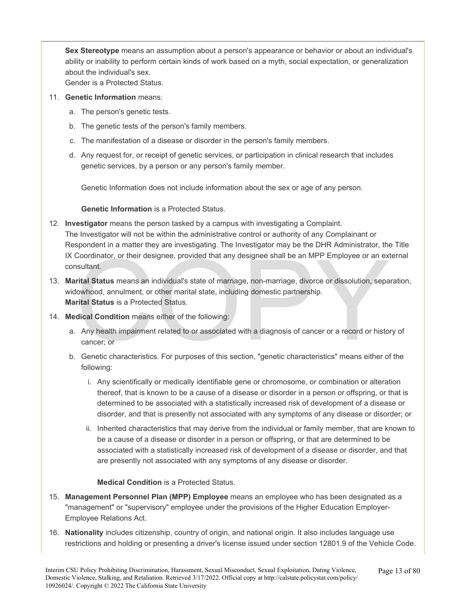**Sex Stereotype** means an assumption about a person's appearance or behavior or about an individual's ability or inability to perform certain kinds of work based on a myth, social expectation, or generalization about the individual's sex.

Gender is a Protected Status.

- 11. **Genetic Information** means:
	- a. The person's genetic tests.
	- b. The genetic tests of the person's family members.
	- c. The manifestation of a disease or disorder in the person's family members.
	- d. Any request for, or receipt of genetic services, or participation in clinical research that includes genetic services, by a person or any person's family member.

Genetic Information does not include information about the sex or age of any person.

### **Genetic Information** is a Protected Status.

- 12. **Investigator** means the person tasked by a campus with investigating a Complaint. The Investigator will not be within the administrative control or authority of any Complainant or Respondent in a matter they are investigating. The Investigator may be the DHR Administrator, the Title IX Coordinator, or their designee, provided that any designee shall be an MPP Employee or an external consultant.
- Coordinator, or their designee, provided that any designee shall be an MPP Employee or an ex<br>
sultant.<br> **intal Status** means an individual's state of marriage, non-marriage, divorce or dissolution, sepa<br>
lowhood, annulment 13. **Marital Status** means an individual's state of marriage, non-marriage, divorce or dissolution, separation, widowhood, annulment, or other marital state, including domestic partnership. **Marital Status** is a Protected Status.
- 14. **Medical Condition** means either of the following:
	- a. Any health impairment related to or associated with a diagnosis of cancer or a record or history of cancer; or
	- b. Genetic characteristics. For purposes of this section, "genetic characteristics" means either of the following:
		- i. Any scientifically or medically identifiable gene or chromosome, or combination or alteration thereof, that is known to be a cause of a disease or disorder in a person or offspring, or that is determined to be associated with a statistically increased risk of development of a disease or disorder, and that is presently not associated with any symptoms of any disease or disorder; or
		- ii. Inherited characteristics that may derive from the individual or family member, that are known to be a cause of a disease or disorder in a person or offspring, or that are determined to be associated with a statistically increased risk of development of a disease or disorder, and that are presently not associated with any symptoms of any disease or disorder.

### **Medical Condition** is a Protected Status.

- 15. **Management Personnel Plan (MPP) Employee** means an employee who has been designated as a "management" or "supervisory" employee under the provisions of the Higher Education Employer-Employee Relations Act.
- 16. **Nationality** includes citizenship, country of origin, and national origin. It also includes language use restrictions and holding or presenting a driver's license issued under section 12801.9 of the Vehicle Code.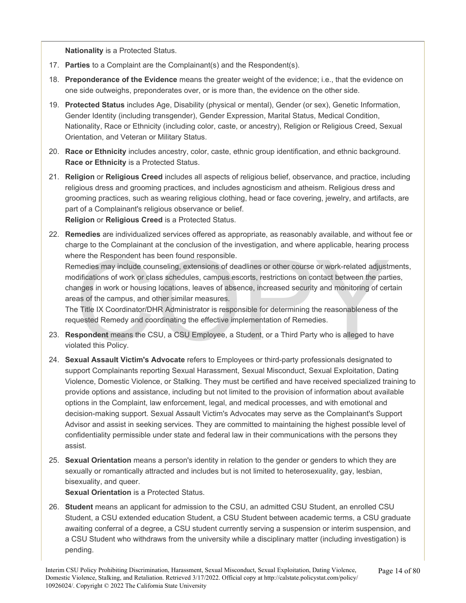**Nationality** is a Protected Status.

- 17. **Parties** to a Complaint are the Complainant(s) and the Respondent(s).
- 18. **Preponderance of the Evidence** means the greater weight of the evidence; i.e., that the evidence on one side outweighs, preponderates over, or is more than, the evidence on the other side.
- 19. **Protected Status** includes Age, Disability (physical or mental), Gender (or sex), Genetic Information, Gender Identity (including transgender), Gender Expression, Marital Status, Medical Condition, Nationality, Race or Ethnicity (including color, caste, or ancestry), Religion or Religious Creed, Sexual Orientation, and Veteran or Military Status.
- 20. **Race or Ethnicity** includes ancestry, color, caste, ethnic group identification, and ethnic background. **Race or Ethnicity** is a Protected Status.
- 21. **Religion** or **Religious Creed** includes all aspects of religious belief, observance, and practice, including religious dress and grooming practices, and includes agnosticism and atheism. Religious dress and grooming practices, such as wearing religious clothing, head or face covering, jewelry, and artifacts, are part of a Complainant's religious observance or belief. **Religion** or **Religious Creed** is a Protected Status.
- 22. **Remedies** are individualized services offered as appropriate, as reasonably available, and without fee or charge to the Complainant at the conclusion of the investigation, and where applicable, hearing process where the Respondent has been found responsible.

ere the Respondent has been found responsible.<br>
medies may include counseling, extensions of deadlines or other course or work-related adjust<br>
difications of work or class schedules, campus escorts, restrictions on contact Remedies may include counseling, extensions of deadlines or other course or work-related adjustments, modifications of work or class schedules, campus escorts, restrictions on contact between the parties, changes in work or housing locations, leaves of absence, increased security and monitoring of certain areas of the campus, and other similar measures.

The Title IX Coordinator/DHR Administrator is responsible for determining the reasonableness of the requested Remedy and coordinating the effective implementation of Remedies.

- 23. **Respondent** means the CSU, a CSU Employee, a Student, or a Third Party who is alleged to have violated this Policy.
- 24. **Sexual Assault Victim's Advocate** refers to Employees or third-party professionals designated to support Complainants reporting Sexual Harassment, Sexual Misconduct, Sexual Exploitation, Dating Violence, Domestic Violence, or Stalking. They must be certified and have received specialized training to provide options and assistance, including but not limited to the provision of information about available options in the Complaint, law enforcement, legal, and medical processes, and with emotional and decision-making support. Sexual Assault Victim's Advocates may serve as the Complainant's Support Advisor and assist in seeking services. They are committed to maintaining the highest possible level of confidentiality permissible under state and federal law in their communications with the persons they assist.
- 25. **Sexual Orientation** means a person's identity in relation to the gender or genders to which they are sexually or romantically attracted and includes but is not limited to heterosexuality, gay, lesbian, bisexuality, and queer.

**Sexual Orientation** is a Protected Status.

26. **Student** means an applicant for admission to the CSU, an admitted CSU Student, an enrolled CSU Student, a CSU extended education Student, a CSU Student between academic terms, a CSU graduate awaiting conferral of a degree, a CSU student currently serving a suspension or interim suspension, and a CSU Student who withdraws from the university while a disciplinary matter (including investigation) is pending.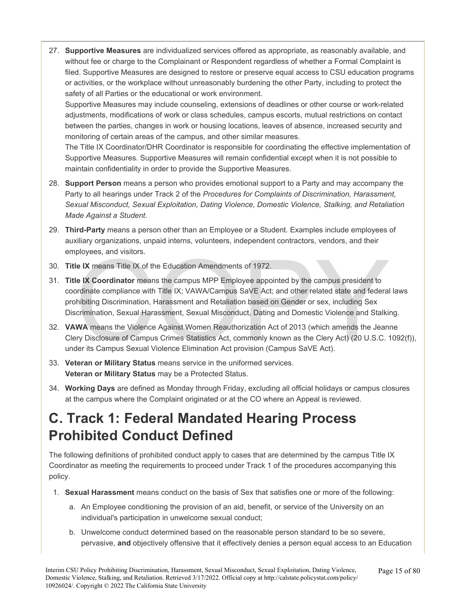27. **Supportive Measures** are individualized services offered as appropriate, as reasonably available, and without fee or charge to the Complainant or Respondent regardless of whether a Formal Complaint is filed. Supportive Measures are designed to restore or preserve equal access to CSU education programs or activities, or the workplace without unreasonably burdening the other Party, including to protect the safety of all Parties or the educational or work environment. Supportive Measures may include counseling, extensions of deadlines or other course or work-related

adjustments, modifications of work or class schedules, campus escorts, mutual restrictions on contact between the parties, changes in work or housing locations, leaves of absence, increased security and monitoring of certain areas of the campus, and other similar measures.

The Title IX Coordinator/DHR Coordinator is responsible for coordinating the effective implementation of Supportive Measures. Supportive Measures will remain confidential except when it is not possible to maintain confidentiality in order to provide the Supportive Measures.

- 28. **Support Person** means a person who provides emotional support to a Party and may accompany the Party to all hearings under Track 2 of the *Procedures for Complaints of Discrimination, Harassment, Sexual Misconduct, Sexual Exploitation, Dating Violence, Domestic Violence, Stalking, and Retaliation Made Against a Student*.
- 29. **Third-Party** means a person other than an Employee or a Student. Examples include employees of auxiliary organizations, unpaid interns, volunteers, independent contractors, vendors, and their employees, and visitors.
- 30. **Title IX** means Title IX of the Education Amendments of 1972.
- ployees, and visitors.<br>
Le IX means Title IX of the Education Amendments of 1972.<br>
Le IX Coordinator means the campus MPP Employee appointed by the campus president to<br>
ordinate compliance with Title IX; VAWA/Campus SaVE A 31. **Title IX Coordinator** means the campus MPP Employee appointed by the campus president to coordinate compliance with Title IX; VAWA/Campus SaVE Act; and other related state and federal laws prohibiting Discrimination, Harassment and Retaliation based on Gender or sex, including Sex Discrimination, Sexual Harassment, Sexual Misconduct, Dating and Domestic Violence and Stalking.
- 32. **VAWA** means the Violence Against Women Reauthorization Act of 2013 (which amends the Jeanne Clery Disclosure of Campus Crimes Statistics Act, commonly known as the Clery Act) (20 U.S.C. 1092(f)), under its Campus Sexual Violence Elimination Act provision (Campus SaVE Act).
- 33. **Veteran or Military Status** means service in the uniformed services. **Veteran or Military Status** may be a Protected Status.
- 34. **Working Days** are defined as Monday through Friday, excluding all official holidays or campus closures at the campus where the Complaint originated or at the CO where an Appeal is reviewed.

# **C. Track 1: Federal Mandated Hearing Process Prohibited Conduct Defined**

The following definitions of prohibited conduct apply to cases that are determined by the campus Title IX Coordinator as meeting the requirements to proceed under Track 1 of the procedures accompanying this policy.

- 1. **Sexual Harassment** means conduct on the basis of Sex that satisfies one or more of the following:
	- a. An Employee conditioning the provision of an aid, benefit, or service of the University on an individual's participation in unwelcome sexual conduct;
	- b. Unwelcome conduct determined based on the reasonable person standard to be so severe, pervasive, **and** objectively offensive that it effectively denies a person equal access to an Education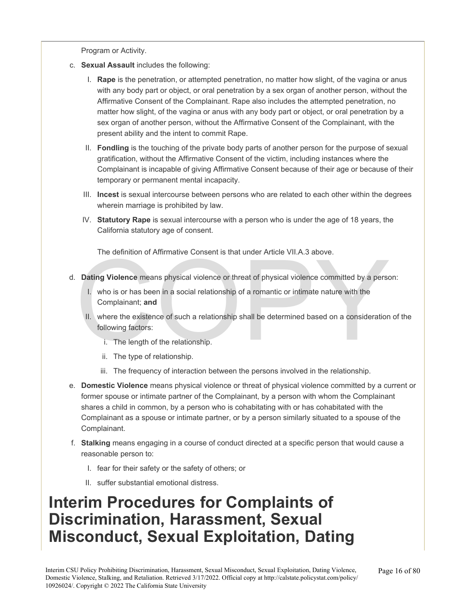Program or Activity.

- c. **Sexual Assault** includes the following:
	- I. **Rape** is the penetration, or attempted penetration, no matter how slight, of the vagina or anus with any body part or object, or oral penetration by a sex organ of another person, without the Affirmative Consent of the Complainant. Rape also includes the attempted penetration, no matter how slight, of the vagina or anus with any body part or object, or oral penetration by a sex organ of another person, without the Affirmative Consent of the Complainant, with the present ability and the intent to commit Rape.
	- II. **Fondling** is the touching of the private body parts of another person for the purpose of sexual gratification, without the Affirmative Consent of the victim, including instances where the Complainant is incapable of giving Affirmative Consent because of their age or because of their temporary or permanent mental incapacity.
	- III. **Incest** is sexual intercourse between persons who are related to each other within the degrees wherein marriage is prohibited by law.
	- IV. **Statutory Rape** is sexual intercourse with a person who is under the age of 18 years, the California statutory age of consent.

The definition of Affirmative Consent is that under Article VII.A.3 above.

- d. **Dating Violence** means physical violence or threat of physical violence committed by a person:
	- I. who is or has been in a social relationship of a romantic or intimate nature with the Complainant; **and**
- The definition of Affirmative Consent is that under Article VII.A.3 above.<br> **Dating Violence** means physical violence or threat of physical violence committed by a person<br>
1. who is or has been in a social relationship of II. where the existence of such a relationship shall be determined based on a consideration of the following factors:
	- i. The length of the relationship.
	- ii. The type of relationship.
	- iii. The frequency of interaction between the persons involved in the relationship.
- e. **Domestic Violence** means physical violence or threat of physical violence committed by a current or former spouse or intimate partner of the Complainant, by a person with whom the Complainant shares a child in common, by a person who is cohabitating with or has cohabitated with the Complainant as a spouse or intimate partner, or by a person similarly situated to a spouse of the Complainant.
- f. **Stalking** means engaging in a course of conduct directed at a specific person that would cause a reasonable person to:
	- I. fear for their safety or the safety of others; or
	- II. suffer substantial emotional distress.

# **Interim Procedures for Complaints of Discrimination, Harassment, Sexual Misconduct, Sexual Exploitation, Dating**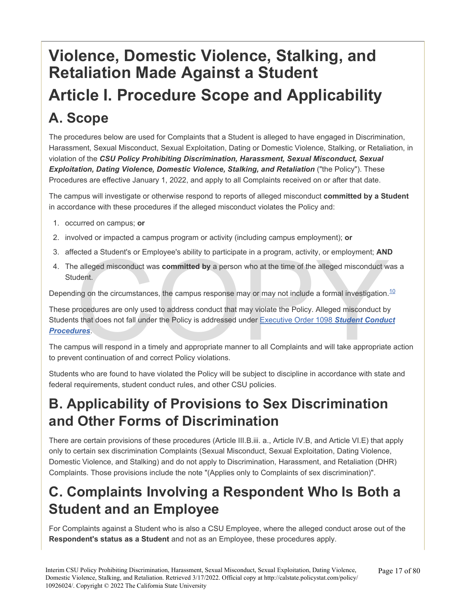# **Violence, Domestic Violence, Stalking, and Retaliation Made Against a Student Article I. Procedure Scope and Applicability A. Scope**

The procedures below are used for Complaints that a Student is alleged to have engaged in Discrimination, Harassment, Sexual Misconduct, Sexual Exploitation, Dating or Domestic Violence, Stalking, or Retaliation, in violation of the *CSU Policy Prohibiting Discrimination, Harassment, Sexual Misconduct, Sexual*  **Exploitation, Dating Violence, Domestic Violence, Stalking, and Retaliation ("the Policy"). These** Procedures are effective January 1, 2022, and apply to all Complaints received on or after that date.

The campus will investigate or otherwise respond to reports of alleged misconduct **committed by a Student**  in accordance with these procedures if the alleged misconduct violates the Policy and:

- 1. occurred on campus; **or**
- 2. involved or impacted a campus program or activity (including campus employment); **or**
- 3. affected a Student's or Employee's ability to participate in a program, activity, or employment; **AND**
- 4. The alleged misconduct was **committed by** a person who at the time of the alleged misconduct was a Student.

Depending on the circumstances, the campus response may or may not include a formal investigation.<sup>10</sup>

ected a Student's or Employee's ability to participate in a program, activity, or employment; AND<br>realleged misconduct was committed by a person who at the time of the alleged misconduct w<br>ident.<br>ing on the circumstances, These procedures are only used to address conduct that may violate the Policy. Alleged misconduct by Students that does not fall under the Policy is addressed under Executive Order 1098 *Student Conduct [Procedures](https://calstate.policystat.com/policy/8453518/latest/)*.

The campus will respond in a timely and appropriate manner to all Complaints and will take appropriate action to prevent continuation of and correct Policy violations.

Students who are found to have violated the Policy will be subject to discipline in accordance with state and federal requirements, student conduct rules, and other CSU policies.

# **B. Applicability of Provisions to Sex Discrimination and Other Forms of Discrimination**

There are certain provisions of these procedures (Article III.B.iii. a., Article IV.B, and Article VI.E) that apply only to certain sex discrimination Complaints (Sexual Misconduct, Sexual Exploitation, Dating Violence, Domestic Violence, and Stalking) and do not apply to Discrimination, Harassment, and Retaliation (DHR) Complaints. Those provisions include the note "(Applies only to Complaints of sex discrimination)".

### **C. Complaints Involving a Respondent Who Is Both a Student and an Employee**

For Complaints against a Student who is also a CSU Employee, where the alleged conduct arose out of the **Respondent's status as a Student** and not as an Employee, these procedures apply.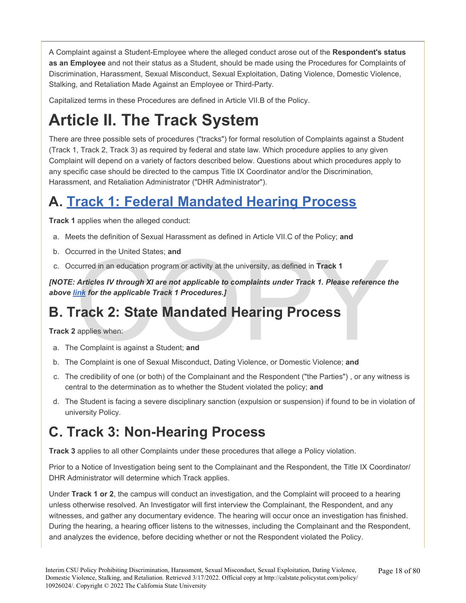A Complaint against a Student-Employee where the alleged conduct arose out of the **Respondent's status as an Employee** and not their status as a Student, should be made using the Procedures for Complaints of Discrimination, Harassment, Sexual Misconduct, Sexual Exploitation, Dating Violence, Domestic Violence, Stalking, and Retaliation Made Against an Employee or Third-Party.

Capitalized terms in these Procedures are defined in Article VII.B of the Policy.

# **Article II. The Track System**

There are three possible sets of procedures ("tracks") for formal resolution of Complaints against a Student (Track 1, Track 2, Track 3) as required by federal and state law. Which procedure applies to any given Complaint will depend on a variety of factors described below. Questions about which procedures apply to any specific case should be directed to the campus Title IX Coordinator and/or the Discrimination, Harassment, and Retaliation Administrator ("DHR Administrator").

# **A. [Track 1: Federal Mandated Hearing Process](#page-56-0)**

**Track 1** applies when the alleged conduct:

- a. Meets the definition of Sexual Harassment as defined in Article VII.C of the Policy; **and**
- b. Occurred in the United States; **and**
- c. Occurred in an education program or activity at the university, as defined in **Track 1**

curred in the United States; and<br>
curred in an education program or activity at the university, as defined in Track 1<br>
Articles IV through XI are not applicable to complaints under Track 1. Please reference t<br>
link for the *[NOTE: Articles IV through XI are not applicable to complaints under Track 1. Please reference the above [link](#page-56-0) for the applicable Track 1 Procedures.]* 

### **B. Track 2: State Mandated Hearing Process**

**Track 2** applies when:

- a. The Complaint is against a Student; **and**
- b. The Complaint is one of Sexual Misconduct, Dating Violence, or Domestic Violence; **and**
- c. The credibility of one (or both) of the Complainant and the Respondent ("the Parties") , or any witness is central to the determination as to whether the Student violated the policy; **and**
- d. The Student is facing a severe disciplinary sanction (expulsion or suspension) if found to be in violation of university Policy.

# **C. Track 3: Non-Hearing Process**

**Track 3** applies to all other Complaints under these procedures that allege a Policy violation.

Prior to a Notice of Investigation being sent to the Complainant and the Respondent, the Title IX Coordinator/ DHR Administrator will determine which Track applies.

Under **Track 1 or 2**, the campus will conduct an investigation, and the Complaint will proceed to a hearing unless otherwise resolved. An Investigator will first interview the Complainant, the Respondent, and any witnesses, and gather any documentary evidence. The hearing will occur once an investigation has finished. During the hearing, a hearing officer listens to the witnesses, including the Complainant and the Respondent, and analyzes the evidence, before deciding whether or not the Respondent violated the Policy.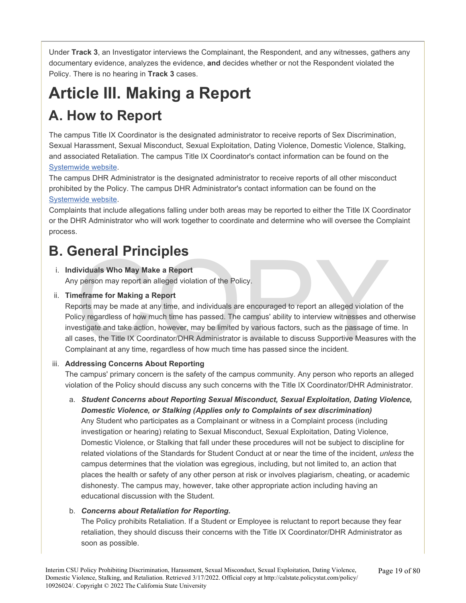Under **Track 3**, an Investigator interviews the Complainant, the Respondent, and any witnesses, gathers any documentary evidence, analyzes the evidence, **and** decides whether or not the Respondent violated the Policy. There is no hearing in **Track 3** cases.

# **Article III. Making a Report**

# **A. How to Report**

The campus Title IX Coordinator is the designated administrator to receive reports of Sex Discrimination, Sexual Harassment, Sexual Misconduct, Sexual Exploitation, Dating Violence, Domestic Violence, Stalking, and associated Retaliation. The campus Title IX Coordinator's contact information can be found on the [Systemwide website.](http://www.calstate.edu/titleix/Pages/title-ix-coordinators.aspx)

The campus DHR Administrator is the designated administrator to receive reports of all other misconduct prohibited by the Policy. The campus DHR Administrator's contact information can be found on the [Systemwide](https://www.calstate.edu/titleix/Pages/DHR-Administrators.aspx) [website.](https://www.calstate.edu/titleix/Pages/DHR-Administrators.aspx)

Complaints that include allegations falling under both areas may be reported to either the Title IX Coordinator or the DHR Administrator who will work together to coordinate and determine who will oversee the Complaint process.

# **B. General Principles**

### i. **Individuals Who May Make a Report**

Any person may report an alleged violation of the Policy.

### ii. **Timeframe for Making a Report**

**IECT PRINCIPIES**<br>Ividuals Who May Make a Report<br>ports may report an alleged violation of the Policy.<br>neframe for Making a Report<br>ports may be made at any time, and individuals are encouraged to report an alleged violation Reports may be made at any time, and individuals are encouraged to report an alleged violation of the Policy regardless of how much time has passed. The campus' ability to interview witnesses and otherwise investigate and take action, however, may be limited by various factors, such as the passage of time. In all cases, the Title IX Coordinator/DHR Administrator is available to discuss Supportive Measures with the Complainant at any time, regardless of how much time has passed since the incident.

### iii. **Addressing Concerns About Reporting**

The campus' primary concern is the safety of the campus community. Any person who reports an alleged violation of the Policy should discuss any such concerns with the Title IX Coordinator/DHR Administrator.

a. *Student Concerns about Reporting Sexual Misconduct, Sexual Exploitation, Dating Violence, Domestic Violence, or Stalking (Applies only to Complaints of sex discrimination)* 

Any Student who participates as a Complainant or witness in a Complaint process (including investigation or hearing) relating to Sexual Misconduct, Sexual Exploitation, Dating Violence, Domestic Violence, or Stalking that fall under these procedures will not be subject to discipline for related violations of the Standards for Student Conduct at or near the time of the incident, *unless* the campus determines that the violation was egregious, including, but not limited to, an action that places the health or safety of any other person at risk or involves plagiarism, cheating, or academic dishonesty. The campus may, however, take other appropriate action including having an educational discussion with the Student.

### b. *Concerns about Retaliation for Reporting.*

The Policy prohibits Retaliation. If a Student or Employee is reluctant to report because they fear retaliation, they should discuss their concerns with the Title IX Coordinator/DHR Administrator as soon as possible.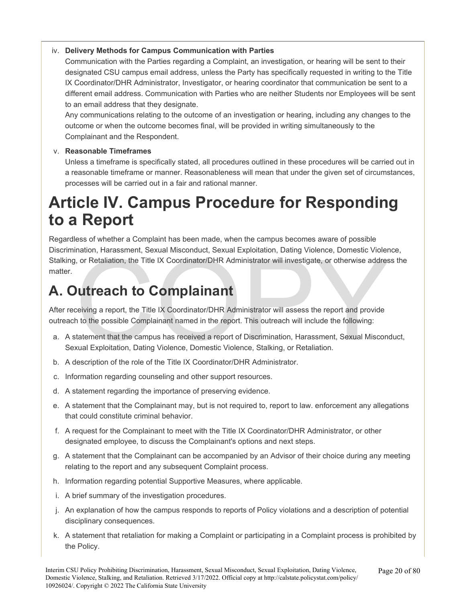### iv. **Delivery Methods for Campus Communication with Parties**

Communication with the Parties regarding a Complaint, an investigation, or hearing will be sent to their designated CSU campus email address, unless the Party has specifically requested in writing to the Title IX Coordinator/DHR Administrator, Investigator, or hearing coordinator that communication be sent to a different email address. Communication with Parties who are neither Students nor Employees will be sent to an email address that they designate.

Any communications relating to the outcome of an investigation or hearing, including any changes to the outcome or when the outcome becomes final, will be provided in writing simultaneously to the Complainant and the Respondent.

### v. **Reasonable Timeframes**

Unless a timeframe is specifically stated, all procedures outlined in these procedures will be carried out in a reasonable timeframe or manner. Reasonableness will mean that under the given set of circumstances, processes will be carried out in a fair and rational manner.

# **Article IV. Campus Procedure for Responding to a Report**

Indion, Harassment, Sexual Misconduct, Sexual Exploration, Dating violence, Domestic violence, or Retaliation, the Title IX Coordinator/DHR Administrator will investigate, or otherwise addressed are and provide and the Tit Regardless of whether a Complaint has been made, when the campus becomes aware of possible Discrimination, Harassment, Sexual Misconduct, Sexual Exploitation, Dating Violence, Domestic Violence, Stalking, or Retaliation, the Title IX Coordinator/DHR Administrator will investigate, or otherwise address the matter.

### **A. Outreach to Complainant**

After receiving a report, the Title IX Coordinator/DHR Administrator will assess the report and provide outreach to the possible Complainant named in the report. This outreach will include the following:

- a. A statement that the campus has received a report of Discrimination, Harassment, Sexual Misconduct, Sexual Exploitation, Dating Violence, Domestic Violence, Stalking, or Retaliation.
- b. A description of the role of the Title IX Coordinator/DHR Administrator.
- c. Information regarding counseling and other support resources.
- d. A statement regarding the importance of preserving evidence.
- e. A statement that the Complainant may, but is not required to, report to law. enforcement any allegations that could constitute criminal behavior.
- f. A request for the Complainant to meet with the Title IX Coordinator/DHR Administrator, or other designated employee, to discuss the Complainant's options and next steps.
- g. A statement that the Complainant can be accompanied by an Advisor of their choice during any meeting relating to the report and any subsequent Complaint process.
- h. Information regarding potential Supportive Measures, where applicable.
- i. A brief summary of the investigation procedures.
- j. An explanation of how the campus responds to reports of Policy violations and a description of potential disciplinary consequences.
- k. A statement that retaliation for making a Complaint or participating in a Complaint process is prohibited by the Policy.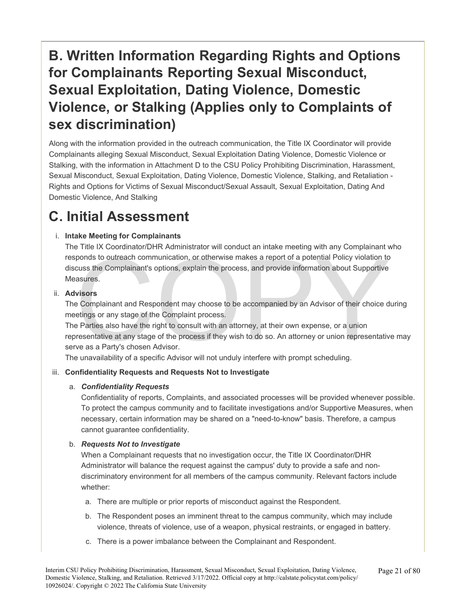# **B. Written Information Regarding Rights and Options for Complainants Reporting Sexual Misconduct, Sexual Exploitation, Dating Violence, Domestic Violence, or Stalking (Applies only to Complaints of sex discrimination)**

Along with the information provided in the outreach communication, the Title IX Coordinator will provide Complainants alleging Sexual Misconduct, Sexual Exploitation Dating Violence, Domestic Violence or Stalking, with the information in Attachment D to the CSU Policy Prohibiting Discrimination, Harassment, Sexual Misconduct, Sexual Exploitation, Dating Violence, Domestic Violence, Stalking, and Retaliation - Rights and Options for Victims of Sexual Misconduct/Sexual Assault, Sexual Exploitation, Dating And Domestic Violence, And Stalking

### **C. Initial Assessment**

### i. **Intake Meeting for Complainants**

ponds to outreach communication, or otherwise makes a report of a potential Policy violation to<br>cuss the Complainant's options, explain the process, and provide information about Supportive<br>asures.<br>**visors**<br>Complainant and The Title IX Coordinator/DHR Administrator will conduct an intake meeting with any Complainant who responds to outreach communication, or otherwise makes a report of a potential Policy violation to discuss the Complainant's options, explain the process, and provide information about Supportive Measures.

### ii. **Advisors**

The Complainant and Respondent may choose to be accompanied by an Advisor of their choice during meetings or any stage of the Complaint process.

The Parties also have the right to consult with an attorney, at their own expense, or a union representative at any stage of the process if they wish to do so. An attorney or union representative may serve as a Party's chosen Advisor.

The unavailability of a specific Advisor will not unduly interfere with prompt scheduling.

### iii. **Confidentiality Requests and Requests Not to Investigate**

### a. *Confidentiality Requests*

Confidentiality of reports, Complaints, and associated processes will be provided whenever possible. To protect the campus community and to facilitate investigations and/or Supportive Measures, when necessary, certain information may be shared on a "need-to-know" basis. Therefore, a campus cannot guarantee confidentiality.

### b. *Requests Not to Investigate*

When a Complainant requests that no investigation occur, the Title IX Coordinator/DHR Administrator will balance the request against the campus' duty to provide a safe and nondiscriminatory environment for all members of the campus community. Relevant factors include whether:

- a. There are multiple or prior reports of misconduct against the Respondent.
- b. The Respondent poses an imminent threat to the campus community, which may include violence, threats of violence, use of a weapon, physical restraints, or engaged in battery.
- c. There is a power imbalance between the Complainant and Respondent.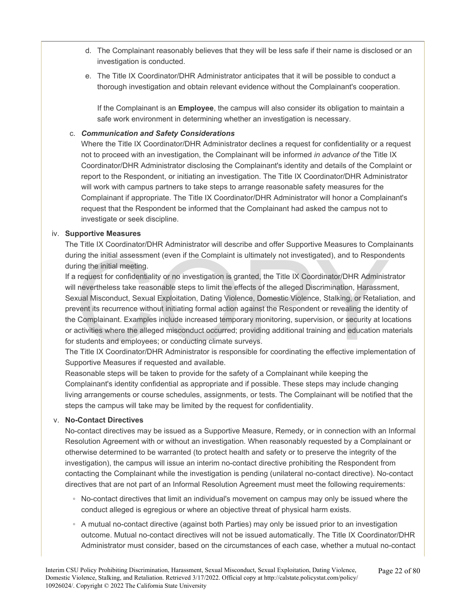- d. The Complainant reasonably believes that they will be less safe if their name is disclosed or an investigation is conducted.
- e. The Title IX Coordinator/DHR Administrator anticipates that it will be possible to conduct a thorough investigation and obtain relevant evidence without the Complainant's cooperation.

If the Complainant is an **Employee**, the campus will also consider its obligation to maintain a safe work environment in determining whether an investigation is necessary.

### c. *Communication and Safety Considerations*

Where the Title IX Coordinator/DHR Administrator declines a request for confidentiality or a request not to proceed with an investigation, the Complainant will be informed *in advance of* the Title IX Coordinator/DHR Administrator disclosing the Complainant's identity and details of the Complaint or report to the Respondent, or initiating an investigation. The Title IX Coordinator/DHR Administrator will work with campus partners to take steps to arrange reasonable safety measures for the Complainant if appropriate. The Title IX Coordinator/DHR Administrator will honor a Complainant's request that the Respondent be informed that the Complainant had asked the campus not to investigate or seek discipline.

#### iv. **Supportive Measures**

The Title IX Coordinator/DHR Administrator will describe and offer Supportive Measures to Complainants during the initial assessment (even if the Complaint is ultimately not investigated), and to Respondents during the initial meeting.

ing the initial assessment (even if the Complaint is ultimately not investigated), and to Respond<br>ting the initial meeting.<br>request for confidentiality or no investigation is granted, the Title IX Coordinator/DHR Administ<br> If a request for confidentiality or no investigation is granted, the Title IX Coordinator/DHR Administrator will nevertheless take reasonable steps to limit the effects of the alleged Discrimination, Harassment, Sexual Misconduct, Sexual Exploitation, Dating Violence, Domestic Violence, Stalking, or Retaliation, and prevent its recurrence without initiating formal action against the Respondent or revealing the identity of the Complainant. Examples include increased temporary monitoring, supervision, or security at locations or activities where the alleged misconduct occurred; providing additional training and education materials for students and employees; or conducting climate surveys.

The Title IX Coordinator/DHR Administrator is responsible for coordinating the effective implementation of Supportive Measures if requested and available.

Reasonable steps will be taken to provide for the safety of a Complainant while keeping the Complainant's identity confidential as appropriate and if possible. These steps may include changing living arrangements or course schedules, assignments, or tests. The Complainant will be notified that the steps the campus will take may be limited by the request for confidentiality.

#### v. **No-Contact Directives**

No-contact directives may be issued as a Supportive Measure, Remedy, or in connection with an Informal Resolution Agreement with or without an investigation. When reasonably requested by a Complainant or otherwise determined to be warranted (to protect health and safety or to preserve the integrity of the investigation), the campus will issue an interim no-contact directive prohibiting the Respondent from contacting the Complainant while the investigation is pending (unilateral no-contact directive). No-contact directives that are not part of an Informal Resolution Agreement must meet the following requirements:

- No-contact directives that limit an individual's movement on campus may only be issued where the conduct alleged is egregious or where an objective threat of physical harm exists.
- A mutual no-contact directive (against both Parties) may only be issued prior to an investigation outcome. Mutual no-contact directives will not be issued automatically. The Title IX Coordinator/DHR Administrator must consider, based on the circumstances of each case, whether a mutual no-contact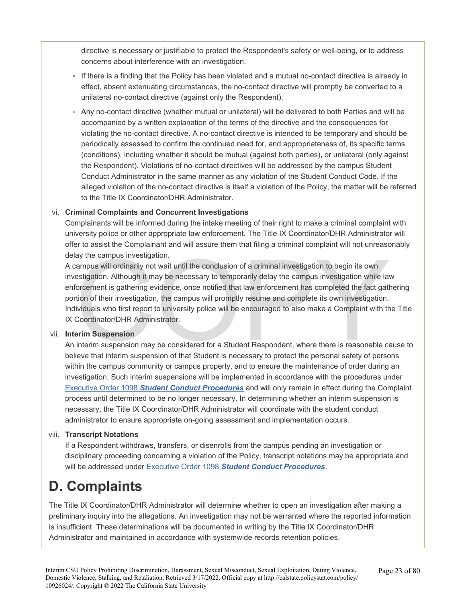directive is necessary or justifiable to protect the Respondent's safety or well-being, or to address concerns about interference with an investigation.

- If there is a finding that the Policy has been violated and a mutual no-contact directive is already in effect, absent extenuating circumstances, the no-contact directive will promptly be converted to a unilateral no-contact directive (against only the Respondent).
- Any no-contact directive (whether mutual or unilateral) will be delivered to both Parties and will be accompanied by a written explanation of the terms of the directive and the consequences for violating the no-contact directive. A no-contact directive is intended to be temporary and should be periodically assessed to confirm the continued need for, and appropriateness of, its specific terms (conditions), including whether it should be mutual (against both parties), or unilateral (only against the Respondent). Violations of no-contact directives will be addressed by the campus Student Conduct Administrator in the same manner as any violation of the Student Conduct Code. If the alleged violation of the no-contact directive is itself a violation of the Policy, the matter will be referred to the Title IX Coordinator/DHR Administrator.

### vi. **Criminal Complaints and Concurrent Investigations**

Complainants will be informed during the intake meeting of their right to make a criminal complaint with university police or other appropriate law enforcement. The Title IX Coordinator/DHR Administrator will offer to assist the Complainant and will assure them that filing a criminal complaint will not unreasonably delay the campus investigation.

ay the campus investigation.<br>
Sampus will ordinarily not wait until the conclusion of a criminal investigation to begin its own<br>
estigation. Although it may be necessary to temporarily delay the campus investigation while A campus will ordinarily not wait until the conclusion of a criminal investigation to begin its own investigation. Although it may be necessary to temporarily delay the campus investigation while law enforcement is gathering evidence, once notified that law enforcement has completed the fact gathering portion of their investigation, the campus will promptly resume and complete its own investigation. Individuals who first report to university police will be encouraged to also make a Complaint with the Title IX Coordinator/DHR Administrator.

### vii. **Interim Suspension**

An interim suspension may be considered for a Student Respondent, where there is reasonable cause to believe that interim suspension of that Student is necessary to protect the personal safety of persons within the campus community or campus property, and to ensure the maintenance of order during an investigation. Such interim suspensions will be implemented in accordance with the procedures under Executive Order 1098 *[Student Conduct Procedures](https://calstate.policystat.com/policy/8453518/latest/)* and will only remain in effect during the Complaint process until determined to be no longer necessary. In determining whether an interim suspension is necessary, the Title IX Coordinator/DHR Administrator will coordinate with the student conduct administrator to ensure appropriate on-going assessment and implementation occurs.

### viii. **Transcript Notations**

If a Respondent withdraws, transfers, or disenrolls from the campus pending an investigation or disciplinary proceeding concerning a violation of the Policy, transcript notations may be appropriate and will be addressed under Executive Order 1098 *[Student Conduct Procedures](https://calstate.policystat.com/policy/8453518/latest/)*.

# **D. Complaints**

The Title IX Coordinator/DHR Administrator will determine whether to open an investigation after making a preliminary inquiry into the allegations. An investigation may not be warranted where the reported information is insufficient. These determinations will be documented in writing by the Title IX Coordinator/DHR Administrator and maintained in accordance with systemwide records retention policies.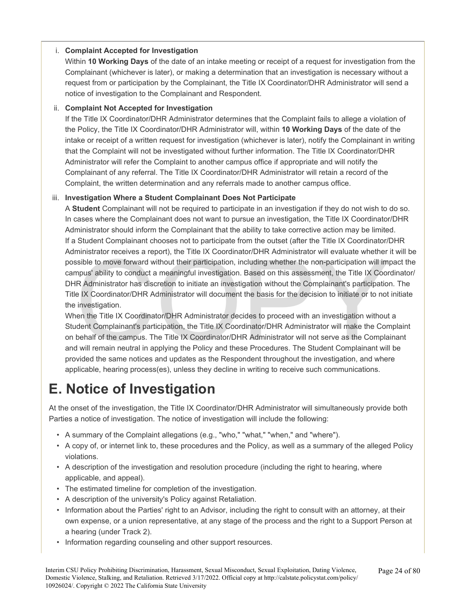### i. **Complaint Accepted for Investigation**

Within **10 Working Days** of the date of an intake meeting or receipt of a request for investigation from the Complainant (whichever is later), or making a determination that an investigation is necessary without a request from or participation by the Complainant, the Title IX Coordinator/DHR Administrator will send a notice of investigation to the Complainant and Respondent.

### ii. **Complaint Not Accepted for Investigation**

If the Title IX Coordinator/DHR Administrator determines that the Complaint fails to allege a violation of the Policy, the Title IX Coordinator/DHR Administrator will, within **10 Working Days** of the date of the intake or receipt of a written request for investigation (whichever is later), notify the Complainant in writing that the Complaint will not be investigated without further information. The Title IX Coordinator/DHR Administrator will refer the Complaint to another campus office if appropriate and will notify the Complainant of any referral. The Title IX Coordinator/DHR Administrator will retain a record of the Complaint, the written determination and any referrals made to another campus office.

### iii. **Investigation Where a Student Complainant Does Not Participate**

ministrator receives a report), the Title IX Coordinator/DHR Administrator will evaluate whether<br>sible to move forward without their participation, including whether the non-participation will im<br>pnpus' ability to conduct A **Student** Complainant will not be required to participate in an investigation if they do not wish to do so. In cases where the Complainant does not want to pursue an investigation, the Title IX Coordinator/DHR Administrator should inform the Complainant that the ability to take corrective action may be limited. If a Student Complainant chooses not to participate from the outset (after the Title IX Coordinator/DHR Administrator receives a report), the Title IX Coordinator/DHR Administrator will evaluate whether it will be possible to move forward without their participation, including whether the non-participation will impact the campus' ability to conduct a meaningful investigation. Based on this assessment, the Title IX Coordinator/ DHR Administrator has discretion to initiate an investigation without the Complainant's participation. The Title IX Coordinator/DHR Administrator will document the basis for the decision to initiate or to not initiate the investigation.

When the Title IX Coordinator/DHR Administrator decides to proceed with an investigation without a Student Complainant's participation, the Title IX Coordinator/DHR Administrator will make the Complaint on behalf of the campus. The Title IX Coordinator/DHR Administrator will not serve as the Complainant and will remain neutral in applying the Policy and these Procedures. The Student Complainant will be provided the same notices and updates as the Respondent throughout the investigation, and where applicable, hearing process(es), unless they decline in writing to receive such communications.

# **E. Notice of Investigation**

At the onset of the investigation, the Title IX Coordinator/DHR Administrator will simultaneously provide both Parties a notice of investigation. The notice of investigation will include the following:

- A summary of the Complaint allegations (e.g., "who," "what," "when," and "where").
- A copy of, or internet link to, these procedures and the Policy, as well as a summary of the alleged Policy violations.
- A description of the investigation and resolution procedure (including the right to hearing, where applicable, and appeal).
- The estimated timeline for completion of the investigation.
- A description of the university's Policy against Retaliation.
- Information about the Parties' right to an Advisor, including the right to consult with an attorney, at their own expense, or a union representative, at any stage of the process and the right to a Support Person at a hearing (under Track 2).
- Information regarding counseling and other support resources.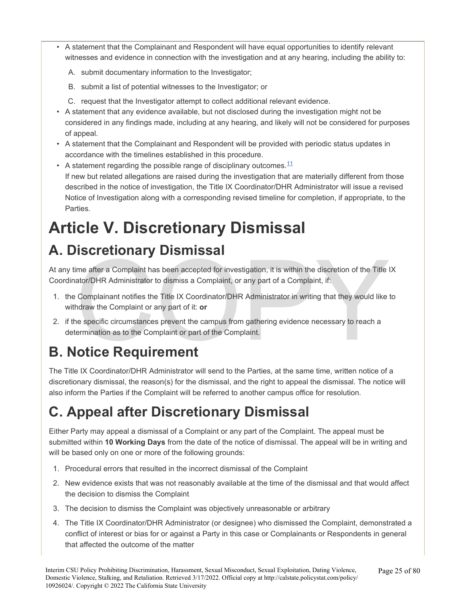- A statement that the Complainant and Respondent will have equal opportunities to identify relevant witnesses and evidence in connection with the investigation and at any hearing, including the ability to:
	- A. submit documentary information to the Investigator;
	- B. submit a list of potential witnesses to the Investigator; or
	- C. request that the Investigator attempt to collect additional relevant evidence.
- A statement that any evidence available, but not disclosed during the investigation might not be considered in any findings made, including at any hearing, and likely will not be considered for purposes of appeal.
- A statement that the Complainant and Respondent will be provided with periodic status updates in accordance with the timelines established in this procedure.
- A statement regarding the possible range of disciplinary outcomes.  $11$ If new but related allegations are raised during the investigation that are materially different from those described in the notice of investigation, the Title IX Coordinator/DHR Administrator will issue a revised Notice of Investigation along with a corresponding revised timeline for completion, if appropriate, to the Parties.

# **Article V. Discretionary Dismissal**

# **A. Discretionary Dismissal**

**INSCRETIOITATY DISTITISSAI**<br>ime after a Complaint has been accepted for investigation, it is within the discretion of the Title I<br>ator/DHR Administrator to dismiss a Complaint, or any part of a Complaint, if:<br>Complainant At any time after a Complaint has been accepted for investigation, it is within the discretion of the Title IX Coordinator/DHR Administrator to dismiss a Complaint, or any part of a Complaint, if:

- 1. the Complainant notifies the Title IX Coordinator/DHR Administrator in writing that they would like to withdraw the Complaint or any part of it: **or**
- 2. if the specific circumstances prevent the campus from gathering evidence necessary to reach a determination as to the Complaint or part of the Complaint.

# **B. Notice Requirement**

The Title IX Coordinator/DHR Administrator will send to the Parties, at the same time, written notice of a discretionary dismissal, the reason(s) for the dismissal, and the right to appeal the dismissal. The notice will also inform the Parties if the Complaint will be referred to another campus office for resolution.

# **C. Appeal after Discretionary Dismissal**

Either Party may appeal a dismissal of a Complaint or any part of the Complaint. The appeal must be submitted within **10 Working Days** from the date of the notice of dismissal. The appeal will be in writing and will be based only on one or more of the following grounds:

- 1. Procedural errors that resulted in the incorrect dismissal of the Complaint
- 2. New evidence exists that was not reasonably available at the time of the dismissal and that would affect the decision to dismiss the Complaint
- 3. The decision to dismiss the Complaint was objectively unreasonable or arbitrary
- 4. The Title IX Coordinator/DHR Administrator (or designee) who dismissed the Complaint, demonstrated a conflict of interest or bias for or against a Party in this case or Complainants or Respondents in general that affected the outcome of the matter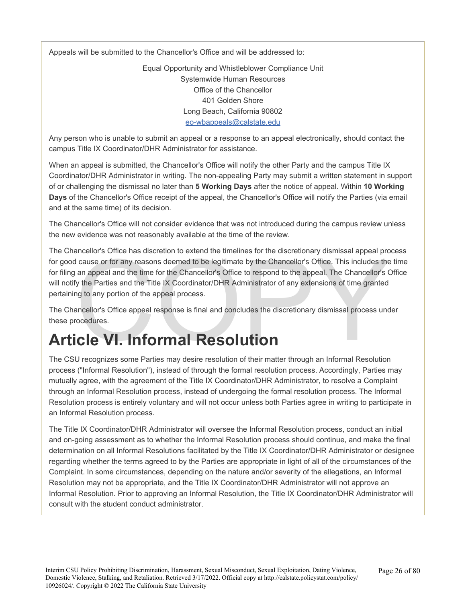Appeals will be submitted to the Chancellor's Office and will be addressed to:

Equal Opportunity and Whistleblower Compliance Unit Systemwide Human Resources Office of the Chancellor 401 Golden Shore Long Beach, California 90802 [eo-wbappeals@calstate.edu](mailto:eo-wbappeals@calstate.edu)

Any person who is unable to submit an appeal or a response to an appeal electronically, should contact the campus Title IX Coordinator/DHR Administrator for assistance.

When an appeal is submitted, the Chancellor's Office will notify the other Party and the campus Title IX Coordinator/DHR Administrator in writing. The non-appealing Party may submit a written statement in support of or challenging the dismissal no later than **5 Working Days** after the notice of appeal. Within **10 Working Days** of the Chancellor's Office receipt of the appeal, the Chancellor's Office will notify the Parties (via email and at the same time) of its decision.

The Chancellor's Office will not consider evidence that was not introduced during the campus review unless the new evidence was not reasonably available at the time of the review.

The CRU recognizes some Parties may desire resolution of their matter through an Informal Resolution<br>The CSU recognizes some Parties and Parties by the Chancellor's Office. This includes the<br>for filing an appeal and the ti The Chancellor's Office has discretion to extend the timelines for the discretionary dismissal appeal process for good cause or for any reasons deemed to be legitimate by the Chancellor's Office. This includes the time for filing an appeal and the time for the Chancellor's Office to respond to the appeal. The Chancellor's Office will notify the Parties and the Title IX Coordinator/DHR Administrator of any extensions of time granted pertaining to any portion of the appeal process.

The Chancellor's Office appeal response is final and concludes the discretionary dismissal process under these procedures.

The CSU recognizes some Parties may desire resolution of their matter through an Informal Resolution process ("Informal Resolution"), instead of through the formal resolution process. Accordingly, Parties may mutually agree, with the agreement of the Title IX Coordinator/DHR Administrator, to resolve a Complaint through an Informal Resolution process, instead of undergoing the formal resolution process. The Informal Resolution process is entirely voluntary and will not occur unless both Parties agree in writing to participate in an Informal Resolution process.

The Title IX Coordinator/DHR Administrator will oversee the Informal Resolution process, conduct an initial and on-going assessment as to whether the Informal Resolution process should continue, and make the final determination on all Informal Resolutions facilitated by the Title IX Coordinator/DHR Administrator or designee regarding whether the terms agreed to by the Parties are appropriate in light of all of the circumstances of the Complaint. In some circumstances, depending on the nature and/or severity of the allegations, an Informal Resolution may not be appropriate, and the Title IX Coordinator/DHR Administrator will not approve an Informal Resolution. Prior to approving an Informal Resolution, the Title IX Coordinator/DHR Administrator will consult with the student conduct administrator.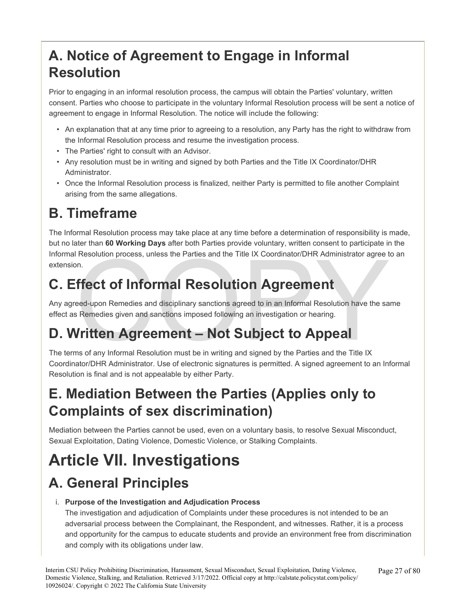# **A. Notice of Agreement to Engage in Informal Resolution**

Prior to engaging in an informal resolution process, the campus will obtain the Parties' voluntary, written consent. Parties who choose to participate in the voluntary Informal Resolution process will be sent a notice of agreement to engage in Informal Resolution. The notice will include the following:

- An explanation that at any time prior to agreeing to a resolution, any Party has the right to withdraw from the Informal Resolution process and resume the investigation process.
- The Parties' right to consult with an Advisor.
- Any resolution must be in writing and signed by both Parties and the Title IX Coordinator/DHR Administrator.
- Once the Informal Resolution process is finalized, neither Party is permitted to file another Complaint arising from the same allegations.

# **B. Timeframe**

The Informal Resolution process may take place at any time before a determination of responsibility is made, but no later than **60 Working Days** after both Parties provide voluntary, written consent to participate in the Informal Resolution process, unless the Parties and the Title IX Coordinator/DHR Administrator agree to an extension.

# **C. Effect of Informal Resolution Agreement**

Resolution process, unless the Parties and the Title IX Coordinator/DHR Administrator agree to the Copy of Sun.<br> **In Fiect of Informal Resolution Agreement**<br>
Resolution and Resolution and Resolution are the sale<br>
Remedies Any agreed-upon Remedies and disciplinary sanctions agreed to in an Informal Resolution have the same effect as Remedies given and sanctions imposed following an investigation or hearing.

# **D. Written Agreement – Not Subject to Appeal**

The terms of any Informal Resolution must be in writing and signed by the Parties and the Title IX Coordinator/DHR Administrator. Use of electronic signatures is permitted. A signed agreement to an Informal Resolution is final and is not appealable by either Party.

# **E. Mediation Between the Parties (Applies only to Complaints of sex discrimination)**

Mediation between the Parties cannot be used, even on a voluntary basis, to resolve Sexual Misconduct, Sexual Exploitation, Dating Violence, Domestic Violence, or Stalking Complaints.

# **Article VII. Investigations**

# **A. General Principles**

### i. **Purpose of the Investigation and Adjudication Process**

The investigation and adjudication of Complaints under these procedures is not intended to be an adversarial process between the Complainant, the Respondent, and witnesses. Rather, it is a process and opportunity for the campus to educate students and provide an environment free from discrimination and comply with its obligations under law.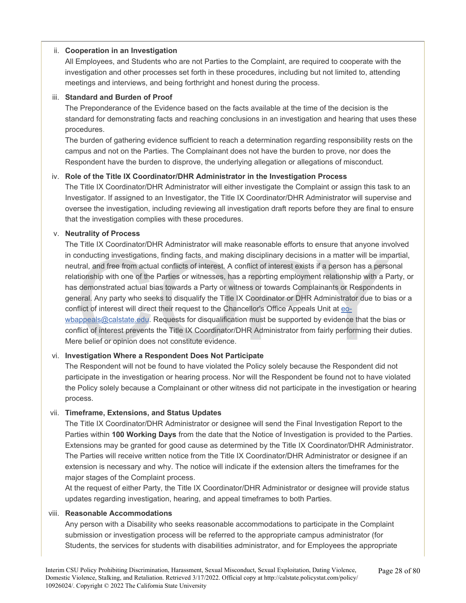### ii. **Cooperation in an Investigation**

All Employees, and Students who are not Parties to the Complaint, are required to cooperate with the investigation and other processes set forth in these procedures, including but not limited to, attending meetings and interviews, and being forthright and honest during the process.

### iii. **Standard and Burden of Proof**

The Preponderance of the Evidence based on the facts available at the time of the decision is the standard for demonstrating facts and reaching conclusions in an investigation and hearing that uses these procedures.

The burden of gathering evidence sufficient to reach a determination regarding responsibility rests on the campus and not on the Parties. The Complainant does not have the burden to prove, nor does the Respondent have the burden to disprove, the underlying allegation or allegations of misconduct.

### iv. **Role of the Title IX Coordinator/DHR Administrator in the Investigation Process**

The Title IX Coordinator/DHR Administrator will either investigate the Complaint or assign this task to an Investigator. If assigned to an Investigator, the Title IX Coordinator/DHR Administrator will supervise and oversee the investigation, including reviewing all investigation draft reports before they are final to ensure that the investigation complies with these procedures.

### v. **Neutrality of Process**

conducting investigations, finding facts, and making disciplinary decisions in a matter will be imputral, and free from actual conflicts of interest. A conflict of interest exists if a person has a persentionship with one The Title IX Coordinator/DHR Administrator will make reasonable efforts to ensure that anyone involved in conducting investigations, finding facts, and making disciplinary decisions in a matter will be impartial, neutral, and free from actual conflicts of interest. A conflict of interest exists if a person has a personal relationship with one of the Parties or witnesses, has a reporting employment relationship with a Party, or has demonstrated actual bias towards a Party or witness or towards Complainants or Respondents in general. Any party who seeks to disqualify the Title IX Coordinator or DHR Administrator due to bias or a conflict of interest will direct their request to the Chancellor's Office Appeals Unit at eo[wbappeals@calstate.e](mailto:eo-wbappeals@calstate.edu)du. Requests for disqualification must be supported by evidence that the bias or conflict of interest prevents the Title IX Coordinator/DHR Administrator from fairly performing their duties. Mere belief or opinion does not constitute evidence.

### vi. **Investigation Where a Respondent Does Not Participate**

The Respondent will not be found to have violated the Policy solely because the Respondent did not participate in the investigation or hearing process. Nor will the Respondent be found not to have violated the Policy solely because a Complainant or other witness did not participate in the investigation or hearing process.

### vii. **Timeframe, Extensions, and Status Updates**

The Title IX Coordinator/DHR Administrator or designee will send the Final Investigation Report to the Parties within **100 Working Days** from the date that the Notice of Investigation is provided to the Parties. Extensions may be granted for good cause as determined by the Title IX Coordinator/DHR Administrator. The Parties will receive written notice from the Title IX Coordinator/DHR Administrator or designee if an extension is necessary and why. The notice will indicate if the extension alters the timeframes for the major stages of the Complaint process.

At the request of either Party, the Title IX Coordinator/DHR Administrator or designee will provide status updates regarding investigation, hearing, and appeal timeframes to both Parties.

### viii. **Reasonable Accommodations**

Any person with a Disability who seeks reasonable accommodations to participate in the Complaint submission or investigation process will be referred to the appropriate campus administrator (for Students, the services for students with disabilities administrator, and for Employees the appropriate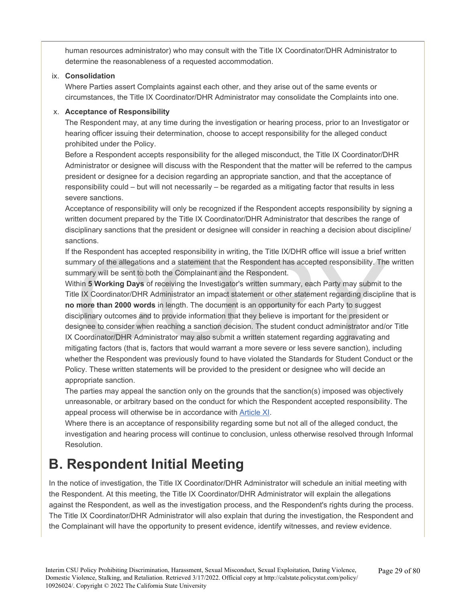human resources administrator) who may consult with the Title IX Coordinator/DHR Administrator to determine the reasonableness of a requested accommodation.

### ix. **Consolidation**

Where Parties assert Complaints against each other, and they arise out of the same events or circumstances, the Title IX Coordinator/DHR Administrator may consolidate the Complaints into one.

### x. **Acceptance of Responsibility**

The Respondent may, at any time during the investigation or hearing process, prior to an Investigator or hearing officer issuing their determination, choose to accept responsibility for the alleged conduct prohibited under the Policy.

Before a Respondent accepts responsibility for the alleged misconduct, the Title IX Coordinator/DHR Administrator or designee will discuss with the Respondent that the matter will be referred to the campus president or designee for a decision regarding an appropriate sanction, and that the acceptance of responsibility could – but will not necessarily – be regarded as a mitigating factor that results in less severe sanctions.

Acceptance of responsibility will only be recognized if the Respondent accepts responsibility by signing a written document prepared by the Title IX Coordinator/DHR Administrator that describes the range of disciplinary sanctions that the president or designee will consider in reaching a decision about discipline/ sanctions.

If the Respondent has accepted responsibility in writing, the Title IX/DHR office will issue a brief written summary of the allegations and a statement that the Respondent has accepted responsibility. The written summary will be sent to both the Complainant and the Respondent.

ne Respondent has accepted responsibility in writing, the Title IX/DHR office will issue a brief with mary of the allegations and a statement that the Respondent has accepted responsibility. The mmary will be sent to both Within **5 Working Days** of receiving the Investigator's written summary, each Party may submit to the Title IX Coordinator/DHR Administrator an impact statement or other statement regarding discipline that is **no more than 2000 words** in length. The document is an opportunity for each Party to suggest disciplinary outcomes and to provide information that they believe is important for the president or designee to consider when reaching a sanction decision. The student conduct administrator and/or Title IX Coordinator/DHR Administrator may also submit a written statement regarding aggravating and mitigating factors (that is, factors that would warrant a more severe or less severe sanction), including whether the Respondent was previously found to have violated the Standards for Student Conduct or the Policy. These written statements will be provided to the president or designee who will decide an appropriate sanction.

The parties may appeal the sanction only on the grounds that the sanction(s) imposed was objectively unreasonable, or arbitrary based on the conduct for which the Respondent accepted responsibility. The appeal process will otherwise be in accordance with Article XI.

Where there is an acceptance of responsibility regarding some but not all of the alleged conduct, the investigation and hearing process will continue to conclusion, unless otherwise resolved through Informal Resolution.

### **B. Respondent Initial Meeting**

In the notice of investigation, the Title IX Coordinator/DHR Administrator will schedule an initial meeting with the Respondent. At this meeting, the Title IX Coordinator/DHR Administrator will explain the allegations against the Respondent, as well as the investigation process, and the Respondent's rights during the process. The Title IX Coordinator/DHR Administrator will also explain that during the investigation, the Respondent and the Complainant will have the opportunity to present evidence, identify witnesses, and review evidence.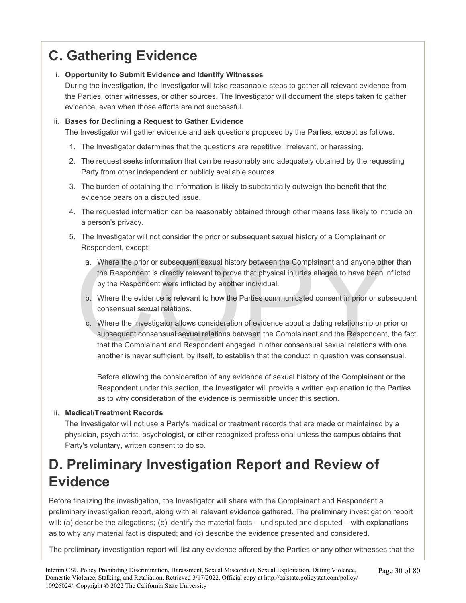# **C. Gathering Evidence**

### i. **Opportunity to Submit Evidence and Identify Witnesses**

During the investigation, the Investigator will take reasonable steps to gather all relevant evidence from the Parties, other witnesses, or other sources. The Investigator will document the steps taken to gather evidence, even when those efforts are not successful.

### ii. **Bases for Declining a Request to Gather Evidence**

The Investigator will gather evidence and ask questions proposed by the Parties, except as follows.

- 1. The Investigator determines that the questions are repetitive, irrelevant, or harassing.
- 2. The request seeks information that can be reasonably and adequately obtained by the requesting Party from other independent or publicly available sources.
- 3. The burden of obtaining the information is likely to substantially outweigh the benefit that the evidence bears on a disputed issue.
- 4. The requested information can be reasonably obtained through other means less likely to intrude on a person's privacy.
- 5. The Investigator will not consider the prior or subsequent sexual history of a Complainant or Respondent, except:
	- a. Where the prior or subsequent sexual history between the Complainant and anyone other than the Respondent is directly relevant to prove that physical injuries alleged to have been inflicted by the Respondent were inflicted by another individual.
	- b. Where the evidence is relevant to how the Parties communicated consent in prior or subsequent consensual sexual relations.
	- a. Where the prior or subsequent sexual history between the Complainant and anyone other<br>the Respondent is directly relevant to prove that physical injuries alleged to have been in<br>by the Respondent were inflicted by anoth c. Where the Investigator allows consideration of evidence about a dating relationship or prior or subsequent consensual sexual relations between the Complainant and the Respondent, the fact that the Complainant and Respondent engaged in other consensual sexual relations with one another is never sufficient, by itself, to establish that the conduct in question was consensual.

Before allowing the consideration of any evidence of sexual history of the Complainant or the Respondent under this section, the Investigator will provide a written explanation to the Parties as to why consideration of the evidence is permissible under this section.

### iii. **Medical/Treatment Records**

The Investigator will not use a Party's medical or treatment records that are made or maintained by a physician, psychiatrist, psychologist, or other recognized professional unless the campus obtains that Party's voluntary, written consent to do so.

# **D. Preliminary Investigation Report and Review of Evidence**

Before finalizing the investigation, the Investigator will share with the Complainant and Respondent a preliminary investigation report, along with all relevant evidence gathered. The preliminary investigation report will: (a) describe the allegations; (b) identify the material facts – undisputed and disputed – with explanations as to why any material fact is disputed; and (c) describe the evidence presented and considered.

The preliminary investigation report will list any evidence offered by the Parties or any other witnesses that the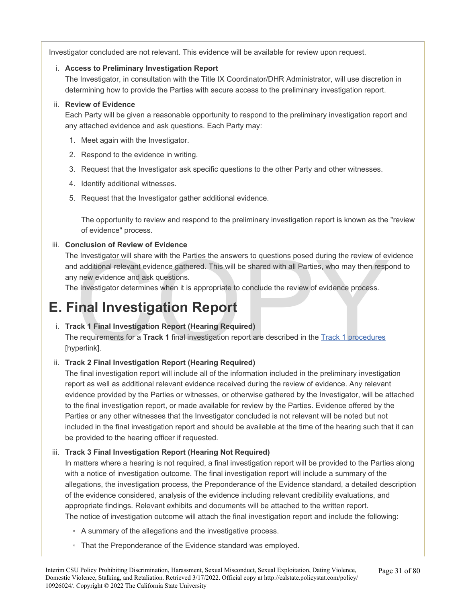Investigator concluded are not relevant. This evidence will be available for review upon request.

### i. **Access to Preliminary Investigation Report**

The Investigator, in consultation with the Title IX Coordinator/DHR Administrator, will use discretion in determining how to provide the Parties with secure access to the preliminary investigation report.

### ii. **Review of Evidence**

Each Party will be given a reasonable opportunity to respond to the preliminary investigation report and any attached evidence and ask questions. Each Party may:

- 1. Meet again with the Investigator.
- 2. Respond to the evidence in writing.
- 3. Request that the Investigator ask specific questions to the other Party and other witnesses.
- 4. Identify additional witnesses.
- 5. Request that the Investigator gather additional evidence.

The opportunity to review and respond to the preliminary investigation report is known as the "review of evidence" process.

### iii. **Conclusion of Review of Evidence**

e Investigator will share with the Parties the answers to questions posed during the review of every and additional relevant evidence gathered. This will be shared with all Parties, who may then respersion of the present p The Investigator will share with the Parties the answers to questions posed during the review of evidence and additional relevant evidence gathered. This will be shared with all Parties, who may then respond to any new evidence and ask questions.

The Investigator determines when it is appropriate to conclude the review of evidence process.

# **E. Final Investigation Report**

### i. **Track 1 Final Investigation Report (Hearing Required)**

The requirements for a **Track 1** final investigation report are described in the Track 1 procedures [hyperlink].

### ii. **Track 2 Final Investigation Report (Hearing Required)**

The final investigation report will include all of the information included in the preliminary investigation report as well as additional relevant evidence received during the review of evidence. Any relevant evidence provided by the Parties or witnesses, or otherwise gathered by the Investigator, will be attached to the final investigation report, or made available for review by the Parties. Evidence offered by the Parties or any other witnesses that the Investigator concluded is not relevant will be noted but not included in the final investigation report and should be available at the time of the hearing such that it can be provided to the hearing officer if requested.

### iii. **Track 3 Final Investigation Report (Hearing Not Required)**

In matters where a hearing is not required, a final investigation report will be provided to the Parties along with a notice of investigation outcome. The final investigation report will include a summary of the allegations, the investigation process, the Preponderance of the Evidence standard, a detailed description of the evidence considered, analysis of the evidence including relevant credibility evaluations, and appropriate findings. Relevant exhibits and documents will be attached to the written report. The notice of investigation outcome will attach the final investigation report and include the following:

- A summary of the allegations and the investigative process.
- That the Preponderance of the Evidence standard was employed.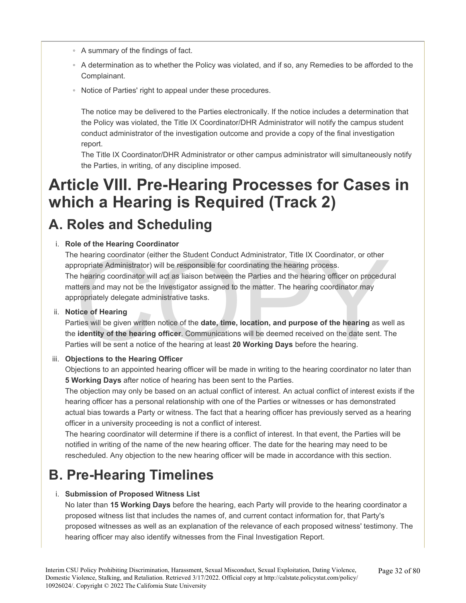- A summary of the findings of fact.
- A determination as to whether the Policy was violated, and if so, any Remedies to be afforded to the Complainant.
- Notice of Parties' right to appeal under these procedures.

The notice may be delivered to the Parties electronically. If the notice includes a determination that the Policy was violated, the Title IX Coordinator/DHR Administrator will notify the campus student conduct administrator of the investigation outcome and provide a copy of the final investigation report.

The Title IX Coordinator/DHR Administrator or other campus administrator will simultaneously notify the Parties, in writing, of any discipline imposed.

# **Article VIII. Pre-Hearing Processes for Cases in which a Hearing is Required (Track 2)**

### **A. Roles and Scheduling**

### i. **Role of the Hearing Coordinator**

e hearing coordinator (either the Student Conduct Administrator, Title IX Coordinator, or other<br>propriate Administrator) will be responsible for coordinating the hearing process.<br>e hearing coordinator will act as liaison b The hearing coordinator (either the Student Conduct Administrator, Title IX Coordinator, or other appropriate Administrator) will be responsible for coordinating the hearing process. The hearing coordinator will act as liaison between the Parties and the hearing officer on procedural matters and may not be the Investigator assigned to the matter. The hearing coordinator may appropriately delegate administrative tasks.

### ii. **Notice of Hearing**

Parties will be given written notice of the **date, time, location, and purpose of the hearing** as well as the **identity of the hearing officer**. Communications will be deemed received on the date sent. The Parties will be sent a notice of the hearing at least **20 Working Days** before the hearing.

### iii. **Objections to the Hearing Officer**

Objections to an appointed hearing officer will be made in writing to the hearing coordinator no later than **5 Working Days** after notice of hearing has been sent to the Parties.

The objection may only be based on an actual conflict of interest. An actual conflict of interest exists if the hearing officer has a personal relationship with one of the Parties or witnesses or has demonstrated actual bias towards a Party or witness. The fact that a hearing officer has previously served as a hearing officer in a university proceeding is not a conflict of interest.

The hearing coordinator will determine if there is a conflict of interest. In that event, the Parties will be notified in writing of the name of the new hearing officer. The date for the hearing may need to be rescheduled. Any objection to the new hearing officer will be made in accordance with this section.

### **B. Pre-Hearing Timelines**

### i. **Submission of Proposed Witness List**

No later than **15 Working Days** before the hearing, each Party will provide to the hearing coordinator a proposed witness list that includes the names of, and current contact information for, that Party's proposed witnesses as well as an explanation of the relevance of each proposed witness' testimony. The hearing officer may also identify witnesses from the Final Investigation Report.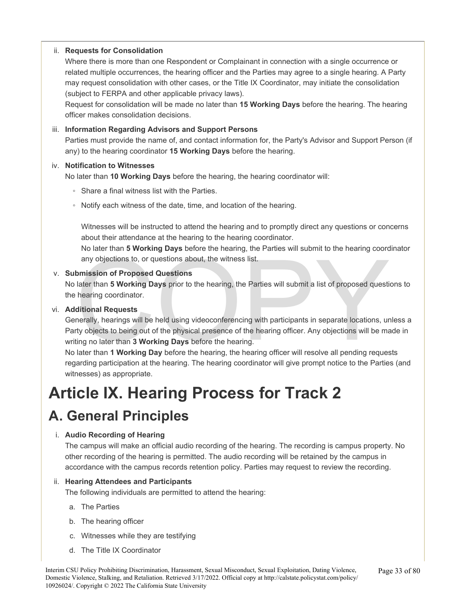### ii. **Requests for Consolidation**

Where there is more than one Respondent or Complainant in connection with a single occurrence or related multiple occurrences, the hearing officer and the Parties may agree to a single hearing. A Party may request consolidation with other cases, or the Title IX Coordinator, may initiate the consolidation (subject to FERPA and other applicable privacy laws).

Request for consolidation will be made no later than **15 Working Days** before the hearing. The hearing officer makes consolidation decisions.

### iii. **Information Regarding Advisors and Support Persons**

Parties must provide the name of, and contact information for, the Party's Advisor and Support Person (if any) to the hearing coordinator **15 Working Days** before the hearing.

### iv. **Notification to Witnesses**

No later than **10 Working Days** before the hearing, the hearing coordinator will:

- Share a final witness list with the Parties.
- Notify each witness of the date, time, and location of the hearing.

Witnesses will be instructed to attend the hearing and to promptly direct any questions or concerns about their attendance at the hearing to the hearing coordinator.

No later than **5 Working Days** before the hearing, the Parties will submit to the hearing coordinator any objections to, or questions about, the witness list.

### v. **Submission of Proposed Questions**

No later than **5 Working Days** prior to the hearing, the Parties will submit a list of proposed questions to the hearing coordinator.

### vi. **Additional Requests**

The function of Proposed Questions<br>any objections to, or questions about, the witness list.<br>bimission of Proposed Questions<br>later than 5 Working Days prior to the hearing, the Parties will submit a list of proposed questi<br> Generally, hearings will be held using videoconferencing with participants in separate locations, unless a Party objects to being out of the physical presence of the hearing officer. Any objections will be made in writing no later than **3 Working Days** before the hearing.

No later than **1 Working Day** before the hearing, the hearing officer will resolve all pending requests regarding participation at the hearing. The hearing coordinator will give prompt notice to the Parties (and witnesses) as appropriate.

# **Article IX. Hearing Process for Track 2**

### **A. General Principles**

### i. **Audio Recording of Hearing**

The campus will make an official audio recording of the hearing. The recording is campus property. No other recording of the hearing is permitted. The audio recording will be retained by the campus in accordance with the campus records retention policy. Parties may request to review the recording.

### ii. **Hearing Attendees and Participants**

The following individuals are permitted to attend the hearing:

- a. The Parties
- b. The hearing officer
- c. Witnesses while they are testifying
- d. The Title IX Coordinator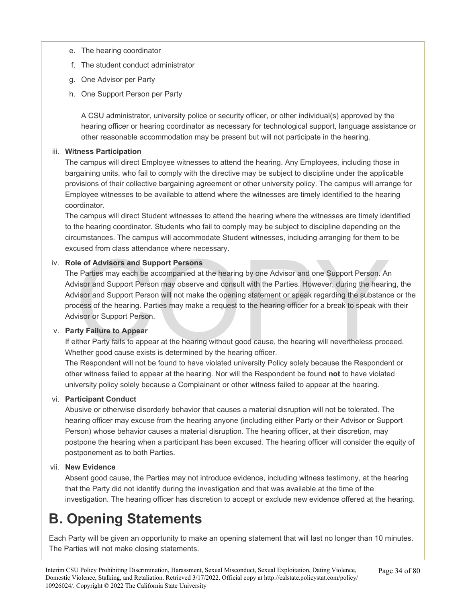- e. The hearing coordinator
- f. The student conduct administrator
- g. One Advisor per Party
- h. One Support Person per Party

A CSU administrator, university police or security officer, or other individual(s) approved by the hearing officer or hearing coordinator as necessary for technological support, language assistance or other reasonable accommodation may be present but will not participate in the hearing.

### iii. **Witness Participation**

The campus will direct Employee witnesses to attend the hearing. Any Employees, including those in bargaining units, who fail to comply with the directive may be subject to discipline under the applicable provisions of their collective bargaining agreement or other university policy. The campus will arrange for Employee witnesses to be available to attend where the witnesses are timely identified to the hearing coordinator.

The campus will direct Student witnesses to attend the hearing where the witnesses are timely identified to the hearing coordinator. Students who fail to comply may be subject to discipline depending on the circumstances. The campus will accommodate Student witnesses, including arranging for them to be excused from class attendance where necessary.

### iv. **Role of Advisors and Support Persons**

le of Advisors and Support Persons<br>Parties may each be accompanied at the hearing by one Advisor and one Support Person. An<br>visor and Support Person may observe and consult with the Parties. However, during the hearin<br>viso The Parties may each be accompanied at the hearing by one Advisor and one Support Person. An Advisor and Support Person may observe and consult with the Parties. However, during the hearing, the Advisor and Support Person will not make the opening statement or speak regarding the substance or the process of the hearing. Parties may make a request to the hearing officer for a break to speak with their Advisor or Support Person.

### v. **Party Failure to Appear**

If either Party fails to appear at the hearing without good cause, the hearing will nevertheless proceed. Whether good cause exists is determined by the hearing officer.

The Respondent will not be found to have violated university Policy solely because the Respondent or other witness failed to appear at the hearing. Nor will the Respondent be found **not** to have violated university policy solely because a Complainant or other witness failed to appear at the hearing.

### vi. **Participant Conduct**

Abusive or otherwise disorderly behavior that causes a material disruption will not be tolerated. The hearing officer may excuse from the hearing anyone (including either Party or their Advisor or Support Person) whose behavior causes a material disruption. The hearing officer, at their discretion, may postpone the hearing when a participant has been excused. The hearing officer will consider the equity of postponement as to both Parties.

### vii. **New Evidence**

Absent good cause, the Parties may not introduce evidence, including witness testimony, at the hearing that the Party did not identify during the investigation and that was available at the time of the investigation. The hearing officer has discretion to accept or exclude new evidence offered at the hearing.

# **B. Opening Statements**

Each Party will be given an opportunity to make an opening statement that will last no longer than 10 minutes. The Parties will not make closing statements.

Interim CSU Policy Prohibiting Discrimination, Harassment, Sexual Misconduct, Sexual Exploitation, Dating Violence, Domestic Violence, Stalking, and Retaliation. Retrieved 3/17/2022. Official copy at http://calstate.policystat.com/policy/ 10926024/. Copyright © 2022 The California State University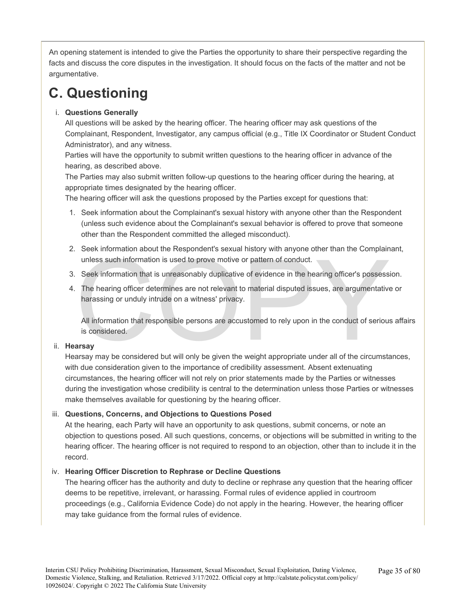An opening statement is intended to give the Parties the opportunity to share their perspective regarding the facts and discuss the core disputes in the investigation. It should focus on the facts of the matter and not be argumentative.

# **C. Questioning**

### i. **Questions Generally**

All questions will be asked by the hearing officer. The hearing officer may ask questions of the Complainant, Respondent, Investigator, any campus official (e.g., Title IX Coordinator or Student Conduct Administrator), and any witness.

Parties will have the opportunity to submit written questions to the hearing officer in advance of the hearing, as described above.

The Parties may also submit written follow-up questions to the hearing officer during the hearing, at appropriate times designated by the hearing officer.

The hearing officer will ask the questions proposed by the Parties except for questions that:

- 1. Seek information about the Complainant's sexual history with anyone other than the Respondent (unless such evidence about the Complainant's sexual behavior is offered to prove that someone other than the Respondent committed the alleged misconduct).
- 2. Seek information about the Respondent's sexual history with anyone other than the Complainant, unless such information is used to prove motive or pattern of conduct.
- 3. Seek information that is unreasonably duplicative of evidence in the hearing officer's possession.
- The minimizary about the responsents sexual mistory with anyone officer than the complaint<br>unless such information is used to prove motive or pattern of conduct.<br>Seek information that is unreasonably duplicative of evidenc 4. The hearing officer determines are not relevant to material disputed issues, are argumentative or harassing or unduly intrude on a witness' privacy.

All information that responsible persons are accustomed to rely upon in the conduct of serious affairs is considered.

### ii. **Hearsay**

Hearsay may be considered but will only be given the weight appropriate under all of the circumstances, with due consideration given to the importance of credibility assessment. Absent extenuating circumstances, the hearing officer will not rely on prior statements made by the Parties or witnesses during the investigation whose credibility is central to the determination unless those Parties or witnesses make themselves available for questioning by the hearing officer.

### iii. **Questions, Concerns, and Objections to Questions Posed**

At the hearing, each Party will have an opportunity to ask questions, submit concerns, or note an objection to questions posed. All such questions, concerns, or objections will be submitted in writing to the hearing officer. The hearing officer is not required to respond to an objection, other than to include it in the record.

### iv. **Hearing Officer Discretion to Rephrase or Decline Questions**

The hearing officer has the authority and duty to decline or rephrase any question that the hearing officer deems to be repetitive, irrelevant, or harassing. Formal rules of evidence applied in courtroom proceedings (e.g., California Evidence Code) do not apply in the hearing. However, the hearing officer may take guidance from the formal rules of evidence.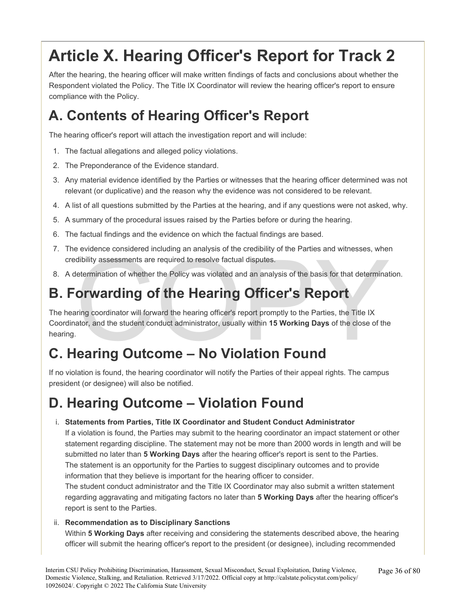# **Article X. Hearing Officer's Report for Track 2**

After the hearing, the hearing officer will make written findings of facts and conclusions about whether the Respondent violated the Policy. The Title IX Coordinator will review the hearing officer's report to ensure compliance with the Policy.

# **A. Contents of Hearing Officer's Report**

The hearing officer's report will attach the investigation report and will include:

- 1. The factual allegations and alleged policy violations.
- 2. The Preponderance of the Evidence standard.
- 3. Any material evidence identified by the Parties or witnesses that the hearing officer determined was not relevant (or duplicative) and the reason why the evidence was not considered to be relevant.
- 4. A list of all questions submitted by the Parties at the hearing, and if any questions were not asked, why.
- 5. A summary of the procedural issues raised by the Parties before or during the hearing.
- 6. The factual findings and the evidence on which the factual findings are based.
- 7. The evidence considered including an analysis of the credibility of the Parties and witnesses, when credibility assessments are required to resolve factual disputes.
- 8. A determination of whether the Policy was violated and an analysis of the basis for that determination.

# **B. Forwarding of the Hearing Officer's Report**

dibility assessments are required to resolve factual disputes.<br>Interferentiation of whether the Policy was violated and an analysis of the basis for that determination of whether the Policy was violated and an analysis of The hearing coordinator will forward the hearing officer's report promptly to the Parties, the Title IX Coordinator, and the student conduct administrator, usually within **15 Working Days** of the close of the hearing.

# **C. Hearing Outcome – No Violation Found**

If no violation is found, the hearing coordinator will notify the Parties of their appeal rights. The campus president (or designee) will also be notified.

# **D. Hearing Outcome – Violation Found**

### i. **Statements from Parties, Title IX Coordinator and Student Conduct Administrator**

If a violation is found, the Parties may submit to the hearing coordinator an impact statement or other statement regarding discipline. The statement may not be more than 2000 words in length and will be submitted no later than **5 Working Days** after the hearing officer's report is sent to the Parties. The statement is an opportunity for the Parties to suggest disciplinary outcomes and to provide information that they believe is important for the hearing officer to consider.

The student conduct administrator and the Title IX Coordinator may also submit a written statement regarding aggravating and mitigating factors no later than **5 Working Days** after the hearing officer's report is sent to the Parties.

### ii. **Recommendation as to Disciplinary Sanctions**

Within **5 Working Days** after receiving and considering the statements described above, the hearing officer will submit the hearing officer's report to the president (or designee), including recommended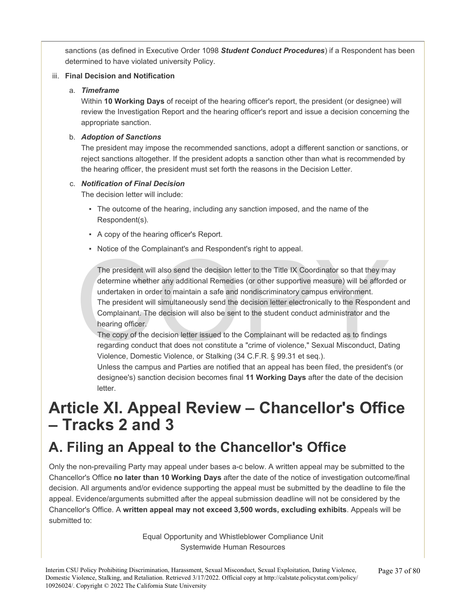sanctions (as defined in Executive Order 1098 *Student Conduct Procedures*) if a Respondent has been determined to have violated university Policy.

### iii. **Final Decision and Notification**

### a. *Timeframe*

Within **10 Working Days** of receipt of the hearing officer's report, the president (or designee) will review the Investigation Report and the hearing officer's report and issue a decision concerning the appropriate sanction.

### b. *Adoption of Sanctions*

The president may impose the recommended sanctions, adopt a different sanction or sanctions, or reject sanctions altogether. If the president adopts a sanction other than what is recommended by the hearing officer, the president must set forth the reasons in the Decision Letter.

### c. *Notification of Final Decision*

The decision letter will include:

- The outcome of the hearing, including any sanction imposed, and the name of the Respondent(s).
- A copy of the hearing officer's Report.
- Notice of the Complainant's and Respondent's right to appeal.

The president will also send the decision letter to the Title IX Coordinator so that they may determine whether any additional Remedies (or other supportive measure) will be afford undertaken in order to maintain a safe an The president will also send the decision letter to the Title IX Coordinator so that they may determine whether any additional Remedies (or other supportive measure) will be afforded or undertaken in order to maintain a safe and nondiscriminatory campus environment. The president will simultaneously send the decision letter electronically to the Respondent and Complainant. The decision will also be sent to the student conduct administrator and the hearing officer.

The copy of the decision letter issued to the Complainant will be redacted as to findings regarding conduct that does not constitute a "crime of violence," Sexual Misconduct, Dating Violence, Domestic Violence, or Stalking (34 C.F.R. § 99.31 et seq.).

Unless the campus and Parties are notified that an appeal has been filed, the president's (or designee's) sanction decision becomes final **11 Working Days** after the date of the decision letter.

# **Article XI. Appeal Review – Chancellor's Office – Tracks 2 and 3**

# **A. Filing an Appeal to the Chancellor's Office**

Only the non-prevailing Party may appeal under bases a-c below. A written appeal may be submitted to the Chancellor's Office **no later than 10 Working Days** after the date of the notice of investigation outcome/final decision. All arguments and/or evidence supporting the appeal must be submitted by the deadline to file the appeal. Evidence/arguments submitted after the appeal submission deadline will not be considered by the Chancellor's Office. A **written appeal may not exceed 3,500 words, excluding exhibits**. Appeals will be submitted to:

> Equal Opportunity and Whistleblower Compliance Unit Systemwide Human Resources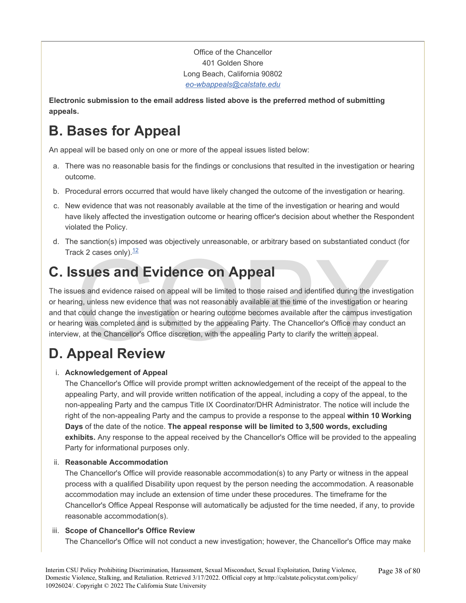Office of the Chancellor 401 Golden Shore Long Beach, California 90802 *[eo-wbappeals@calstate.edu](mailto:eo-wbappeals@calstate.edu)* 

**Electronic submission to the email address listed above is the preferred method of submitting appeals.** 

# **B. Bases for Appeal**

An appeal will be based only on one or more of the appeal issues listed below:

- a. There was no reasonable basis for the findings or conclusions that resulted in the investigation or hearing outcome.
- b. Procedural errors occurred that would have likely changed the outcome of the investigation or hearing.
- c. New evidence that was not reasonably available at the time of the investigation or hearing and would have likely affected the investigation outcome or hearing officer's decision about whether the Respondent violated the Policy.
- d. The sanction(s) imposed was objectively unreasonable, or arbitrary based on substantiated conduct (for Track 2 cases only). $12$

### **C. Issues and Evidence on Appeal**

Ick 2 cases only).<sup>12</sup><br>
SSUES and Evidence on Appeal<br>
Jues and evidence raised on appeal will be limited to those raised and identified during the invest<br>
In the same evidence that was not reasonably available at the time The issues and evidence raised on appeal will be limited to those raised and identified during the investigation or hearing, unless new evidence that was not reasonably available at the time of the investigation or hearing and that could change the investigation or hearing outcome becomes available after the campus investigation or hearing was completed and is submitted by the appealing Party. The Chancellor's Office may conduct an interview, at the Chancellor's Office discretion, with the appealing Party to clarify the written appeal.

# **D. Appeal Review**

### i. **Acknowledgement of Appeal**

The Chancellor's Office will provide prompt written acknowledgement of the receipt of the appeal to the appealing Party, and will provide written notification of the appeal, including a copy of the appeal, to the non-appealing Party and the campus Title IX Coordinator/DHR Administrator. The notice will include the right of the non-appealing Party and the campus to provide a response to the appeal **within 10 Working Days** of the date of the notice. **The appeal response will be limited to 3,500 words, excluding exhibits.** Any response to the appeal received by the Chancellor's Office will be provided to the appealing Party for informational purposes only.

### ii. **Reasonable Accommodation**

The Chancellor's Office will provide reasonable accommodation(s) to any Party or witness in the appeal process with a qualified Disability upon request by the person needing the accommodation. A reasonable accommodation may include an extension of time under these procedures. The timeframe for the Chancellor's Office Appeal Response will automatically be adjusted for the time needed, if any, to provide reasonable accommodation(s).

### iii. **Scope of Chancellor's Office Review**

The Chancellor's Office will not conduct a new investigation; however, the Chancellor's Office may make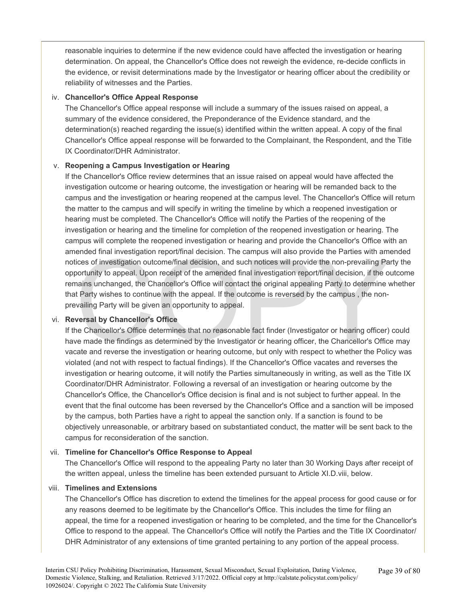reasonable inquiries to determine if the new evidence could have affected the investigation or hearing determination. On appeal, the Chancellor's Office does not reweigh the evidence, re-decide conflicts in the evidence, or revisit determinations made by the Investigator or hearing officer about the credibility or reliability of witnesses and the Parties.

#### iv. **Chancellor's Office Appeal Response**

The Chancellor's Office appeal response will include a summary of the issues raised on appeal, a summary of the evidence considered, the Preponderance of the Evidence standard, and the determination(s) reached regarding the issue(s) identified within the written appeal. A copy of the final Chancellor's Office appeal response will be forwarded to the Complainant, the Respondent, and the Title IX Coordinator/DHR Administrator.

#### v. **Reopening a Campus Investigation or Hearing**

ended final investigation report/final decision. The campus will also provide the Parties with am<br>ices of investigation outcome/final decision, and such notices will provide the non-prevailing Pa<br>oortunity to appeal. Upon If the Chancellor's Office review determines that an issue raised on appeal would have affected the investigation outcome or hearing outcome, the investigation or hearing will be remanded back to the campus and the investigation or hearing reopened at the campus level. The Chancellor's Office will return the matter to the campus and will specify in writing the timeline by which a reopened investigation or hearing must be completed. The Chancellor's Office will notify the Parties of the reopening of the investigation or hearing and the timeline for completion of the reopened investigation or hearing. The campus will complete the reopened investigation or hearing and provide the Chancellor's Office with an amended final investigation report/final decision. The campus will also provide the Parties with amended notices of investigation outcome/final decision, and such notices will provide the non-prevailing Party the opportunity to appeal. Upon receipt of the amended final investigation report/final decision, if the outcome remains unchanged, the Chancellor's Office will contact the original appealing Party to determine whether that Party wishes to continue with the appeal. If the outcome is reversed by the campus , the nonprevailing Party will be given an opportunity to appeal.

#### vi. **Reversal by Chancellor's Office**

If the Chancellor's Office determines that no reasonable fact finder (Investigator or hearing officer) could have made the findings as determined by the Investigator or hearing officer, the Chancellor's Office may vacate and reverse the investigation or hearing outcome, but only with respect to whether the Policy was violated (and not with respect to factual findings). If the Chancellor's Office vacates and reverses the investigation or hearing outcome, it will notify the Parties simultaneously in writing, as well as the Title IX Coordinator/DHR Administrator. Following a reversal of an investigation or hearing outcome by the Chancellor's Office, the Chancellor's Office decision is final and is not subject to further appeal. In the event that the final outcome has been reversed by the Chancellor's Office and a sanction will be imposed by the campus, both Parties have a right to appeal the sanction only. If a sanction is found to be objectively unreasonable, or arbitrary based on substantiated conduct, the matter will be sent back to the campus for reconsideration of the sanction.

#### vii. **Timeline for Chancellor's Office Response to Appeal**

The Chancellor's Office will respond to the appealing Party no later than 30 Working Days after receipt of the written appeal, unless the timeline has been extended pursuant to Article XI.D.viii, below.

#### viii. **Timelines and Extensions**

The Chancellor's Office has discretion to extend the timelines for the appeal process for good cause or for any reasons deemed to be legitimate by the Chancellor's Office. This includes the time for filing an appeal, the time for a reopened investigation or hearing to be completed, and the time for the Chancellor's Office to respond to the appeal. The Chancellor's Office will notify the Parties and the Title IX Coordinator/ DHR Administrator of any extensions of time granted pertaining to any portion of the appeal process.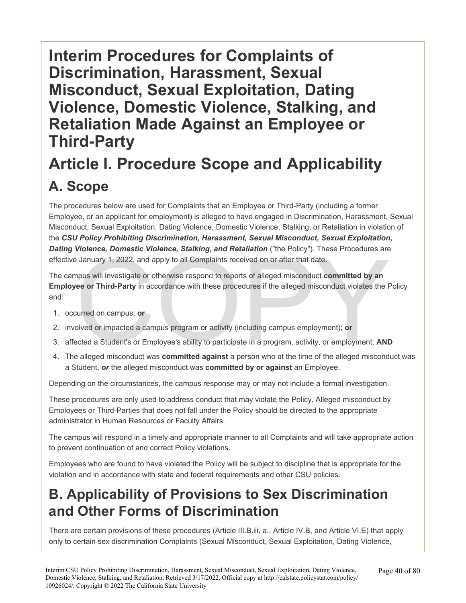# **Interim Procedures for Complaints of Discrimination, Harassment, Sexual Misconduct, Sexual Exploitation, Dating Violence, Domestic Violence, Stalking, and Retaliation Made Against an Employee or Third-Party**

# **Article I. Procedure Scope and Applicability A. Scope**

The procedures below are used for Complaints that an Employee or Third-Party (including a former Employee, or an applicant for employment) is alleged to have engaged in Discrimination, Harassment, Sexual Misconduct, Sexual Exploitation, Dating Violence, Domestic Violence, Stalking, or Retaliation in violation of the *CSU Policy Prohibiting Discrimination, Harassment, Sexual Misconduct, Sexual Exploitation, Dating Violence, Domestic Violence, Stalking, and Retaliation* ("the Policy"). These Procedures are effective January 1, 2022, and apply to all Complaints received on or after that date.

Burnary 1, 2022, and apply to all Complaints received on or after that date.<br>
These Procedures are January 1, 2022, and apply to all Complaints received on or after that date.<br>
Impus will investigate or otherwise respond t The campus will investigate or otherwise respond to reports of alleged misconduct **committed by an Employee or Third-Party** in accordance with these procedures if the alleged misconduct violates the Policy and:

- 1. occurred on campus; **or**
- 2. involved or impacted a campus program or activity (including campus employment); **or**
- 3. affected a Student's or Employee's ability to participate in a program, activity, or employment; **AND**
- 4. The alleged misconduct was **committed against** a person who at the time of the alleged misconduct was a Student, *or* the alleged misconduct was **committed by or against** an Employee.

Depending on the circumstances, the campus response may or may not include a formal investigation.

These procedures are only used to address conduct that may violate the Policy. Alleged misconduct by Employees or Third-Parties that does not fall under the Policy should be directed to the appropriate administrator in Human Resources or Faculty Affairs.

The campus will respond in a timely and appropriate manner to all Complaints and will take appropriate action to prevent continuation of and correct Policy violations.

Employees who are found to have violated the Policy will be subject to discipline that is appropriate for the violation and in accordance with state and federal requirements and other CSU policies.

### **B. Applicability of Provisions to Sex Discrimination and Other Forms of Discrimination**

There are certain provisions of these procedures (Article III.B.iii. a., Article IV.B, and Article VI.E) that apply only to certain sex discrimination Complaints (Sexual Misconduct, Sexual Exploitation, Dating Violence,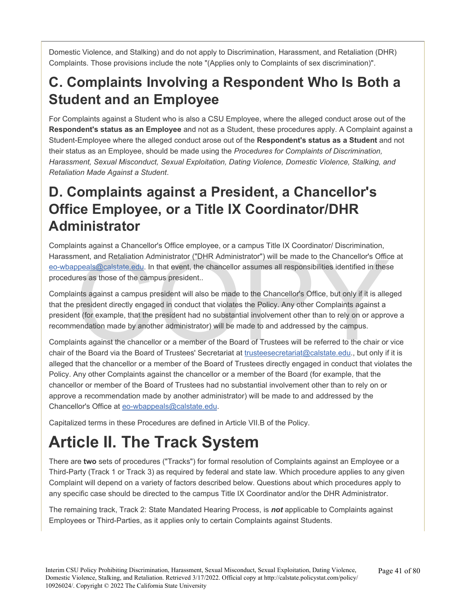Domestic Violence, and Stalking) and do not apply to Discrimination, Harassment, and Retaliation (DHR) Complaints. Those provisions include the note "(Applies only to Complaints of sex discrimination)".

### **C. Complaints Involving a Respondent Who Is Both a Student and an Employee**

For Complaints against a Student who is also a CSU Employee, where the alleged conduct arose out of the **Respondent's status as an Employee** and not as a Student, these procedures apply. A Complaint against a Student-Employee where the alleged conduct arose out of the **Respondent's status as a Student** and not their status as an Employee, should be made using the *Procedures for Complaints of Discrimination, Harassment, Sexual Misconduct, Sexual Exploitation, Dating Violence, Domestic Violence, Stalking, and Retaliation Made Against a Student*.

### **D. Complaints against a President, a Chancellor's Office Employee, or a Title IX Coordinator/DHR Administrator**

Complaints against a Chancellor's Office employee, or a campus Title IX Coordinator/ Discrimination, Harassment, and Retaliation Administrator ("DHR Administrator") will be made to the Chancellor's Office at [eo-wbappeals@calstate.e](mailto:eo-wbappeals@calstate.edu)du. In that event, the chancellor assumes all responsibilities identified in these procedures as those of the campus president..

ment, and Retaliation Administrator ("DHR Administrator") will be made to the [C](mailto:eo-wbappeals@calstate.edu)hancellor's Offic<br>opeals@calstate.edu. In that event, the chancellor assumes all responsibilities identified in thes<br>ires as those of the campu Complaints against a campus president will also be made to the Chancellor's Office, but only if it is alleged that the president directly engaged in conduct that violates the Policy. Any other Complaints against a president (for example, that the president had no substantial involvement other than to rely on or approve a recommendation made by another administrator) will be made to and addressed by the campus.

Complaints against the chancellor or a member of the Board of Trustees will be referred to the chair or vice chair of the Board via the Board of Trustees' Secretariat at trusteesecretariat@calstate.edu., but only if it is alleged that the chancellor or a member of the Board of Trustees directly engaged in conduct that violates the Policy. Any other Complaints against the chancellor or a member of the Board (for example, that the chancellor or member of the Board of Trustees had no substantial involvement other than to rely on or approve a recommendation made by another administrator) will be made to and addressed by the Chancellor's Office at [eo-wbappeals@calstate.edu](mailto:eo-wbappeals@calstate.edu).

Capitalized terms in these Procedures are defined in Article VII.B of the Policy.

# **Article II. The Track System**

There are **two** sets of procedures ("Tracks") for formal resolution of Complaints against an Employee or a Third-Party (Track 1 or Track 3) as required by federal and state law. Which procedure applies to any given Complaint will depend on a variety of factors described below. Questions about which procedures apply to any specific case should be directed to the campus Title IX Coordinator and/or the DHR Administrator.

The remaining track, Track 2: State Mandated Hearing Process, is *not* applicable to Complaints against Employees or Third-Parties, as it applies only to certain Complaints against Students.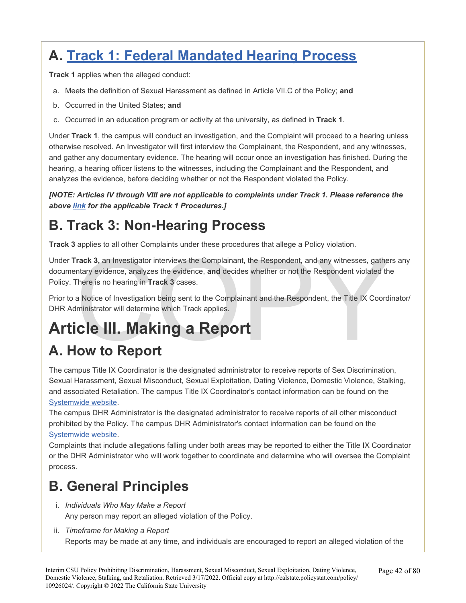# **A. [Track 1: Federal Mandated Hearing Process](#page-56-0)**

**Track 1** applies when the alleged conduct:

- a. Meets the definition of Sexual Harassment as defined in Article VII.C of the Policy; **and**
- b. Occurred in the United States; **and**
- c. Occurred in an education program or activity at the university, as defined in **Track 1**.

Under **Track 1**, the campus will conduct an investigation, and the Complaint will proceed to a hearing unless otherwise resolved. An Investigator will first interview the Complainant, the Respondent, and any witnesses, and gather any documentary evidence. The hearing will occur once an investigation has finished. During the hearing, a hearing officer listens to the witnesses, including the Complainant and the Respondent, and analyzes the evidence, before deciding whether or not the Respondent violated the Policy.

*[NOTE: Articles IV through VIII are not applicable to complaints under Track 1. Please reference the above [link](#page-56-0) for the applicable Track 1 Procedures.]* 

### **B. Track 3: Non-Hearing Process**

**Track 3** applies to all other Complaints under these procedures that allege a Policy violation.

Frack 3, an Investigator interviews the Complainant, the Respondent, and any witnesses, gather that the secondence, analyzes the evidence, and decides whether or not the Respondent violated there is no hearing in Track 3 c Under **Track 3,** an Investigator interviews the Complainant, the Respondent, and any witnesses, gathers any documentary evidence, analyzes the evidence, **and** decides whether or not the Respondent violated the Policy. There is no hearing in **Track 3** cases.

Prior to a Notice of Investigation being sent to the Complainant and the Respondent, the Title IX Coordinator/ DHR Administrator will determine which Track applies.

# **Article III. Making a Report**

# **A. How to Report**

The campus Title IX Coordinator is the designated administrator to receive reports of Sex Discrimination, Sexual Harassment, Sexual Misconduct, Sexual Exploitation, Dating Violence, Domestic Violence, Stalking, and associated Retaliation. The campus Title IX Coordinator's contact information can be found on the [Systemwide](https://www.calstate.edu/titleix/Pages/title-ix-coordinators.aspx) [website.](https://www.calstate.edu/titleix/Pages/title-ix-coordinators.aspx)

The campus DHR Administrator is the designated administrator to receive reports of all other misconduct prohibited by the Policy. The campus DHR Administrator's contact information can be found on the [Systemwide website.](https://www.calstate.edu/titleix/Pages/DHR-Administrators.aspx)

Complaints that include allegations falling under both areas may be reported to either the Title IX Coordinator or the DHR Administrator who will work together to coordinate and determine who will oversee the Complaint process.

### **B. General Principles**

- i. *Individuals Who May Make a Report*  Any person may report an alleged violation of the Policy.
- ii. *Timeframe for Making a Report*

Reports may be made at any time, and individuals are encouraged to report an alleged violation of the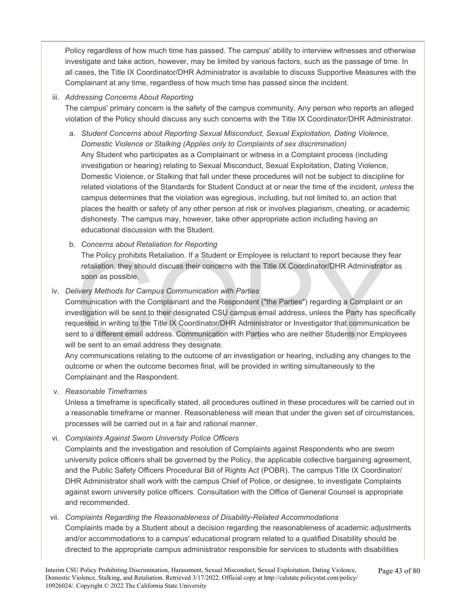Policy regardless of how much time has passed. The campus' ability to interview witnesses and otherwise investigate and take action, however, may be limited by various factors, such as the passage of time. In all cases, the Title IX Coordinator/DHR Administrator is available to discuss Supportive Measures with the Complainant at any time, regardless of how much time has passed since the incident.

### iii. *Addressing Concerns About Reporting*

The campus' primary concern is the safety of the campus community. Any person who reports an alleged violation of the Policy should discuss any such concerns with the Title IX Coordinator/DHR Administrator.

- a. *Student Concerns about Reporting Sexual Misconduct, Sexual Exploitation, Dating Violence, Domestic Violence or Stalking (Applies only to Complaints of sex discrimination)*  Any Student who participates as a Complainant or witness in a Complaint process (including investigation or hearing) relating to Sexual Misconduct, Sexual Exploitation, Dating Violence, Domestic Violence, or Stalking that fall under these procedures will not be subject to discipline for related violations of the Standards for Student Conduct at or near the time of the incident, *unless* the campus determines that the violation was egregious, including, but not limited to, an action that places the health or safety of any other person at risk or involves plagiarism, cheating, or academic dishonesty. The campus may, however, take other appropriate action including having an educational discussion with the Student.
- b. *Concerns about Retaliation for Reporting*

The Policy prohibits Retaliation. If a Student or Employee is reluctant to report because they fear retaliation, they should discuss their concerns with the Title IX Coordinator/DHR Administrator as soon as possible.

### iv. *Delivery Methods for Campus Communication with Parties*

The Policy prohibits Retaliation. If a Student or Employee is reluctant to report because they retaliation, they should discuss their concerns with the Title IX Coordinator/DHR Administrato<br>soon as possible.<br>livery Methods Communication with the Complainant and the Respondent ("the Parties") regarding a Complaint or an investigation will be sent to their designated CSU campus email address, unless the Party has specifically requested in writing to the Title IX Coordinator/DHR Administrator or Investigator that communication be sent to a different email address. Communication with Parties who are neither Students nor Employees will be sent to an email address they designate.

Any communications relating to the outcome of an investigation or hearing, including any changes to the outcome or when the outcome becomes final, will be provided in writing simultaneously to the Complainant and the Respondent.

#### v. *Reasonable Timeframes*

Unless a timeframe is specifically stated, all procedures outlined in these procedures will be carried out in a reasonable timeframe or manner. Reasonableness will mean that under the given set of circumstances, processes will be carried out in a fair and rational manner.

vi. *Complaints Against Sworn University Police Officers* 

Complaints and the investigation and resolution of Complaints against Respondents who are sworn university police officers shall be governed by the Policy, the applicable collective bargaining agreement, and the Public Safety Officers Procedural Bill of Rights Act (POBR). The campus Title IX Coordinator/ DHR Administrator shall work with the campus Chief of Police, or designee, to investigate Complaints against sworn university police officers. Consultation with the Office of General Counsel is appropriate and recommended.

#### vii. *Complaints Regarding the Reasonableness of Disability-Related Accommodations*

Complaints made by a Student about a decision regarding the reasonableness of academic adjustments and/or accommodations to a campus' educational program related to a qualified Disability should be directed to the appropriate campus administrator responsible for services to students with disabilities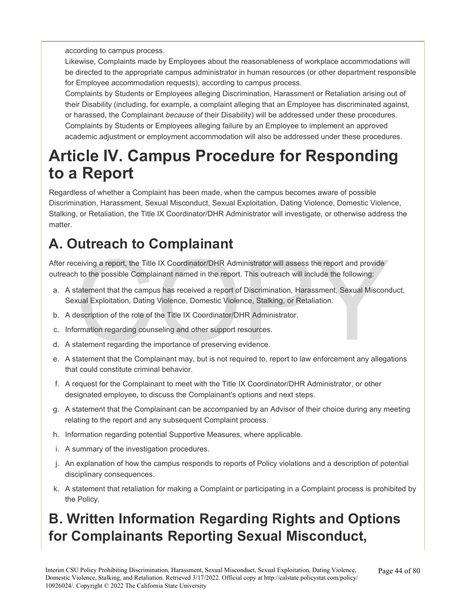according to campus process.

Likewise, Complaints made by Employees about the reasonableness of workplace accommodations will be directed to the appropriate campus administrator in human resources (or other department responsible for Employee accommodation requests), according to campus process.

Complaints by Students or Employees alleging Discrimination, Harassment or Retaliation arising out of their Disability (including, for example, a complaint alleging that an Employee has discriminated against, or harassed, the Complainant *because of* their Disability) will be addressed under these procedures. Complaints by Students or Employees alleging failure by an Employee to implement an approved academic adjustment or employment accommodation will also be addressed under these procedures.

# **Article IV. Campus Procedure for Responding to a Report**

Regardless of whether a Complaint has been made, when the campus becomes aware of possible Discrimination, Harassment, Sexual Misconduct, Sexual Exploitation, Dating Violence, Domestic Violence, Stalking, or Retaliation, the Title IX Coordinator/DHR Administrator will investigate, or otherwise address the matter.

# **A. Outreach to Complainant**

After receiving a report, the Title IX Coordinator/DHR Administrator will assess the report and provide outreach to the possible Complainant named in the report. This outreach will include the following:

- The Title IX Coordinator/DHR Administrator will assess the report and provide<br>at to the possible Complainant named in the report. This outreach will include the following:<br>tatement that the campus has received a report of a. A statement that the campus has received a report of Discrimination, Harassment, Sexual Misconduct, Sexual Exploitation, Dating Violence, Domestic Violence, Stalking, or Retaliation.
- b. A description of the role of the Title IX Coordinator/DHR Administrator.
- c. Information regarding counseling and other support resources.
- d. A statement regarding the importance of preserving evidence.
- e. A statement that the Complainant may, but is not required to, report to law enforcement any allegations that could constitute criminal behavior.
- f. A request for the Complainant to meet with the Title IX Coordinator/DHR Administrator, or other designated employee, to discuss the Complainant's options and next steps.
- g. A statement that the Complainant can be accompanied by an Advisor of their choice during any meeting relating to the report and any subsequent Complaint process.
- h. Information regarding potential Supportive Measures, where applicable.
- i. A summary of the investigation procedures.
- j. An explanation of how the campus responds to reports of Policy violations and a description of potential disciplinary consequences.
- k. A statement that retaliation for making a Complaint or participating in a Complaint process is prohibited by the Policy.

# **B. Written Information Regarding Rights and Options for Complainants Reporting Sexual Misconduct,**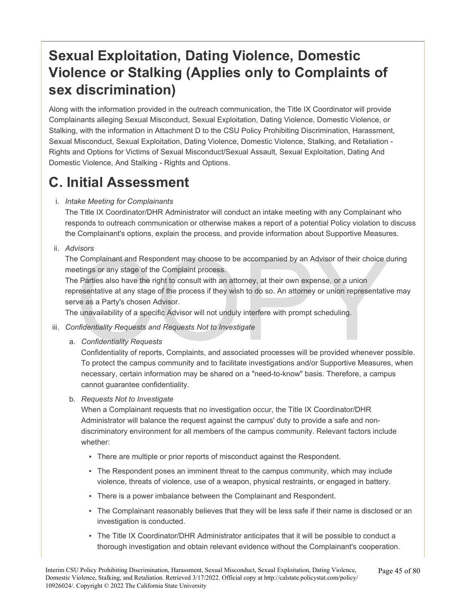### **Sexual Exploitation, Dating Violence, Domestic Violence or Stalking (Applies only to Complaints of sex discrimination)**

Along with the information provided in the outreach communication, the Title IX Coordinator will provide Complainants alleging Sexual Misconduct, Sexual Exploitation, Dating Violence, Domestic Violence, or Stalking, with the information in Attachment D to the CSU Policy Prohibiting Discrimination, Harassment, Sexual Misconduct, Sexual Exploitation, Dating Violence, Domestic Violence, Stalking, and Retaliation - Rights and Options for Victims of Sexual Misconduct/Sexual Assault, Sexual Exploitation, Dating And Domestic Violence, And Stalking - Rights and Options.

### **C. Initial Assessment**

i. *Intake Meeting for Complainants* 

The Title IX Coordinator/DHR Administrator will conduct an intake meeting with any Complainant who responds to outreach communication or otherwise makes a report of a potential Policy violation to discuss the Complainant's options, explain the process, and provide information about Supportive Measures.

ii. *Advisors* 

The Complainant and Respondent may choose to be accompanied by an Advisor of their choice during meetings or any stage of the Complaint process.

Brownloader Complainant and Respondent may choose to be accompanied by an Advisor of their choice detings or any stage of the Complaint process.<br>
Parties also have the right to consult with an attorney, at their own expens The Parties also have the right to consult with an attorney, at their own expense, or a union representative at any stage of the process if they wish to do so. An attorney or union representative may serve as a Party's chosen Advisor.

The unavailability of a specific Advisor will not unduly interfere with prompt scheduling.

- iii. *Confidentiality Requests and Requests Not to Investigate* 
	- a. *Confidentiality Requests*

Confidentiality of reports, Complaints, and associated processes will be provided whenever possible. To protect the campus community and to facilitate investigations and/or Supportive Measures, when necessary, certain information may be shared on a "need-to-know" basis. Therefore, a campus cannot guarantee confidentiality.

b. *Requests Not to Investigate* 

When a Complainant requests that no investigation occur, the Title IX Coordinator/DHR Administrator will balance the request against the campus' duty to provide a safe and nondiscriminatory environment for all members of the campus community. Relevant factors include whether:

- There are multiple or prior reports of misconduct against the Respondent.
- The Respondent poses an imminent threat to the campus community, which may include violence, threats of violence, use of a weapon, physical restraints, or engaged in battery.
- There is a power imbalance between the Complainant and Respondent.
- The Complainant reasonably believes that they will be less safe if their name is disclosed or an investigation is conducted.
- The Title IX Coordinator/DHR Administrator anticipates that it will be possible to conduct a thorough investigation and obtain relevant evidence without the Complainant's cooperation.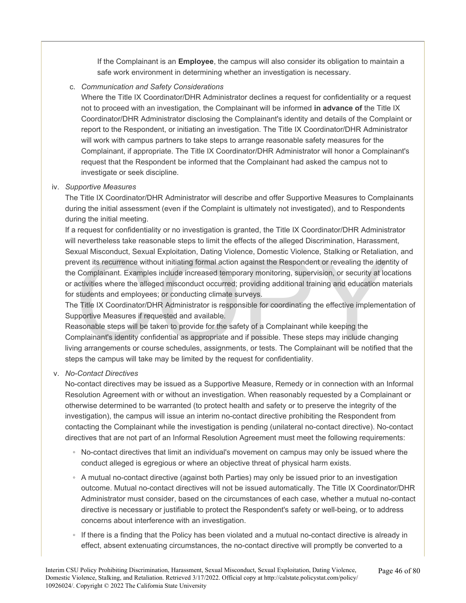If the Complainant is an **Employee**, the campus will also consider its obligation to maintain a safe work environment in determining whether an investigation is necessary.

#### c. *Communication and Safety Considerations*

Where the Title IX Coordinator/DHR Administrator declines a request for confidentiality or a request not to proceed with an investigation, the Complainant will be informed **in advance of** the Title IX Coordinator/DHR Administrator disclosing the Complainant's identity and details of the Complaint or report to the Respondent, or initiating an investigation. The Title IX Coordinator/DHR Administrator will work with campus partners to take steps to arrange reasonable safety measures for the Complainant, if appropriate. The Title IX Coordinator/DHR Administrator will honor a Complainant's request that the Respondent be informed that the Complainant had asked the campus not to investigate or seek discipline.

#### iv. *Supportive Measures*

The Title IX Coordinator/DHR Administrator will describe and offer Supportive Measures to Complainants during the initial assessment (even if the Complaint is ultimately not investigated), and to Respondents during the initial meeting.

xual Misconduct, Sexual Exploitation, Dating Violence, Domestic Violence, Stalking or Retaliation<br>vent its recurrence without initiating formal action against the Respondent or revealing the iden<br>Complainant. Examples incl If a request for confidentiality or no investigation is granted, the Title IX Coordinator/DHR Administrator will nevertheless take reasonable steps to limit the effects of the alleged Discrimination, Harassment, Sexual Misconduct, Sexual Exploitation, Dating Violence, Domestic Violence, Stalking or Retaliation, and prevent its recurrence without initiating formal action against the Respondent or revealing the identity of the Complainant. Examples include increased temporary monitoring, supervision, or security at locations or activities where the alleged misconduct occurred; providing additional training and education materials for students and employees; or conducting climate surveys.

The Title IX Coordinator/DHR Administrator is responsible for coordinating the effective implementation of Supportive Measures if requested and available.

Reasonable steps will be taken to provide for the safety of a Complainant while keeping the Complainant's identity confidential as appropriate and if possible. These steps may include changing living arrangements or course schedules, assignments, or tests. The Complainant will be notified that the steps the campus will take may be limited by the request for confidentiality.

#### v. *No-Contact Directives*

No-contact directives may be issued as a Supportive Measure, Remedy or in connection with an Informal Resolution Agreement with or without an investigation. When reasonably requested by a Complainant or otherwise determined to be warranted (to protect health and safety or to preserve the integrity of the investigation), the campus will issue an interim no-contact directive prohibiting the Respondent from contacting the Complainant while the investigation is pending (unilateral no-contact directive). No-contact directives that are not part of an Informal Resolution Agreement must meet the following requirements:

- No-contact directives that limit an individual's movement on campus may only be issued where the conduct alleged is egregious or where an objective threat of physical harm exists.
- A mutual no-contact directive (against both Parties) may only be issued prior to an investigation outcome. Mutual no-contact directives will not be issued automatically. The Title IX Coordinator/DHR Administrator must consider, based on the circumstances of each case, whether a mutual no-contact directive is necessary or justifiable to protect the Respondent's safety or well-being, or to address concerns about interference with an investigation.
- If there is a finding that the Policy has been violated and a mutual no-contact directive is already in effect, absent extenuating circumstances, the no-contact directive will promptly be converted to a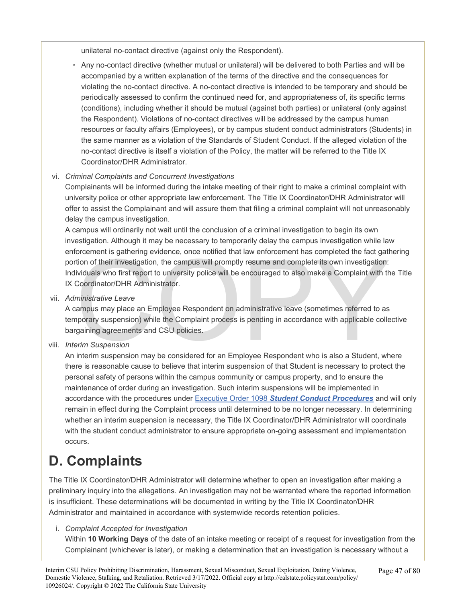unilateral no-contact directive (against only the Respondent).

◦ Any no-contact directive (whether mutual or unilateral) will be delivered to both Parties and will be accompanied by a written explanation of the terms of the directive and the consequences for violating the no-contact directive. A no-contact directive is intended to be temporary and should be periodically assessed to confirm the continued need for, and appropriateness of, its specific terms (conditions), including whether it should be mutual (against both parties) or unilateral (only against the Respondent). Violations of no-contact directives will be addressed by the campus human resources or faculty affairs (Employees), or by campus student conduct administrators (Students) in the same manner as a violation of the Standards of Student Conduct. If the alleged violation of the no-contact directive is itself a violation of the Policy, the matter will be referred to the Title IX Coordinator/DHR Administrator.

### vi. *Criminal Complaints and Concurrent Investigations*

Complainants will be informed during the intake meeting of their right to make a criminal complaint with university police or other appropriate law enforcement. The Title IX Coordinator/DHR Administrator will offer to assist the Complainant and will assure them that filing a criminal complaint will not unreasonably delay the campus investigation.

orcement is gathering evidence, once notified that law enforcement has completed the fact gatt<br>tion of their investigation, the campus will promptly resume and complete its own investigation.<br>ividuals who first report to u A campus will ordinarily not wait until the conclusion of a criminal investigation to begin its own investigation. Although it may be necessary to temporarily delay the campus investigation while law enforcement is gathering evidence, once notified that law enforcement has completed the fact gathering portion of their investigation, the campus will promptly resume and complete its own investigation. Individuals who first report to university police will be encouraged to also make a Complaint with the Title IX Coordinator/DHR Administrator.

vii. *Administrative Leave* 

A campus may place an Employee Respondent on administrative leave (sometimes referred to as temporary suspension) while the Complaint process is pending in accordance with applicable collective bargaining agreements and CSU policies.

viii. *Interim Suspension* 

An interim suspension may be considered for an Employee Respondent who is also a Student, where there is reasonable cause to believe that interim suspension of that Student is necessary to protect the personal safety of persons within the campus community or campus property, and to ensure the maintenance of order during an investigation. Such interim suspensions will be implemented in accordance with the procedures under Executive Order 1098 *[Student Conduct Procedures](https://calstate.policystat.com/policy/8453518/latest/)* and will only remain in effect during the Complaint process until determined to be no longer necessary. In determining whether an interim suspension is necessary, the Title IX Coordinator/DHR Administrator will coordinate with the student conduct administrator to ensure appropriate on-going assessment and implementation occurs.

### **D. Complaints**

The Title IX Coordinator/DHR Administrator will determine whether to open an investigation after making a preliminary inquiry into the allegations. An investigation may not be warranted where the reported information is insufficient. These determinations will be documented in writing by the Title IX Coordinator/DHR Administrator and maintained in accordance with systemwide records retention policies.

#### i. *Complaint Accepted for Investigation*

Within **10 Working Days** of the date of an intake meeting or receipt of a request for investigation from the Complainant (whichever is later), or making a determination that an investigation is necessary without a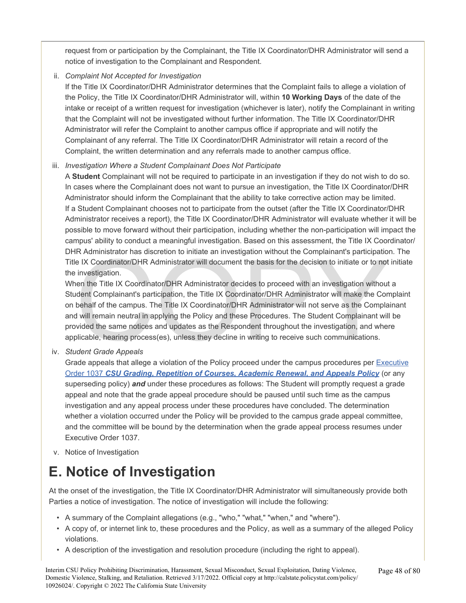request from or participation by the Complainant, the Title IX Coordinator/DHR Administrator will send a notice of investigation to the Complainant and Respondent.

ii. *Complaint Not Accepted for Investigation* 

If the Title IX Coordinator/DHR Administrator determines that the Complaint fails to allege a violation of the Policy, the Title IX Coordinator/DHR Administrator will, within **10 Working Days** of the date of the intake or receipt of a written request for investigation (whichever is later), notify the Complainant in writing that the Complaint will not be investigated without further information. The Title IX Coordinator/DHR Administrator will refer the Complaint to another campus office if appropriate and will notify the Complainant of any referral. The Title IX Coordinator/DHR Administrator will retain a record of the Complaint, the written determination and any referrals made to another campus office.

### iii. *Investigation Where a Student Complainant Does Not Participate*

A **Student** Complainant will not be required to participate in an investigation if they do not wish to do so. In cases where the Complainant does not want to pursue an investigation, the Title IX Coordinator/DHR Administrator should inform the Complainant that the ability to take corrective action may be limited. If a Student Complainant chooses not to participate from the outset (after the Title IX Coordinator/DHR Administrator receives a report), the Title IX Coordinator/DHR Administrator will evaluate whether it will be possible to move forward without their participation, including whether the non-participation will impact the campus' ability to conduct a meaningful investigation. Based on this assessment, the Title IX Coordinator/ DHR Administrator has discretion to initiate an investigation without the Complainant's participation. The Title IX Coordinator/DHR Administrator will document the basis for the decision to initiate or to not initiate the investigation.

R Administrator has discretion to initiate an investigation without the Complainant's participation<br>e IX Coordinator/DHR Administrator will document the basis for the decision to initiate or to not<br>investigation.<br>een the T When the Title IX Coordinator/DHR Administrator decides to proceed with an investigation without a Student Complainant's participation, the Title IX Coordinator/DHR Administrator will make the Complaint on behalf of the campus. The Title IX Coordinator/DHR Administrator will not serve as the Complainant and will remain neutral in applying the Policy and these Procedures. The Student Complainant will be provided the same notices and updates as the Respondent throughout the investigation, and where applicable, hearing process(es), unless they decline in writing to receive such communications.

iv. *Student Grade Appeals* 

Grade appeals that allege a violation of the Policy proceed under the campus procedures per [Executive](https://calstate.policystat.com/policy/9438931/latest/) Order 1037 *CSU [Grading, Repetition of Courses, Academic Renewal, and Appeals Policy](https://calstate.policystat.com/policy/9438931/latest/)* (or any superseding policy) *and* under these procedures as follows: The Student will promptly request a grade appeal and note that the grade appeal procedure should be paused until such time as the campus investigation and any appeal process under these procedures have concluded. The determination whether a violation occurred under the Policy will be provided to the campus grade appeal committee, and the committee will be bound by the determination when the grade appeal process resumes under Executive Order 1037.

v. Notice of Investigation

### **E. Notice of Investigation**

At the onset of the investigation, the Title IX Coordinator/DHR Administrator will simultaneously provide both Parties a notice of investigation. The notice of investigation will include the following:

- A summary of the Complaint allegations (e.g., "who," "what," "when," and "where").
- A copy of, or internet link to, these procedures and the Policy, as well as a summary of the alleged Policy violations.
- A description of the investigation and resolution procedure (including the right to appeal).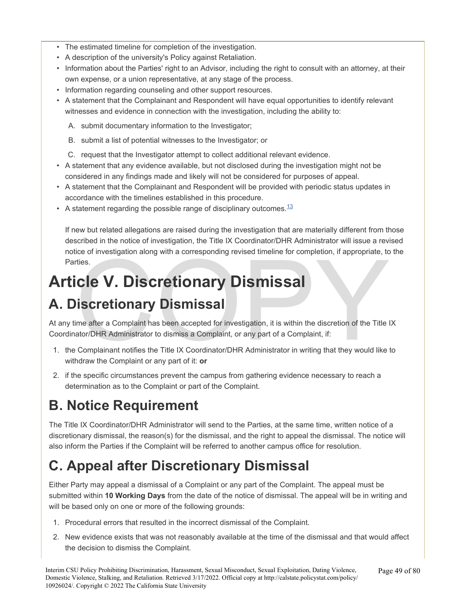- The estimated timeline for completion of the investigation.
- A description of the university's Policy against Retaliation.
- Information about the Parties' right to an Advisor, including the right to consult with an attorney, at their own expense, or a union representative, at any stage of the process.
- Information regarding counseling and other support resources.
- A statement that the Complainant and Respondent will have equal opportunities to identify relevant witnesses and evidence in connection with the investigation, including the ability to:
	- A. submit documentary information to the Investigator;
	- B. submit a list of potential witnesses to the Investigator; or
	- C. request that the Investigator attempt to collect additional relevant evidence.
- A statement that any evidence available, but not disclosed during the investigation might not be considered in any findings made and likely will not be considered for purposes of appeal.
- A statement that the Complainant and Respondent will be provided with periodic status updates in accordance with the timelines established in this procedure.
- A statement regarding the possible range of disciplinary outcomes.  $13$

If new but related allegations are raised during the investigation that are materially different from those described in the notice of investigation, the Title IX Coordinator/DHR Administrator will issue a revised notice of investigation along with a corresponding revised timeline for completion, if appropriate, to the Parties.

# **Article V. Discretionary Dismissal**

# **A. Discretionary Dismissal**

ice of investigation along with a corresponding revised timeline for completion, if appropriate, to<br>ties.<br>Cle V. Discretionary Dismissal<br>iscretionary Dismissal<br>along a Complaint has been accepted for investigation, it is w At any time after a Complaint has been accepted for investigation, it is within the discretion of the Title IX Coordinator/DHR Administrator to dismiss a Complaint, or any part of a Complaint, if:

- 1. the Complainant notifies the Title IX Coordinator/DHR Administrator in writing that they would like to withdraw the Complaint or any part of it: **or**
- 2. if the specific circumstances prevent the campus from gathering evidence necessary to reach a determination as to the Complaint or part of the Complaint.

# **B. Notice Requirement**

The Title IX Coordinator/DHR Administrator will send to the Parties, at the same time, written notice of a discretionary dismissal, the reason(s) for the dismissal, and the right to appeal the dismissal. The notice will also inform the Parties if the Complaint will be referred to another campus office for resolution.

# **C. Appeal after Discretionary Dismissal**

Either Party may appeal a dismissal of a Complaint or any part of the Complaint. The appeal must be submitted within **10 Working Days** from the date of the notice of dismissal. The appeal will be in writing and will be based only on one or more of the following grounds:

- 1. Procedural errors that resulted in the incorrect dismissal of the Complaint.
- 2. New evidence exists that was not reasonably available at the time of the dismissal and that would affect the decision to dismiss the Complaint.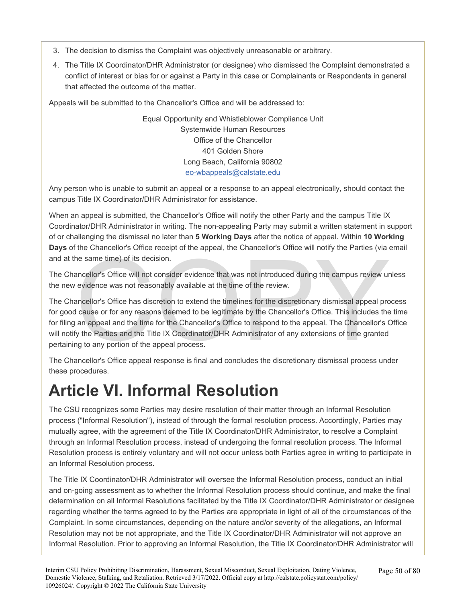- 3. The decision to dismiss the Complaint was objectively unreasonable or arbitrary.
- 4. The Title IX Coordinator/DHR Administrator (or designee) who dismissed the Complaint demonstrated a conflict of interest or bias for or against a Party in this case or Complainants or Respondents in general that affected the outcome of the matter.

Appeals will be submitted to the Chancellor's Office and will be addressed to:

Equal Opportunity and Whistleblower Compliance Unit Systemwide Human Resources Office of the Chancellor 401 Golden Shore Long Beach, California 90802 [eo-wbappeals@calstate.edu](mailto:eo-wbappeals@calstate.edu)

Any person who is unable to submit an appeal or a response to an appeal electronically, should contact the campus Title IX Coordinator/DHR Administrator for assistance.

When an appeal is submitted, the Chancellor's Office will notify the other Party and the campus Title IX Coordinator/DHR Administrator in writing. The non-appealing Party may submit a written statement in support of or challenging the dismissal no later than **5 Working Days** after the notice of appeal. Within **10 Working Days** of the Chancellor's Office receipt of the appeal, the Chancellor's Office will notify the Parties (via email and at the same time) of its decision.

The Chancellor's Office will not consider evidence that was not introduced during the campus review unless the new evidence was not reasonably available at the time of the review.

The same time) of its decision.<br>
In same time) of its decision.<br>
In same time) of its decision.<br>
In same time) of its decision.<br>
In same time) of its decision.<br>
In same wider evidence that was not introduced during the cam The Chancellor's Office has discretion to extend the timelines for the discretionary dismissal appeal process for good cause or for any reasons deemed to be legitimate by the Chancellor's Office. This includes the time for filing an appeal and the time for the Chancellor's Office to respond to the appeal. The Chancellor's Office will notify the Parties and the Title IX Coordinator/DHR Administrator of any extensions of time granted pertaining to any portion of the appeal process.

The Chancellor's Office appeal response is final and concludes the discretionary dismissal process under these procedures.

# **Article VI. Informal Resolution**

The CSU recognizes some Parties may desire resolution of their matter through an Informal Resolution process ("Informal Resolution"), instead of through the formal resolution process. Accordingly, Parties may mutually agree, with the agreement of the Title IX Coordinator/DHR Administrator, to resolve a Complaint through an Informal Resolution process, instead of undergoing the formal resolution process. The Informal Resolution process is entirely voluntary and will not occur unless both Parties agree in writing to participate in an Informal Resolution process.

The Title IX Coordinator/DHR Administrator will oversee the Informal Resolution process, conduct an initial and on-going assessment as to whether the Informal Resolution process should continue, and make the final determination on all Informal Resolutions facilitated by the Title IX Coordinator/DHR Administrator or designee regarding whether the terms agreed to by the Parties are appropriate in light of all of the circumstances of the Complaint. In some circumstances, depending on the nature and/or severity of the allegations, an Informal Resolution may not be not appropriate, and the Title IX Coordinator/DHR Administrator will not approve an Informal Resolution. Prior to approving an Informal Resolution, the Title IX Coordinator/DHR Administrator will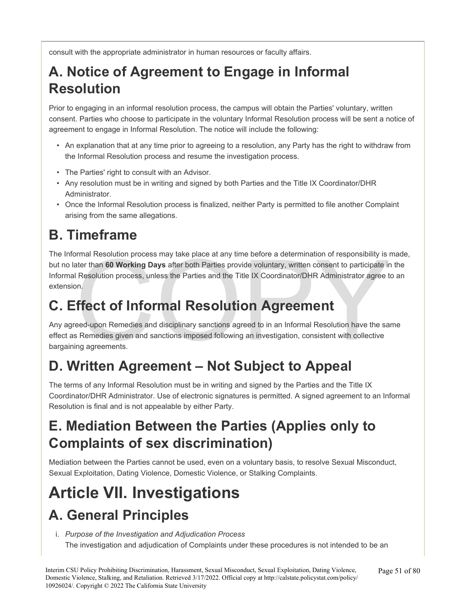consult with the appropriate administrator in human resources or faculty affairs.

# **A. Notice of Agreement to Engage in Informal Resolution**

Prior to engaging in an informal resolution process, the campus will obtain the Parties' voluntary, written consent. Parties who choose to participate in the voluntary Informal Resolution process will be sent a notice of agreement to engage in Informal Resolution. The notice will include the following:

- An explanation that at any time prior to agreeing to a resolution, any Party has the right to withdraw from the Informal Resolution process and resume the investigation process.
- The Parties' right to consult with an Advisor.
- Any resolution must be in writing and signed by both Parties and the Title IX Coordinator/DHR Administrator.
- Once the Informal Resolution process is finalized, neither Party is permitted to file another Complaint arising from the same allegations.

# **B. Timeframe**

Imal Resolution process may take place at any time before a determination of responsibility is later than **60 Working Days** after both Parties provide voluntary, written consent to participate in Resolution process, unless The Informal Resolution process may take place at any time before a determination of responsibility is made, but no later than **60 Working Days** after both Parties provide voluntary, written consent to participate in the Informal Resolution process, unless the Parties and the Title IX Coordinator/DHR Administrator agree to an extension.

# **C. Effect of Informal Resolution Agreement**

Any agreed-upon Remedies and disciplinary sanctions agreed to in an Informal Resolution have the same effect as Remedies given and sanctions imposed following an investigation, consistent with collective bargaining agreements.

# **D. Written Agreement – Not Subject to Appeal**

The terms of any Informal Resolution must be in writing and signed by the Parties and the Title IX Coordinator/DHR Administrator. Use of electronic signatures is permitted. A signed agreement to an Informal Resolution is final and is not appealable by either Party.

### **E. Mediation Between the Parties (Applies only to Complaints of sex discrimination)**

Mediation between the Parties cannot be used, even on a voluntary basis, to resolve Sexual Misconduct, Sexual Exploitation, Dating Violence, Domestic Violence, or Stalking Complaints.

# **Article VII. Investigations A. General Principles**

i. *Purpose of the Investigation and Adjudication Process*  The investigation and adjudication of Complaints under these procedures is not intended to be an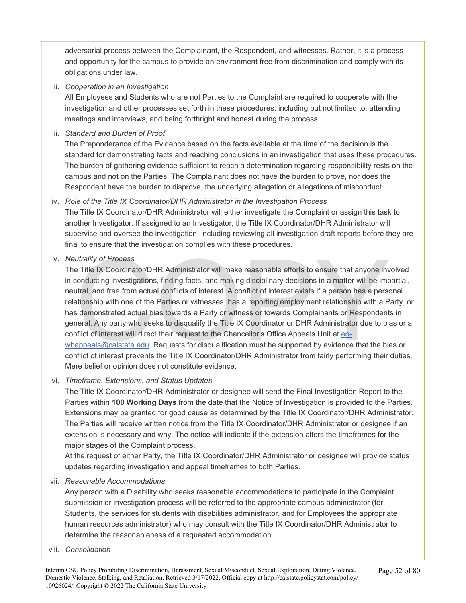adversarial process between the Complainant, the Respondent, and witnesses. Rather, it is a process and opportunity for the campus to provide an environment free from discrimination and comply with its obligations under law.

ii. *Cooperation in an Investigation* 

All Employees and Students who are not Parties to the Complaint are required to cooperate with the investigation and other processes set forth in these procedures, including but not limited to, attending meetings and interviews, and being forthright and honest during the process.

iii. *Standard and Burden of Proof* 

The Preponderance of the Evidence based on the facts available at the time of the decision is the standard for demonstrating facts and reaching conclusions in an investigation that uses these procedures. The burden of gathering evidence sufficient to reach a determination regarding responsibility rests on the campus and not on the Parties. The Complainant does not have the burden to prove, nor does the Respondent have the burden to disprove, the underlying allegation or allegations of misconduct.

iv. *Role of the Title IX Coordinator/DHR Administrator in the Investigation Process* 

The Title IX Coordinator/DHR Administrator will either investigate the Complaint or assign this task to another Investigator. If assigned to an Investigator, the Title IX Coordinator/DHR Administrator will supervise and oversee the investigation, including reviewing all investigation draft reports before they are final to ensure that the investigation complies with these procedures.

v. *Neutrality of Process* 

utrality of Process<br>
E Title IX [C](mailto:eo-wbappeals@calstate.edu)oordinator/DHR Administrator will make reasonable efforts to ensure that anyone inv<br>
conducting investigations, finding facts, and making disciplinary decisions in a matter will be imp<br>
tra The Title IX Coordinator/DHR Administrator will make reasonable efforts to ensure that anyone involved in conducting investigations, finding facts, and making disciplinary decisions in a matter will be impartial, neutral, and free from actual conflicts of interest. A conflict of interest exists if a person has a personal relationship with one of the Parties or witnesses, has a reporting employment relationship with a Party, or has demonstrated actual bias towards a Party or witness or towards Complainants or Respondents in general. Any party who seeks to disqualify the Title IX Coordinator or DHR Administrator due to bias or a conflict of interest will direct their request to the Chancellor's Office Appeals Unit at eo[wbappeals@calstate.e](mailto:eo-wbappeals@calstate.edu)du. Requests for disqualification must be supported by evidence that the bias or conflict of interest prevents the Title IX Coordinator/DHR Administrator from fairly performing their duties. Mere belief or opinion does not constitute evidence.

vi. *Timeframe, Extensions, and Status Updates* 

The Title IX Coordinator/DHR Administrator or designee will send the Final Investigation Report to the Parties within **100 Working Days** from the date that the Notice of Investigation is provided to the Parties. Extensions may be granted for good cause as determined by the Title IX Coordinator/DHR Administrator. The Parties will receive written notice from the Title IX Coordinator/DHR Administrator or designee if an extension is necessary and why. The notice will indicate if the extension alters the timeframes for the major stages of the Complaint process.

At the request of either Party, the Title IX Coordinator/DHR Administrator or designee will provide status updates regarding investigation and appeal timeframes to both Parties.

vii. *Reasonable Accommodations* 

Any person with a Disability who seeks reasonable accommodations to participate in the Complaint submission or investigation process will be referred to the appropriate campus administrator (for Students, the services for students with disabilities administrator, and for Employees the appropriate human resources administrator) who may consult with the Title IX Coordinator/DHR Administrator to determine the reasonableness of a requested accommodation.

viii. *Consolidation*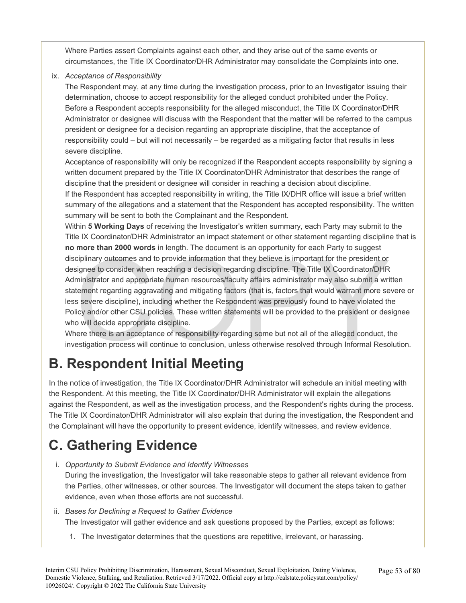Where Parties assert Complaints against each other, and they arise out of the same events or circumstances, the Title IX Coordinator/DHR Administrator may consolidate the Complaints into one.

ix. *Acceptance of Responsibility* 

The Respondent may, at any time during the investigation process, prior to an Investigator issuing their determination, choose to accept responsibility for the alleged conduct prohibited under the Policy. Before a Respondent accepts responsibility for the alleged misconduct, the Title IX Coordinator/DHR Administrator or designee will discuss with the Respondent that the matter will be referred to the campus president or designee for a decision regarding an appropriate discipline, that the acceptance of responsibility could – but will not necessarily – be regarded as a mitigating factor that results in less severe discipline.

Acceptance of responsibility will only be recognized if the Respondent accepts responsibility by signing a written document prepared by the Title IX Coordinator/DHR Administrator that describes the range of discipline that the president or designee will consider in reaching a decision about discipline. If the Respondent has accepted responsibility in writing, the Title IX/DHR office will issue a brief written summary of the allegations and a statement that the Respondent has accepted responsibility. The written summary will be sent to both the Complainant and the Respondent.

ciplinary outcomes and to provide information that they believe is important for the president or<br>ciplinary outcomes and to provide information that they believe is important for the president or<br>signee to consider when re Within **5 Working Days** of receiving the Investigator's written summary, each Party may submit to the Title IX Coordinator/DHR Administrator an impact statement or other statement regarding discipline that is **no more than 2000 words** in length. The document is an opportunity for each Party to suggest disciplinary outcomes and to provide information that they believe is important for the president or designee to consider when reaching a decision regarding discipline. The Title IX Coordinator/DHR Administrator and appropriate human resources/faculty affairs administrator may also submit a written statement regarding aggravating and mitigating factors (that is, factors that would warrant more severe or less severe discipline), including whether the Respondent was previously found to have violated the Policy and/or other CSU policies. These written statements will be provided to the president or designee who will decide appropriate discipline.

Where there is an acceptance of responsibility regarding some but not all of the alleged conduct, the investigation process will continue to conclusion, unless otherwise resolved through Informal Resolution.

# **B. Respondent Initial Meeting**

In the notice of investigation, the Title IX Coordinator/DHR Administrator will schedule an initial meeting with the Respondent. At this meeting, the Title IX Coordinator/DHR Administrator will explain the allegations against the Respondent, as well as the investigation process, and the Respondent's rights during the process. The Title IX Coordinator/DHR Administrator will also explain that during the investigation, the Respondent and the Complainant will have the opportunity to present evidence, identify witnesses, and review evidence.

# **C. Gathering Evidence**

i. *Opportunity to Submit Evidence and Identify Witnesses* 

During the investigation, the Investigator will take reasonable steps to gather all relevant evidence from the Parties, other witnesses, or other sources. The Investigator will document the steps taken to gather evidence, even when those efforts are not successful.

- ii. *Bases for Declining a Request to Gather Evidence*  The Investigator will gather evidence and ask questions proposed by the Parties, except as follows:
	- 1. The Investigator determines that the questions are repetitive, irrelevant, or harassing.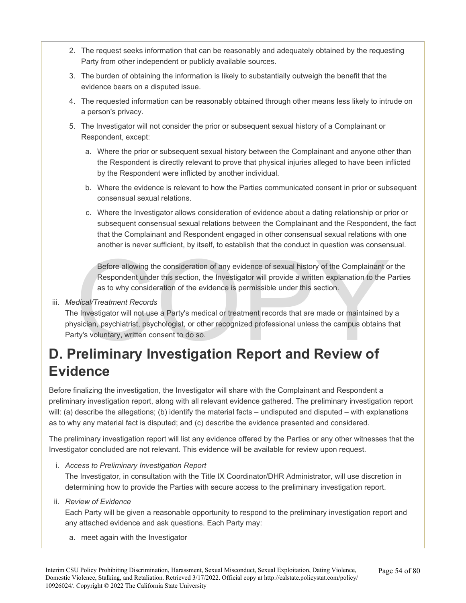- 2. The request seeks information that can be reasonably and adequately obtained by the requesting Party from other independent or publicly available sources.
- 3. The burden of obtaining the information is likely to substantially outweigh the benefit that the evidence bears on a disputed issue.
- 4. The requested information can be reasonably obtained through other means less likely to intrude on a person's privacy.
- 5. The Investigator will not consider the prior or subsequent sexual history of a Complainant or Respondent, except:
	- a. Where the prior or subsequent sexual history between the Complainant and anyone other than the Respondent is directly relevant to prove that physical injuries alleged to have been inflicted by the Respondent were inflicted by another individual.
	- b. Where the evidence is relevant to how the Parties communicated consent in prior or subsequent consensual sexual relations.
	- c. Where the Investigator allows consideration of evidence about a dating relationship or prior or subsequent consensual sexual relations between the Complainant and the Respondent, the fact that the Complainant and Respondent engaged in other consensual sexual relations with one another is never sufficient, by itself, to establish that the conduct in question was consensual.

Before allowing the consideration of any evidence of sexual history of the Complainant or the Respondent under this section, the Investigator will provide a written explanation to the Parties as to why consideration of the evidence is permissible under this section.

### iii. *Medical/Treatment Records*

Before allowing the consideration of any evidence of sexual history of the Complainant of Respondent under this section, the Investigator will provide a written explanation to the F as to why consideration of the evidence The Investigator will not use a Party's medical or treatment records that are made or maintained by a physician, psychiatrist, psychologist, or other recognized professional unless the campus obtains that Party's voluntary, written consent to do so.

# **Evidence**

Before finalizing the investigation, the Investigator will share with the Complainant and Respondent a preliminary investigation report, along with all relevant evidence gathered. The preliminary investigation report will: (a) describe the allegations; (b) identify the material facts – undisputed and disputed – with explanations as to why any material fact is disputed; and (c) describe the evidence presented and considered.

The preliminary investigation report will list any evidence offered by the Parties or any other witnesses that the Investigator concluded are not relevant. This evidence will be available for review upon request.

i. *Access to Preliminary Investigation Report* 

The Investigator, in consultation with the Title IX Coordinator/DHR Administrator, will use discretion in determining how to provide the Parties with secure access to the preliminary investigation report.

#### ii. *Review of Evidence*

Each Party will be given a reasonable opportunity to respond to the preliminary investigation report and any attached evidence and ask questions. Each Party may:

a. meet again with the Investigator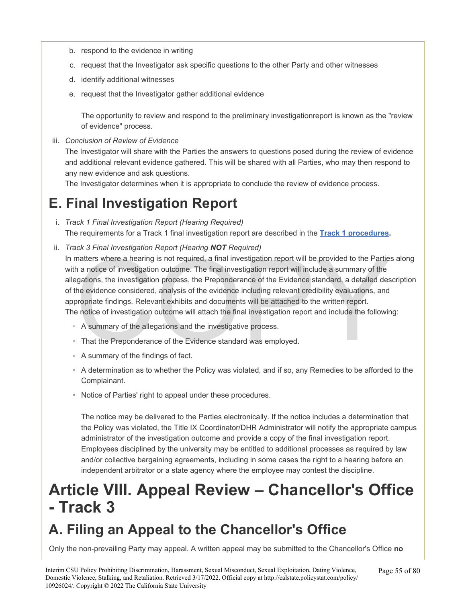- b. respond to the evidence in writing
- c. request that the Investigator ask specific questions to the other Party and other witnesses
- d. identify additional witnesses
- e. request that the Investigator gather additional evidence

The opportunity to review and respond to the preliminary investigationreport is known as the "review of evidence" process.

iii. *Conclusion of Review of Evidence*  The Investigator will share with the Parties the answers to questions posed during the review of evidence and additional relevant evidence gathered. This will be shared with all Parties, who may then respond to any new evidence and ask questions.

The Investigator determines when it is appropriate to conclude the review of evidence process.

### **E. Final Investigation Report**

- i. *Track 1 Final Investigation Report (Hearing Required)*  The requirements for a Track 1 final investigation report are described in the **Track 1 procedures.**
- matters where a hearing is not required, a final investigation report will be provided to the Partie<br>h a notice of investigation outcome. The final investigation report will include a summary of the<br>h a notice of investiga ii. *Track 3 Final Investigation Report (Hearing NOT Required)*  In matters where a hearing is not required, a final investigation report will be provided to the Parties along with a notice of investigation outcome. The final investigation report will include a summary of the allegations, the investigation process, the Preponderance of the Evidence standard, a detailed description of the evidence considered, analysis of the evidence including relevant credibility evaluations, and appropriate findings. Relevant exhibits and documents will be attached to the written report. The notice of investigation outcome will attach the final investigation report and include the following:
	- A summary of the allegations and the investigative process.
	- That the Preponderance of the Evidence standard was employed.
	- A summary of the findings of fact.
	- A determination as to whether the Policy was violated, and if so, any Remedies to be afforded to the Complainant.
	- Notice of Parties' right to appeal under these procedures.

The notice may be delivered to the Parties electronically. If the notice includes a determination that the Policy was violated, the Title IX Coordinator/DHR Administrator will notify the appropriate campus administrator of the investigation outcome and provide a copy of the final investigation report. Employees disciplined by the university may be entitled to additional processes as required by law and/or collective bargaining agreements, including in some cases the right to a hearing before an independent arbitrator or a state agency where the employee may contest the discipline.

# **Article VIII. Appeal Review – Chancellor's Office - Track 3**

### **A. Filing an Appeal to the Chancellor's Office**

Only the non-prevailing Party may appeal. A written appeal may be submitted to the Chancellor's Office **no**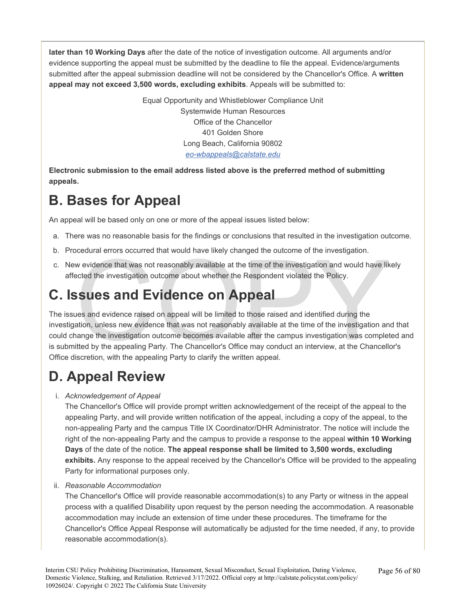**later than 10 Working Days** after the date of the notice of investigation outcome. All arguments and/or evidence supporting the appeal must be submitted by the deadline to file the appeal. Evidence/arguments submitted after the appeal submission deadline will not be considered by the Chancellor's Office. A **written appeal may not exceed 3,500 words, excluding exhibits**. Appeals will be submitted to:

> Equal Opportunity and Whistleblower Compliance Unit Systemwide Human Resources Office of the Chancellor 401 Golden Shore Long Beach, California 90802 *[eo-wbappeals@calstate.edu](mailto:eo-wbappeals@calstate.edu)*

**Electronic submission to the email address listed above is the preferred method of submitting appeals.** 

### **B. Bases for Appeal**

An appeal will be based only on one or more of the appeal issues listed below:

- a. There was no reasonable basis for the findings or conclusions that resulted in the investigation outcome.
- b. Procedural errors occurred that would have likely changed the outcome of the investigation.
- c. New evidence that was not reasonably available at the time of the investigation and would have likely affected the investigation outcome about whether the Respondent violated the Policy.

### **C. Issues and Evidence on Appeal**

oceaural errors occurred that would have likely changed the outcome of the investigation.<br>
we vidence that was not reasonably available at the time of the investigation and would have like<br>
sected the investigation outcome The issues and evidence raised on appeal will be limited to those raised and identified during the investigation, unless new evidence that was not reasonably available at the time of the investigation and that could change the investigation outcome becomes available after the campus investigation was completed and is submitted by the appealing Party. The Chancellor's Office may conduct an interview, at the Chancellor's Office discretion, with the appealing Party to clarify the written appeal.

### **D. Appeal Review**

### i. *Acknowledgement of Appeal*

The Chancellor's Office will provide prompt written acknowledgement of the receipt of the appeal to the appealing Party, and will provide written notification of the appeal, including a copy of the appeal, to the non-appealing Party and the campus Title IX Coordinator/DHR Administrator. The notice will include the right of the non-appealing Party and the campus to provide a response to the appeal **within 10 Working Days** of the date of the notice. **The appeal response shall be limited to 3,500 words, excluding exhibits.** Any response to the appeal received by the Chancellor's Office will be provided to the appealing Party for informational purposes only.

### ii. *Reasonable Accommodation*

The Chancellor's Office will provide reasonable accommodation(s) to any Party or witness in the appeal process with a qualified Disability upon request by the person needing the accommodation. A reasonable accommodation may include an extension of time under these procedures. The timeframe for the Chancellor's Office Appeal Response will automatically be adjusted for the time needed, if any, to provide reasonable accommodation(s).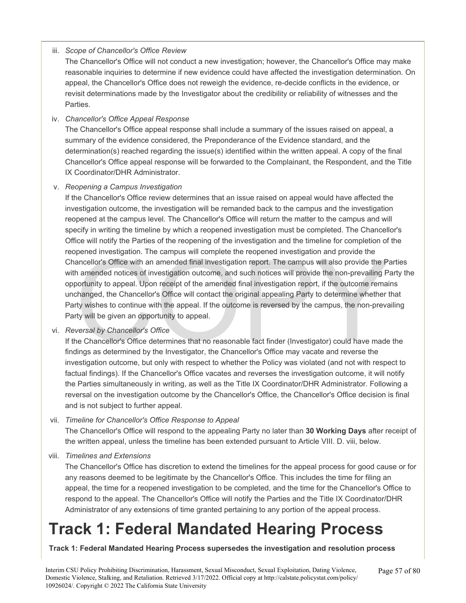### iii. *Scope of Chancellor's Office Review*

The Chancellor's Office will not conduct a new investigation; however, the Chancellor's Office may make reasonable inquiries to determine if new evidence could have affected the investigation determination. On appeal, the Chancellor's Office does not reweigh the evidence, re-decide conflicts in the evidence, or revisit determinations made by the Investigator about the credibility or reliability of witnesses and the Parties.

### iv. *Chancellor's Office Appeal Response*

The Chancellor's Office appeal response shall include a summary of the issues raised on appeal, a summary of the evidence considered, the Preponderance of the Evidence standard, and the determination(s) reached regarding the issue(s) identified within the written appeal. A copy of the final Chancellor's Office appeal response will be forwarded to the Complainant, the Respondent, and the Title IX Coordinator/DHR Administrator.

#### v. *Reopening a Campus Investigation*

pened investigation. The campus will complete the reopened investigation and provide the ancellor's Office with an amended final investigation report. The campus will also provide the Pancellor's Office with an amended fin If the Chancellor's Office review determines that an issue raised on appeal would have affected the investigation outcome, the investigation will be remanded back to the campus and the investigation reopened at the campus level. The Chancellor's Office will return the matter to the campus and will specify in writing the timeline by which a reopened investigation must be completed. The Chancellor's Office will notify the Parties of the reopening of the investigation and the timeline for completion of the reopened investigation. The campus will complete the reopened investigation and provide the Chancellor's Office with an amended final investigation report. The campus will also provide the Parties with amended notices of investigation outcome, and such notices will provide the non-prevailing Party the opportunity to appeal. Upon receipt of the amended final investigation report, if the outcome remains unchanged, the Chancellor's Office will contact the original appealing Party to determine whether that Party wishes to continue with the appeal. If the outcome is reversed by the campus, the non-prevailing Party will be given an opportunity to appeal.

vi. *Reversal by Chancellor's Office* 

If the Chancellor's Office determines that no reasonable fact finder (Investigator) could have made the findings as determined by the Investigator, the Chancellor's Office may vacate and reverse the investigation outcome, but only with respect to whether the Policy was violated (and not with respect to factual findings). If the Chancellor's Office vacates and reverses the investigation outcome, it will notify the Parties simultaneously in writing, as well as the Title IX Coordinator/DHR Administrator. Following a reversal on the investigation outcome by the Chancellor's Office, the Chancellor's Office decision is final and is not subject to further appeal.

#### vii. *Timeline for Chancellor's Office Response to Appeal*

The Chancellor's Office will respond to the appealing Party no later than **30 Working Days** after receipt of the written appeal, unless the timeline has been extended pursuant to Article VIII. D. viii, below.

viii. *Timelines and Extensions* 

The Chancellor's Office has discretion to extend the timelines for the appeal process for good cause or for any reasons deemed to be legitimate by the Chancellor's Office. This includes the time for filing an appeal, the time for a reopened investigation to be completed, and the time for the Chancellor's Office to respond to the appeal. The Chancellor's Office will notify the Parties and the Title IX Coordinator/DHR Administrator of any extensions of time granted pertaining to any portion of the appeal process.

# <span id="page-56-0"></span>**Track 1: Federal Mandated Hearing Process**

**Track 1: Federal Mandated Hearing Process supersedes the investigation and resolution process** 

Interim CSU Policy Prohibiting Discrimination, Harassment, Sexual Misconduct, Sexual Exploitation, Dating Violence, Domestic Violence, Stalking, and Retaliation. Retrieved 3/17/2022. Official copy at http://calstate.policystat.com/policy/ 10926024/. Copyright © 2022 The California State University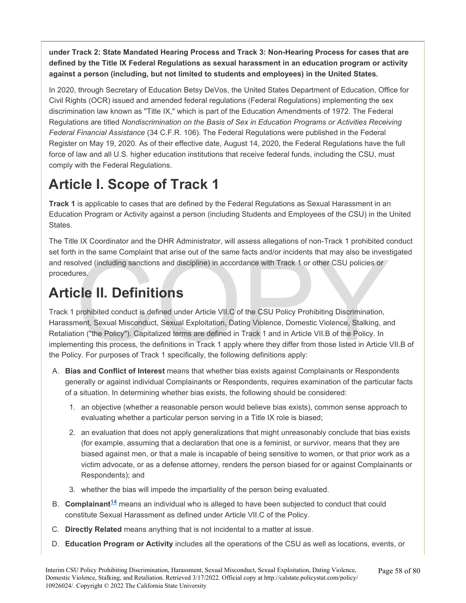**under Track 2: State Mandated Hearing Process and Track 3: Non-Hearing Process for cases that are defined by the Title IX Federal Regulations as sexual harassment in an education program or activity against a person (including, but not limited to students and employees) in the United States.** 

In 2020, through Secretary of Education Betsy DeVos, the United States Department of Education, Office for Civil Rights (OCR) issued and amended federal regulations (Federal Regulations) implementing the sex discrimination law known as "Title IX," which is part of the Education Amendments of 1972. The Federal Regulations are titled *Nondiscrimination on the Basis of Sex in Education Programs or Activities Receiving Federal Financial Assistance* (34 C.F.R. 106). The Federal Regulations were published in the Federal Register on May 19, 2020. As of their effective date, August 14, 2020, the Federal Regulations have the full force of law and all U.S. higher education institutions that receive federal funds, including the CSU, must comply with the Federal Regulations.

# **Article I. Scope of Track 1**

**Track 1** is applicable to cases that are defined by the Federal Regulations as Sexual Harassment in an Education Program or Activity against a person (including Students and Employees of the CSU) in the United States.

The Title IX Coordinator and the DHR Administrator, will assess allegations of non-Track 1 prohibited conduct set forth in the same Complaint that arise out of the same facts and/or incidents that may also be investigated and resolved (including sanctions and discipline) in accordance with Track 1 or other CSU policies or procedures.

# **Article II. Definitions**

is in the same Complaint that arise out of the same facts and/or incidents that may also be inves<br>olved (including sanctions and discipline) in accordance with Track 1 or other CSU policies or<br>res.<br>**CIC II. Definitions**<br>pr Track 1 prohibited conduct is defined under Article VII.C of the CSU Policy Prohibiting Discrimination, Harassment, Sexual Misconduct, Sexual Exploitation, Dating Violence, Domestic Violence, Stalking, and Retaliation ("the Policy"). Capitalized terms are defined in Track 1 and in Article VII.B of the Policy. In implementing this process, the definitions in Track 1 apply where they differ from those listed in Article VII.B of the Policy. For purposes of Track 1 specifically, the following definitions apply:

- A. **Bias and Conflict of Interest** means that whether bias exists against Complainants or Respondents generally or against individual Complainants or Respondents, requires examination of the particular facts of a situation. In determining whether bias exists, the following should be considered:
	- 1. an objective (whether a reasonable person would believe bias exists), common sense approach to evaluating whether a particular person serving in a Title IX role is biased;
	- 2. an evaluation that does not apply generalizations that might unreasonably conclude that bias exists (for example, assuming that a declaration that one is a feminist, or survivor, means that they are biased against men, or that a male is incapable of being sensitive to women, or that prior work as a victim advocate, or as a defense attorney, renders the person biased for or against Complainants or Respondents); and
	- 3. whether the bias will impede the impartiality of the person being evaluated.
- B. **Complainant[14](#page-77-0)** means an individual who is alleged to have been subjected to conduct that could constitute Sexual Harassment as defined under Article VII.C of the Policy.
- C. **Directly Related** means anything that is not incidental to a matter at issue.
- D. **Education Program or Activity** includes all the operations of the CSU as well as locations, events, or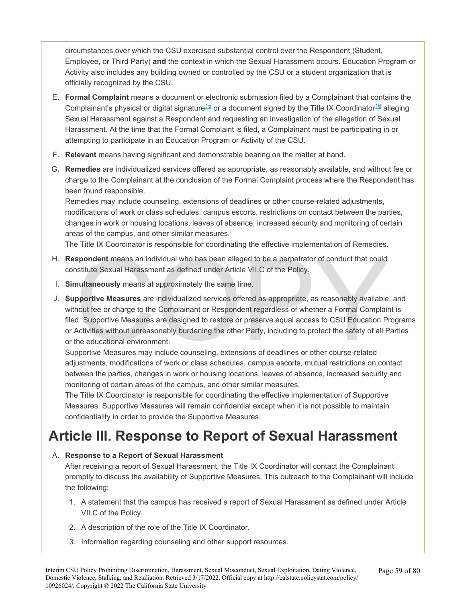circumstances over which the CSU exercised substantial control over the Respondent (Student, Employee, or Third Party) **and** the context in which the Sexual Harassment occurs. Education Program or Activity also includes any building owned or controlled by the CSU or a student organization that is officially recognized by the CSU.

- E. **Formal Complaint** means a document or electronic submission filed by a Complainant that contains the Complainant's physical or digital signature<sup>[15](#page-77-0)</sup> or a document signed by the Title IX Coordinator<sup>[16](#page-77-0)</sup> alleging Sexual Harassment against a Respondent and requesting an investigation of the allegation of Sexual Harassment. At the time that the Formal Complaint is filed, a Complainant must be participating in or attempting to participate in an Education Program or Activity of the CSU.
- F. **Relevant** means having significant and demonstrable bearing on the matter at hand.
- G. **Remedies** are individualized services offered as appropriate, as reasonably available, and without fee or charge to the Complainant at the conclusion of the Formal Complaint process where the Respondent has been found responsible.

Remedies may include counseling, extensions of deadlines or other course-related adjustments, modifications of work or class schedules, campus escorts, restrictions on contact between the parties, changes in work or housing locations, leaves of absence, increased security and monitoring of certain areas of the campus, and other similar measures.

The Title IX Coordinator is responsible for coordinating the effective implementation of Remedies.

- H. **Respondent** means an individual who has been alleged to be a perpetrator of conduct that could constitute Sexual Harassment as defined under Article VII.C of the Policy.
- I. **Simultaneously** means at approximately the same time.
- spondent means an individual who has been alleged to be a perpetrator of conduct that could<br>nstitute Sexual Harassment as defined under Article VII.C of the Policy.<br>nultaneously means at approximately the same time.<br>pporti J. **Supportive Measures** are individualized services offered as appropriate, as reasonably available, and without fee or charge to the Complainant or Respondent regardless of whether a Formal Complaint is filed. Supportive Measures are designed to restore or preserve equal access to CSU Education Programs or Activities without unreasonably burdening the other Party, including to protect the safety of all Parties or the educational environment.

Supportive Measures may include counseling, extensions of deadlines or other course-related adjustments, modifications of work or class schedules, campus escorts, mutual restrictions on contact between the parties, changes in work or housing locations, leaves of absence, increased security and monitoring of certain areas of the campus, and other similar measures.

The Title IX Coordinator is responsible for coordinating the effective implementation of Supportive Measures. Supportive Measures will remain confidential except when it is not possible to maintain confidentiality in order to provide the Supportive Measures.

# **Article III. Response to Report of Sexual Harassment**

### A. **Response to a Report of Sexual Harassment**

After receiving a report of Sexual Harassment, the Title IX Coordinator will contact the Complainant promptly to discuss the availability of Supportive Measures. This outreach to the Complainant will include the following:

- 1. A statement that the campus has received a report of Sexual Harassment as defined under Article VII.C of the Policy.
- 2. A description of the role of the Title IX Coordinator.
- 3. Information regarding counseling and other support resources.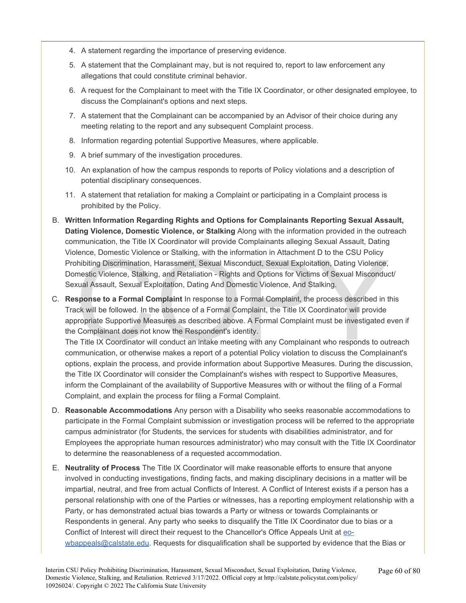- 4. A statement regarding the importance of preserving evidence.
- 5. A statement that the Complainant may, but is not required to, report to law enforcement any allegations that could constitute criminal behavior.
- 6. A request for the Complainant to meet with the Title IX Coordinator, or other designated employee, to discuss the Complainant's options and next steps.
- 7. A statement that the Complainant can be accompanied by an Advisor of their choice during any meeting relating to the report and any subsequent Complaint process.
- 8. Information regarding potential Supportive Measures, where applicable.
- 9. A brief summary of the investigation procedures.
- 10. An explanation of how the campus responds to reports of Policy violations and a description of potential disciplinary consequences.
- 11. A statement that retaliation for making a Complaint or participating in a Complaint process is prohibited by the Policy.
- B. **Written Information Regarding Rights and Options for Complainants Reporting Sexual Assault, Dating Violence, Domestic Violence, or Stalking** Along with the information provided in the outreach communication, the Title IX Coordinator will provide Complainants alleging Sexual Assault, Dating Violence, Domestic Violence or Stalking, with the information in Attachment D to the CSU Policy Prohibiting Discrimination, Harassment, Sexual Misconduct, Sexual Exploitation, Dating Violence, Domestic Violence, Stalking, and Retaliation - Rights and Options for Victims of Sexual Misconduct/ Sexual Assault, Sexual Exploitation, Dating And Domestic Violence, And Stalking.
- lence, Domestic Violence or Stalking, with the information in Attachment D to the CSU Policy<br>hibiting Discrimination, Harassment, Sexual Misconduct, Sexual Exploitation, Dating Violence,<br>mestic Violence, Stalking, and Reta C. **Response to a Formal Complaint** In response to a Formal Complaint, the process described in this Track will be followed. In the absence of a Formal Complaint, the Title IX Coordinator will provide appropriate Supportive Measures as described above. A Formal Complaint must be investigated even if the Complainant does not know the Respondent's identity.

The Title IX Coordinator will conduct an intake meeting with any Complainant who responds to outreach communication, or otherwise makes a report of a potential Policy violation to discuss the Complainant's options, explain the process, and provide information about Supportive Measures. During the discussion, the Title IX Coordinator will consider the Complainant's wishes with respect to Supportive Measures, inform the Complainant of the availability of Supportive Measures with or without the filing of a Formal Complaint, and explain the process for filing a Formal Complaint.

- D. **Reasonable Accommodations** Any person with a Disability who seeks reasonable accommodations to participate in the Formal Complaint submission or investigation process will be referred to the appropriate campus administrator (for Students, the services for students with disabilities administrator, and for Employees the appropriate human resources administrator) who may consult with the Title IX Coordinator to determine the reasonableness of a requested accommodation.
- E. **Neutrality of Process** The Title IX Coordinator will make reasonable efforts to ensure that anyone involved in conducting investigations, finding facts, and making disciplinary decisions in a matter will be impartial, neutral, and free from actual Conflicts of Interest. A Conflict of Interest exists if a person has a personal relationship with one of the Parties or witnesses, has a reporting employment relationship with a Party, or has demonstrated actual bias towards a Party or witness or towards Complainants or Respondents in general. Any party who seeks to disqualify the Title IX Coordinator due to bias or a Conflict of Interest will direct their request to the Chancellor's Office Appeals Unit at [eo](mailto:eo-wbappeals@calstate.edu)[wbappeals@calstate.edu](mailto:eo-wbappeals@calstate.edu). Requests for disqualification shall be supported by evidence that the Bias or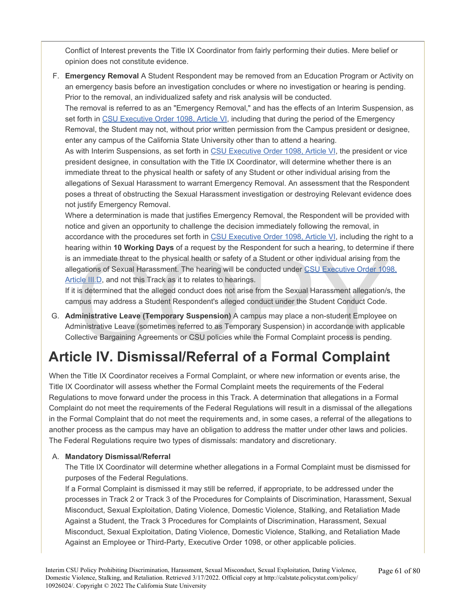Conflict of Interest prevents the Title IX Coordinator from fairly performing their duties. Mere belief or opinion does not constitute evidence.

F. **Emergency Removal** A Student Respondent may be removed from an Education Program or Activity on an emergency basis before an investigation concludes or where no investigation or hearing is pending. Prior to the removal, an individualized safety and risk analysis will be conducted.

The removal is referred to as an "Emergency Removal," and has the effects of an Interim Suspension, as set forth in [CSU](https://calstate.policystat.com/policy/8453518/latest/#autoid-zm4j6) [Executive Order 1098, Article VI](https://calstate.policystat.com/policy/8453518/latest/#autoid-zm4j6), including that during the period of the Emergency Removal, the Student may not, without prior written permission from the Campus president or designee, enter any campus of the California State University other than to attend a hearing.

As with Interim Suspensions, as set forth in [CSU](https://calstate.policystat.com/policy/8453518/latest/#autoid-zm4j6) [Executive Order 1098, Article VI](https://calstate.policystat.com/policy/8453518/latest/#autoid-zm4j6), the president or vice president designee, in consultation with the Title IX Coordinator, will determine whether there is an immediate threat to the physical health or safety of any Student or other individual arising from the allegations of Sexual Harassment to warrant Emergency Removal. An assessment that the Respondent poses a threat of obstructing the Sexual Harassment investigation or destroying Relevant evidence does not justify Emergency Removal.

and immediate threat to the physical health or safety of a Student or other individual arising from<br>in immediate threat to the physical health or safety of a Student or other individual arising from<br>incelled III.D, and not Where a determination is made that justifies Emergency Removal, the Respondent will be provided with notice and given an opportunity to challenge the decision immediately following the removal, in accordance with the procedures set forth in [CSU](https://calstate.policystat.com/policy/8453518/latest/#autoid-zm4j6) [Executive Order 1098, Article VI](https://calstate.policystat.com/policy/8453518/latest/#autoid-zm4j6), including the right to a hearing within **10 Working Days** of a request by the Respondent for such a hearing, to determine if there is an immediate threat to the physical health or safety of a Student or other individual arising from the allegations of Sexual Harassment. The hearing will be conducted under CSU Executive Order 1098, [Article III.D,](https://calstate.policystat.com/policy/8453518/latest/#autoid-kbyxz) and not this Track as it to relates to hearings.

If it is determined that the alleged conduct does not arise from the Sexual Harassment allegation/s, the campus may address a Student Respondent's alleged conduct under the Student Conduct Code.

G. **Administrative Leave (Temporary Suspension)** A campus may place a non-student Employee on Administrative Leave (sometimes referred to as Temporary Suspension) in accordance with applicable Collective Bargaining Agreements or CSU policies while the Formal Complaint process is pending.

# **Article IV. Dismissal/Referral of a Formal Complaint**

When the Title IX Coordinator receives a Formal Complaint, or where new information or events arise, the Title IX Coordinator will assess whether the Formal Complaint meets the requirements of the Federal Regulations to move forward under the process in this Track. A determination that allegations in a Formal Complaint do not meet the requirements of the Federal Regulations will result in a dismissal of the allegations in the Formal Complaint that do not meet the requirements and, in some cases, a referral of the allegations to another process as the campus may have an obligation to address the matter under other laws and policies. The Federal Regulations require two types of dismissals: mandatory and discretionary.

### A. **Mandatory Dismissal/Referral**

The Title IX Coordinator will determine whether allegations in a Formal Complaint must be dismissed for purposes of the Federal Regulations.

If a Formal Complaint is dismissed it may still be referred, if appropriate, to be addressed under the processes in Track 2 or Track 3 of the Procedures for Complaints of Discrimination, Harassment, Sexual Misconduct, Sexual Exploitation, Dating Violence, Domestic Violence, Stalking, and Retaliation Made Against a Student, the Track 3 Procedures for Complaints of Discrimination, Harassment, Sexual Misconduct, Sexual Exploitation, Dating Violence, Domestic Violence, Stalking, and Retaliation Made Against an Employee or Third-Party, Executive Order 1098, or other applicable policies.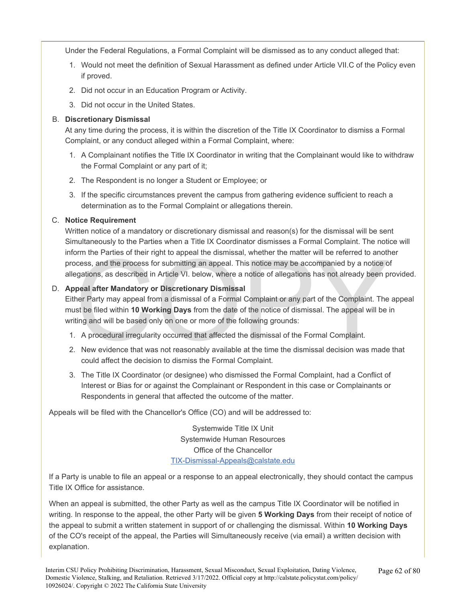Under the Federal Regulations, a Formal Complaint will be dismissed as to any conduct alleged that:

- 1. Would not meet the definition of Sexual Harassment as defined under Article VII.C of the Policy even if proved.
- 2. Did not occur in an Education Program or Activity.
- 3. Did not occur in the United States.

### B. **Discretionary Dismissal**

At any time during the process, it is within the discretion of the Title IX Coordinator to dismiss a Formal Complaint, or any conduct alleged within a Formal Complaint, where:

- 1. A Complainant notifies the Title IX Coordinator in writing that the Complainant would like to withdraw the Formal Complaint or any part of it;
- 2. The Respondent is no longer a Student or Employee; or
- 3. If the specific circumstances prevent the campus from gathering evidence sufficient to reach a determination as to the Formal Complaint or allegations therein.

### C. **Notice Requirement**

Written notice of a mandatory or discretionary dismissal and reason(s) for the dismissal will be sent Simultaneously to the Parties when a Title IX Coordinator dismisses a Formal Complaint. The notice will inform the Parties of their right to appeal the dismissal, whether the matter will be referred to another process, and the process for submitting an appeal. This notice may be accompanied by a notice of allegations, as described in Article VI. below, where a notice of allegations has not already been provided.

### D. **Appeal after Mandatory or Discretionary Dismissal**

by the Parties of their right to appeal the dismissal, whether the matter will be referred to anothecess, and the process for submitting an appeal. This notice may be accompanied by a notice of gations, as described in Art Either Party may appeal from a dismissal of a Formal Complaint or any part of the Complaint. The appeal must be filed within **10 Working Days** from the date of the notice of dismissal. The appeal will be in writing and will be based only on one or more of the following grounds:

- 1. A procedural irregularity occurred that affected the dismissal of the Formal Complaint.
- 2. New evidence that was not reasonably available at the time the dismissal decision was made that could affect the decision to dismiss the Formal Complaint.
- 3. The Title IX Coordinator (or designee) who dismissed the Formal Complaint, had a Conflict of Interest or Bias for or against the Complainant or Respondent in this case or Complainants or Respondents in general that affected the outcome of the matter.

Appeals will be filed with the Chancellor's Office (CO) and will be addressed to:

Systemwide Title IX Unit Systemwide Human Resources Office of the Chancellor [TIX-Dismissal-Appeals@calstate.edu](mailto:TIX-Dismissal-Appeals@calstate.edu) 

If a Party is unable to file an appeal or a response to an appeal electronically, they should contact the campus Title IX Office for assistance.

When an appeal is submitted, the other Party as well as the campus Title IX Coordinator will be notified in writing. In response to the appeal, the other Party will be given **5 Working Days** from their receipt of notice of the appeal to submit a written statement in support of or challenging the dismissal. Within **10 Working Days**  of the CO's receipt of the appeal, the Parties will Simultaneously receive (via email) a written decision with explanation.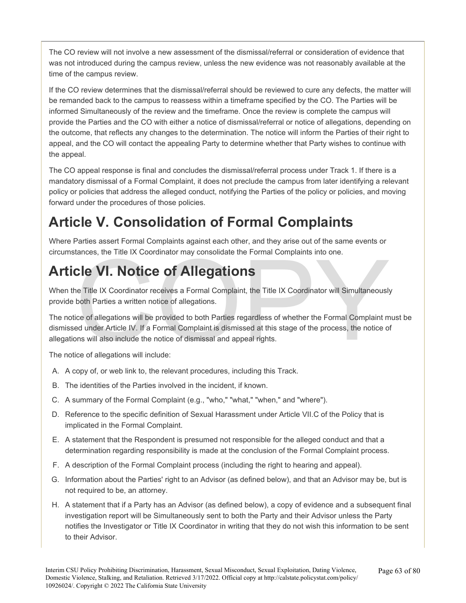The CO review will not involve a new assessment of the dismissal/referral or consideration of evidence that was not introduced during the campus review, unless the new evidence was not reasonably available at the time of the campus review.

If the CO review determines that the dismissal/referral should be reviewed to cure any defects, the matter will be remanded back to the campus to reassess within a timeframe specified by the CO. The Parties will be informed Simultaneously of the review and the timeframe. Once the review is complete the campus will provide the Parties and the CO with either a notice of dismissal/referral or notice of allegations, depending on the outcome, that reflects any changes to the determination. The notice will inform the Parties of their right to appeal, and the CO will contact the appealing Party to determine whether that Party wishes to continue with the appeal.

The CO appeal response is final and concludes the dismissal/referral process under Track 1. If there is a mandatory dismissal of a Formal Complaint, it does not preclude the campus from later identifying a relevant policy or policies that address the alleged conduct, notifying the Parties of the policy or policies, and moving forward under the procedures of those policies.

# **Article V. Consolidation of Formal Complaints**

Where Parties assert Formal Complaints against each other, and they arise out of the same events or circumstances, the Title IX Coordinator may consolidate the Formal Complaints into one.

# **Article VI. Notice of Allegations**

When the Title IX Coordinator receives a Formal Complaint, the Title IX Coordinator will Simultaneously provide both Parties a written notice of allegations.

tances, the Title IX Coordinator may consolidate the Formal Complaints into one.<br>
Cle VI. Notice of Allegations<br>
ne Title IX Coordinator receives a Formal Complaint, the Title IX Coordinator will Simultaneously<br>
both Parti The notice of allegations will be provided to both Parties regardless of whether the Formal Complaint must be dismissed under Article IV. If a Formal Complaint is dismissed at this stage of the process, the notice of allegations will also include the notice of dismissal and appeal rights.

The notice of allegations will include:

- A. A copy of, or web link to, the relevant procedures, including this Track.
- B. The identities of the Parties involved in the incident, if known.
- C. A summary of the Formal Complaint (e.g., "who," "what," "when," and "where").
- D. Reference to the specific definition of Sexual Harassment under Article VII.C of the Policy that is implicated in the Formal Complaint.
- E. A statement that the Respondent is presumed not responsible for the alleged conduct and that a determination regarding responsibility is made at the conclusion of the Formal Complaint process.
- F. A description of the Formal Complaint process (including the right to hearing and appeal).
- G. Information about the Parties' right to an Advisor (as defined below), and that an Advisor may be, but is not required to be, an attorney.
- H. A statement that if a Party has an Advisor (as defined below), a copy of evidence and a subsequent final investigation report will be Simultaneously sent to both the Party and their Advisor unless the Party notifies the Investigator or Title IX Coordinator in writing that they do not wish this information to be sent to their Advisor.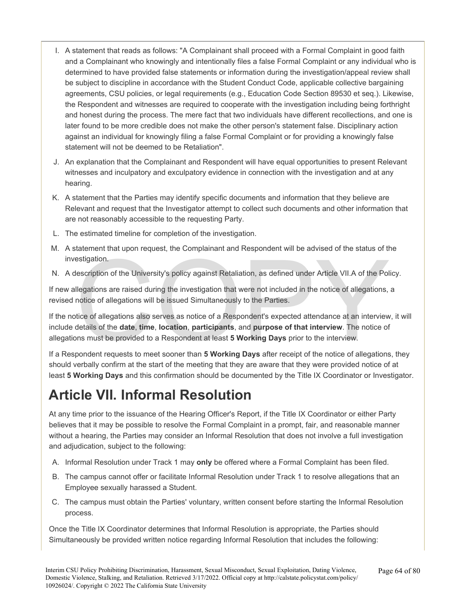- I. A statement that reads as follows: "A Complainant shall proceed with a Formal Complaint in good faith and a Complainant who knowingly and intentionally files a false Formal Complaint or any individual who is determined to have provided false statements or information during the investigation/appeal review shall be subject to discipline in accordance with the Student Conduct Code, applicable collective bargaining agreements, CSU policies, or legal requirements (e.g., Education Code Section 89530 et seq.). Likewise, the Respondent and witnesses are required to cooperate with the investigation including being forthright and honest during the process. The mere fact that two individuals have different recollections, and one is later found to be more credible does not make the other person's statement false. Disciplinary action against an individual for knowingly filing a false Formal Complaint or for providing a knowingly false statement will not be deemed to be Retaliation".
- J. An explanation that the Complainant and Respondent will have equal opportunities to present Relevant witnesses and inculpatory and exculpatory evidence in connection with the investigation and at any hearing.
- K. A statement that the Parties may identify specific documents and information that they believe are Relevant and request that the Investigator attempt to collect such documents and other information that are not reasonably accessible to the requesting Party.
- L. The estimated timeline for completion of the investigation.
- M. A statement that upon request, the Complainant and Respondent will be advised of the status of the investigation.
- N. A description of the University's policy against Retaliation, as defined under Article VII.A of the Policy.

If new allegations are raised during the investigation that were not included in the notice of allegations, a revised notice of allegations will be issued Simultaneously to the Parties.

estigation.<br>Il escription of the University's policy against Retaliation, as defined under Article VII.A of the Pol<br>Ilegations are raised during the investigation that were not included in the notice of allegations,<br>notice If the notice of allegations also serves as notice of a Respondent's expected attendance at an interview, it will include details of the **date**, **time**, **location**, **participants**, and **purpose of that interview**. The notice of allegations must be provided to a Respondent at least **5 Working Days** prior to the interview.

If a Respondent requests to meet sooner than **5 Working Days** after receipt of the notice of allegations, they should verbally confirm at the start of the meeting that they are aware that they were provided notice of at least **5 Working Days** and this confirmation should be documented by the Title IX Coordinator or Investigator.

### **Article VII. Informal Resolution**

At any time prior to the issuance of the Hearing Officer's Report, if the Title IX Coordinator or either Party believes that it may be possible to resolve the Formal Complaint in a prompt, fair, and reasonable manner without a hearing, the Parties may consider an Informal Resolution that does not involve a full investigation and adjudication, subject to the following:

- A. Informal Resolution under Track 1 may **only** be offered where a Formal Complaint has been filed.
- B. The campus cannot offer or facilitate Informal Resolution under Track 1 to resolve allegations that an Employee sexually harassed a Student.
- C. The campus must obtain the Parties' voluntary, written consent before starting the Informal Resolution process.

Once the Title IX Coordinator determines that Informal Resolution is appropriate, the Parties should Simultaneously be provided written notice regarding Informal Resolution that includes the following: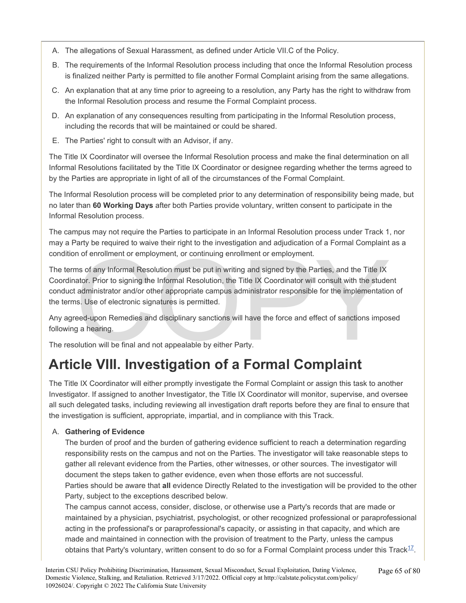- A. The allegations of Sexual Harassment, as defined under Article VII.C of the Policy.
- B. The requirements of the Informal Resolution process including that once the Informal Resolution process is finalized neither Party is permitted to file another Formal Complaint arising from the same allegations.
- C. An explanation that at any time prior to agreeing to a resolution, any Party has the right to withdraw from the Informal Resolution process and resume the Formal Complaint process.
- D. An explanation of any consequences resulting from participating in the Informal Resolution process, including the records that will be maintained or could be shared.
- E. The Parties' right to consult with an Advisor, if any.

The Title IX Coordinator will oversee the Informal Resolution process and make the final determination on all Informal Resolutions facilitated by the Title IX Coordinator or designee regarding whether the terms agreed to by the Parties are appropriate in light of all of the circumstances of the Formal Complaint.

The Informal Resolution process will be completed prior to any determination of responsibility being made, but no later than **60 Working Days** after both Parties provide voluntary, written consent to participate in the Informal Resolution process.

The campus may not require the Parties to participate in an Informal Resolution process under Track 1, nor may a Party be required to waive their right to the investigation and adjudication of a Formal Complaint as a condition of enrollment or employment, or continuing enrollment or employment.

n of enrollment or employment, or continuing enrollment or employment.<br>
In so f any Informal Resolution must be put in writing and signed by the Parties, and the Title IX<br>
ator. Prior to signing the Informal Resolution, th The terms of any Informal Resolution must be put in writing and signed by the Parties, and the Title IX Coordinator. Prior to signing the Informal Resolution, the Title IX Coordinator will consult with the student conduct administrator and/or other appropriate campus administrator responsible for the implementation of the terms. Use of electronic signatures is permitted.

Any agreed-upon Remedies and disciplinary sanctions will have the force and effect of sanctions imposed following a hearing.

The resolution will be final and not appealable by either Party.

### **Article VIII. Investigation of a Formal Complaint**

The Title IX Coordinator will either promptly investigate the Formal Complaint or assign this task to another Investigator. If assigned to another Investigator, the Title IX Coordinator will monitor, supervise, and oversee all such delegated tasks, including reviewing all investigation draft reports before they are final to ensure that the investigation is sufficient, appropriate, impartial, and in compliance with this Track.

### A. **Gathering of Evidence**

The burden of proof and the burden of gathering evidence sufficient to reach a determination regarding responsibility rests on the campus and not on the Parties. The investigator will take reasonable steps to gather all relevant evidence from the Parties, other witnesses, or other sources. The investigator will document the steps taken to gather evidence, even when those efforts are not successful.

Parties should be aware that **all** evidence Directly Related to the investigation will be provided to the other Party, subject to the exceptions described below.

The campus cannot access, consider, disclose, or otherwise use a Party's records that are made or maintained by a physician, psychiatrist, psychologist, or other recognized professional or paraprofessional acting in the professional's or paraprofessional's capacity, or assisting in that capacity, and which are made and maintained in connection with the provision of treatment to the Party, unless the campus obtains that Party's voluntary, written consent to do so for a Formal Complaint process under this Track<sup>[17](#page-77-0)</sup>.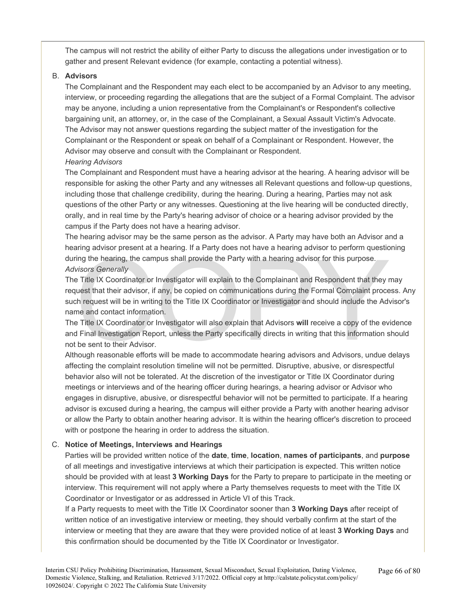The campus will not restrict the ability of either Party to discuss the allegations under investigation or to gather and present Relevant evidence (for example, contacting a potential witness).

#### B. **Advisors**

The Complainant and the Respondent may each elect to be accompanied by an Advisor to any meeting, interview, or proceeding regarding the allegations that are the subject of a Formal Complaint. The advisor may be anyone, including a union representative from the Complainant's or Respondent's collective bargaining unit, an attorney, or, in the case of the Complainant, a Sexual Assault Victim's Advocate. The Advisor may not answer questions regarding the subject matter of the investigation for the Complainant or the Respondent or speak on behalf of a Complainant or Respondent. However, the Advisor may observe and consult with the Complainant or Respondent.

### *Hearing Advisors*

The Complainant and Respondent must have a hearing advisor at the hearing. A hearing advisor will be responsible for asking the other Party and any witnesses all Relevant questions and follow-up questions, including those that challenge credibility, during the hearing. During a hearing, Parties may not ask questions of the other Party or any witnesses. Questioning at the live hearing will be conducted directly, orally, and in real time by the Party's hearing advisor of choice or a hearing advisor provided by the campus if the Party does not have a hearing advisor.

The hearing advisor may be the same person as the advisor. A Party may have both an Advisor and a hearing advisor present at a hearing. If a Party does not have a hearing advisor to perform questioning during the hearing, the campus shall provide the Party with a hearing advisor for this purpose. *Advisors Generally* 

Thing the hearing, the campus shall provide the Party with a hearing advisor to this purpose.<br>
Strong the hearing, the campus shall provide the Party with a hearing advisor for this purpose.<br>
Title IX Coordinator or Invest The Title IX Coordinator or Investigator will explain to the Complainant and Respondent that they may request that their advisor, if any, be copied on communications during the Formal Complaint process. Any such request will be in writing to the Title IX Coordinator or Investigator and should include the Advisor's name and contact information.

The Title IX Coordinator or Investigator will also explain that Advisors **will** receive a copy of the evidence and Final Investigation Report, unless the Party specifically directs in writing that this information should not be sent to their Advisor.

Although reasonable efforts will be made to accommodate hearing advisors and Advisors, undue delays affecting the complaint resolution timeline will not be permitted. Disruptive, abusive, or disrespectful behavior also will not be tolerated. At the discretion of the investigator or Title IX Coordinator during meetings or interviews and of the hearing officer during hearings, a hearing advisor or Advisor who engages in disruptive, abusive, or disrespectful behavior will not be permitted to participate. If a hearing advisor is excused during a hearing, the campus will either provide a Party with another hearing advisor or allow the Party to obtain another hearing advisor. It is within the hearing officer's discretion to proceed with or postpone the hearing in order to address the situation.

#### C. **Notice of Meetings, Interviews and Hearings**

Parties will be provided written notice of the **date**, **time**, **location**, **names of participants**, and **purpose**  of all meetings and investigative interviews at which their participation is expected. This written notice should be provided with at least **3 Working Days** for the Party to prepare to participate in the meeting or interview. This requirement will not apply where a Party themselves requests to meet with the Title IX Coordinator or Investigator or as addressed in Article VI of this Track.

If a Party requests to meet with the Title IX Coordinator sooner than **3 Working Days** after receipt of written notice of an investigative interview or meeting, they should verbally confirm at the start of the interview or meeting that they are aware that they were provided notice of at least **3 Working Days** and this confirmation should be documented by the Title IX Coordinator or Investigator.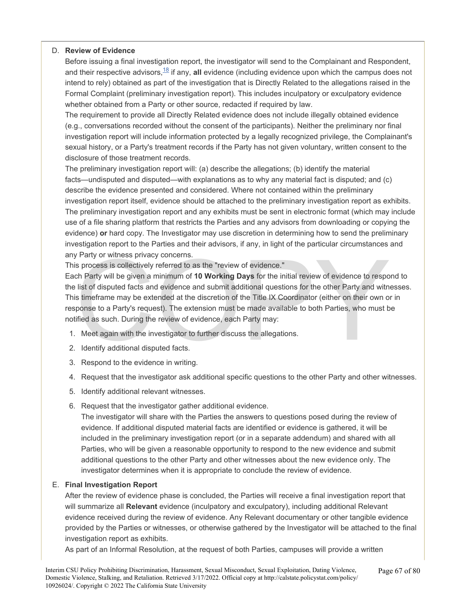#### D. **Review of Evidence**

Before issuing a final investigation report, the investigator will send to the Complainant and Respondent, and their respective advisors,<sup>[18](#page-77-0)</sup> if any, all evidence (including evidence upon which the campus does not intend to rely) obtained as part of the investigation that is Directly Related to the allegations raised in the Formal Complaint (preliminary investigation report). This includes inculpatory or exculpatory evidence whether obtained from a Party or other source, redacted if required by law.

The requirement to provide all Directly Related evidence does not include illegally obtained evidence (e.g., conversations recorded without the consent of the participants). Neither the preliminary nor final investigation report will include information protected by a legally recognized privilege, the Complainant's sexual history, or a Party's treatment records if the Party has not given voluntary, written consent to the disclosure of those treatment records.

The preliminary investigation report will: (a) describe the allegations; (b) identify the material facts—undisputed and disputed—with explanations as to why any material fact is disputed; and (c) describe the evidence presented and considered. Where not contained within the preliminary investigation report itself, evidence should be attached to the preliminary investigation report as exhibits. The preliminary investigation report and any exhibits must be sent in electronic format (which may include use of a file sharing platform that restricts the Parties and any advisors from downloading or copying the evidence) **or** hard copy. The Investigator may use discretion in determining how to send the preliminary investigation report to the Parties and their advisors, if any, in light of the particular circumstances and any Party or witness privacy concerns.

This process is collectively referred to as the "review of evidence."

party or witness privacy concerns.<br>
s process is collectively referred to as the "review of evidence."<br>
ch Party will be given a minimum of **10 Working Days** for the initial review of evidence to respone list of disputed f Each Party will be given a minimum of **10 Working Days** for the initial review of evidence to respond to the list of disputed facts and evidence and submit additional questions for the other Party and witnesses. This timeframe may be extended at the discretion of the Title IX Coordinator (either on their own or in response to a Party's request). The extension must be made available to both Parties, who must be notified as such. During the review of evidence, each Party may:

- 1. Meet again with the investigator to further discuss the allegations.
- 2. Identify additional disputed facts.
- 3. Respond to the evidence in writing.
- 4. Request that the investigator ask additional specific questions to the other Party and other witnesses.
- 5. Identify additional relevant witnesses.
- 6. Request that the investigator gather additional evidence.

The investigator will share with the Parties the answers to questions posed during the review of evidence. If additional disputed material facts are identified or evidence is gathered, it will be included in the preliminary investigation report (or in a separate addendum) and shared with all Parties, who will be given a reasonable opportunity to respond to the new evidence and submit additional questions to the other Party and other witnesses about the new evidence only. The investigator determines when it is appropriate to conclude the review of evidence.

#### E. **Final Investigation Report**

After the review of evidence phase is concluded, the Parties will receive a final investigation report that will summarize all **Relevant** evidence (inculpatory and exculpatory), including additional Relevant evidence received during the review of evidence. Any Relevant documentary or other tangible evidence provided by the Parties or witnesses, or otherwise gathered by the Investigator will be attached to the final investigation report as exhibits.

As part of an Informal Resolution, at the request of both Parties, campuses will provide a written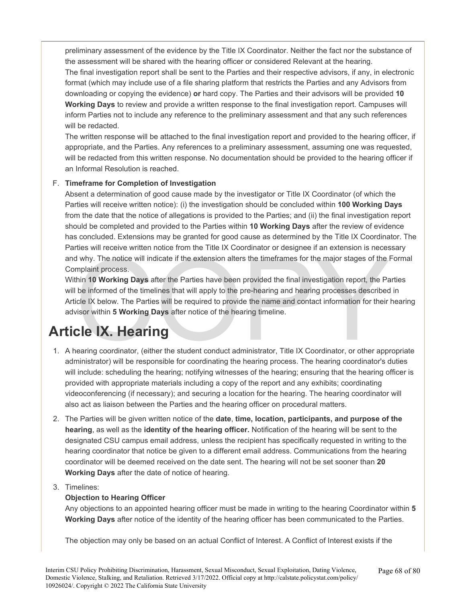preliminary assessment of the evidence by the Title IX Coordinator. Neither the fact nor the substance of the assessment will be shared with the hearing officer or considered Relevant at the hearing.

The final investigation report shall be sent to the Parties and their respective advisors, if any, in electronic format (which may include use of a file sharing platform that restricts the Parties and any Advisors from downloading or copying the evidence) **or** hard copy. The Parties and their advisors will be provided **10 Working Days** to review and provide a written response to the final investigation report. Campuses will inform Parties not to include any reference to the preliminary assessment and that any such references will be redacted.

The written response will be attached to the final investigation report and provided to the hearing officer, if appropriate, and the Parties. Any references to a preliminary assessment, assuming one was requested, will be redacted from this written response. No documentation should be provided to the hearing officer if an Informal Resolution is reached.

### F. **Timeframe for Completion of Investigation**

Absent a determination of good cause made by the investigator or Title IX Coordinator (of which the Parties will receive written notice): (i) the investigation should be concluded within **100 Working Days**  from the date that the notice of allegations is provided to the Parties; and (ii) the final investigation report should be completed and provided to the Parties within **10 Working Days** after the review of evidence has concluded. Extensions may be granted for good cause as determined by the Title IX Coordinator. The Parties will receive written notice from the Title IX Coordinator or designee if an extension is necessary and why. The notice will indicate if the extension alters the timeframes for the major stages of the Formal Complaint process.

The motion of the student conduct administrator, Title IX Coordinator, or other applicated that conduct the student conduct administrator. The New motion of the timelines that will apply to the pre-hearing and hearing proc Within **10 Working Days** after the Parties have been provided the final investigation report, the Parties will be informed of the timelines that will apply to the pre-hearing and hearing processes described in Article IX below. The Parties will be required to provide the name and contact information for their hearing advisor within **5 Working Days** after notice of the hearing timeline.

# **Article IX. Hearing**

- 1. A hearing coordinator, (either the student conduct administrator, Title IX Coordinator, or other appropriate administrator) will be responsible for coordinating the hearing process. The hearing coordinator's duties will include: scheduling the hearing; notifying witnesses of the hearing; ensuring that the hearing officer is provided with appropriate materials including a copy of the report and any exhibits; coordinating videoconferencing (if necessary); and securing a location for the hearing. The hearing coordinator will also act as liaison between the Parties and the hearing officer on procedural matters.
- 2. The Parties will be given written notice of the **date**, **time, location, participants, and purpose of the hearing**, as well as the **identity of the hearing officer.** Notification of the hearing will be sent to the designated CSU campus email address, unless the recipient has specifically requested in writing to the hearing coordinator that notice be given to a different email address. Communications from the hearing coordinator will be deemed received on the date sent. The hearing will not be set sooner than **20 Working Days** after the date of notice of hearing.

### 3. Timelines:

### **Objection to Hearing Officer**

Any objections to an appointed hearing officer must be made in writing to the hearing Coordinator within **5 Working Days** after notice of the identity of the hearing officer has been communicated to the Parties.

The objection may only be based on an actual Conflict of Interest. A Conflict of Interest exists if the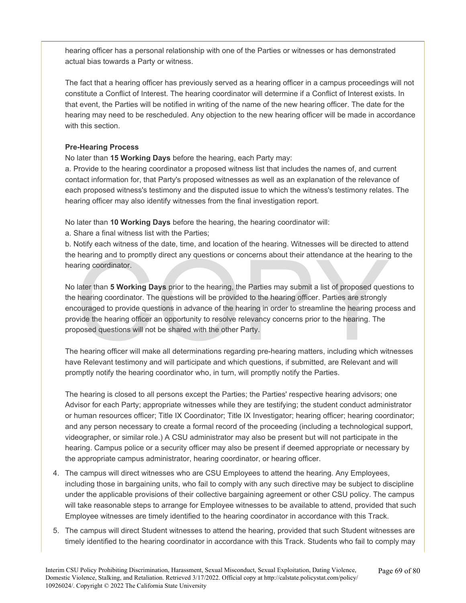hearing officer has a personal relationship with one of the Parties or witnesses or has demonstrated actual bias towards a Party or witness.

The fact that a hearing officer has previously served as a hearing officer in a campus proceedings will not constitute a Conflict of Interest. The hearing coordinator will determine if a Conflict of Interest exists. In that event, the Parties will be notified in writing of the name of the new hearing officer. The date for the hearing may need to be rescheduled. Any objection to the new hearing officer will be made in accordance with this section.

### **Pre-Hearing Process**

No later than **15 Working Days** before the hearing, each Party may:

a. Provide to the hearing coordinator a proposed witness list that includes the names of, and current contact information for, that Party's proposed witnesses as well as an explanation of the relevance of each proposed witness's testimony and the disputed issue to which the witness's testimony relates. The hearing officer may also identify witnesses from the final investigation report.

No later than **10 Working Days** before the hearing, the hearing coordinator will:

a. Share a final witness list with the Parties;

b. Notify each witness of the date, time, and location of the hearing. Witnesses will be directed to attend the hearing and to promptly direct any questions or concerns about their attendance at the hearing to the hearing coordinator.

hearing and to promptly direct any questions or concerns about their attendance at the hearing<br>aring coordinator.<br>Later than 5 Working Days prior to the hearing, the Parties may submit a list of proposed ques<br>hearing coord No later than **5 Working Days** prior to the hearing, the Parties may submit a list of proposed questions to the hearing coordinator. The questions will be provided to the hearing officer. Parties are strongly encouraged to provide questions in advance of the hearing in order to streamline the hearing process and provide the hearing officer an opportunity to resolve relevancy concerns prior to the hearing. The proposed questions will not be shared with the other Party.

The hearing officer will make all determinations regarding pre-hearing matters, including which witnesses have Relevant testimony and will participate and which questions, if submitted, are Relevant and will promptly notify the hearing coordinator who, in turn, will promptly notify the Parties.

The hearing is closed to all persons except the Parties; the Parties' respective hearing advisors; one Advisor for each Party; appropriate witnesses while they are testifying; the student conduct administrator or human resources officer; Title IX Coordinator; Title IX Investigator; hearing officer; hearing coordinator; and any person necessary to create a formal record of the proceeding (including a technological support, videographer, or similar role.) A CSU administrator may also be present but will not participate in the hearing. Campus police or a security officer may also be present if deemed appropriate or necessary by the appropriate campus administrator, hearing coordinator, or hearing officer.

- 4. The campus will direct witnesses who are CSU Employees to attend the hearing. Any Employees, including those in bargaining units, who fail to comply with any such directive may be subject to discipline under the applicable provisions of their collective bargaining agreement or other CSU policy. The campus will take reasonable steps to arrange for Employee witnesses to be available to attend, provided that such Employee witnesses are timely identified to the hearing coordinator in accordance with this Track.
- 5. The campus will direct Student witnesses to attend the hearing, provided that such Student witnesses are timely identified to the hearing coordinator in accordance with this Track. Students who fail to comply may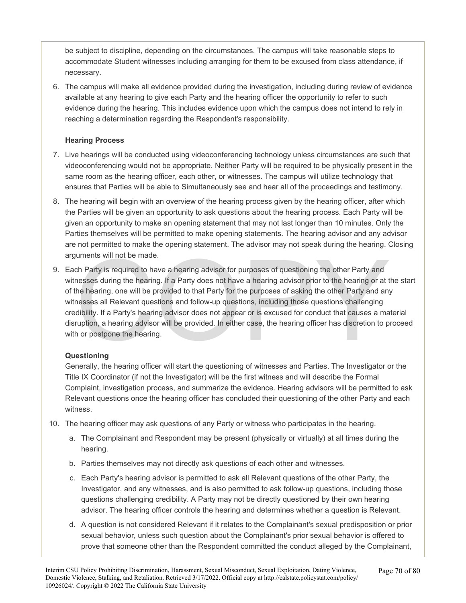be subject to discipline, depending on the circumstances. The campus will take reasonable steps to accommodate Student witnesses including arranging for them to be excused from class attendance, if necessary.

6. The campus will make all evidence provided during the investigation, including during review of evidence available at any hearing to give each Party and the hearing officer the opportunity to refer to such evidence during the hearing. This includes evidence upon which the campus does not intend to rely in reaching a determination regarding the Respondent's responsibility.

### **Hearing Process**

- 7. Live hearings will be conducted using videoconferencing technology unless circumstances are such that videoconferencing would not be appropriate. Neither Party will be required to be physically present in the same room as the hearing officer, each other, or witnesses. The campus will utilize technology that ensures that Parties will be able to Simultaneously see and hear all of the proceedings and testimony.
- 8. The hearing will begin with an overview of the hearing process given by the hearing officer, after which the Parties will be given an opportunity to ask questions about the hearing process. Each Party will be given an opportunity to make an opening statement that may not last longer than 10 minutes. Only the Parties themselves will be permitted to make opening statements. The hearing advisor and any advisor are not permitted to make the opening statement. The advisor may not speak during the hearing. Closing arguments will not be made.
- uments will not be made.<br>
ch Party is required to have a hearing advisor for purposes of questioning the other Party and<br>
nesses during the hearing. If a Party does not have a hearing advisor prior to the hearing or at t<br> 9. Each Party is required to have a hearing advisor for purposes of questioning the other Party and witnesses during the hearing. If a Party does not have a hearing advisor prior to the hearing or at the start of the hearing, one will be provided to that Party for the purposes of asking the other Party and any witnesses all Relevant questions and follow-up questions, including those questions challenging credibility. If a Party's hearing advisor does not appear or is excused for conduct that causes a material disruption, a hearing advisor will be provided. In either case, the hearing officer has discretion to proceed with or postpone the hearing.

### **Questioning**

Generally, the hearing officer will start the questioning of witnesses and Parties. The Investigator or the Title IX Coordinator (if not the Investigator) will be the first witness and will describe the Formal Complaint, investigation process, and summarize the evidence. Hearing advisors will be permitted to ask Relevant questions once the hearing officer has concluded their questioning of the other Party and each witness.

- 10. The hearing officer may ask questions of any Party or witness who participates in the hearing.
	- a. The Complainant and Respondent may be present (physically or virtually) at all times during the hearing.
	- b. Parties themselves may not directly ask questions of each other and witnesses.
	- c. Each Party's hearing advisor is permitted to ask all Relevant questions of the other Party, the Investigator, and any witnesses, and is also permitted to ask follow-up questions, including those questions challenging credibility. A Party may not be directly questioned by their own hearing advisor. The hearing officer controls the hearing and determines whether a question is Relevant.
	- d. A question is not considered Relevant if it relates to the Complainant's sexual predisposition or prior sexual behavior, unless such question about the Complainant's prior sexual behavior is offered to prove that someone other than the Respondent committed the conduct alleged by the Complainant,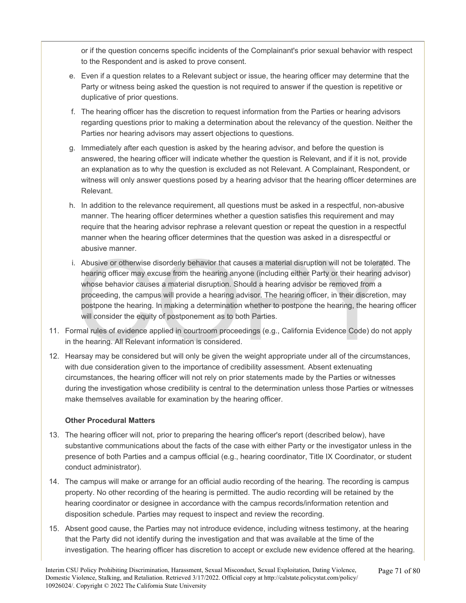or if the question concerns specific incidents of the Complainant's prior sexual behavior with respect to the Respondent and is asked to prove consent.

- e. Even if a question relates to a Relevant subject or issue, the hearing officer may determine that the Party or witness being asked the question is not required to answer if the question is repetitive or duplicative of prior questions.
- f. The hearing officer has the discretion to request information from the Parties or hearing advisors regarding questions prior to making a determination about the relevancy of the question. Neither the Parties nor hearing advisors may assert objections to questions.
- g. Immediately after each question is asked by the hearing advisor, and before the question is answered, the hearing officer will indicate whether the question is Relevant, and if it is not, provide an explanation as to why the question is excluded as not Relevant. A Complainant, Respondent, or witness will only answer questions posed by a hearing advisor that the hearing officer determines are Relevant.
- h. In addition to the relevance requirement, all questions must be asked in a respectful, non-abusive manner. The hearing officer determines whether a question satisfies this requirement and may require that the hearing advisor rephrase a relevant question or repeat the question in a respectful manner when the hearing officer determines that the question was asked in a disrespectful or abusive manner.
- Abusive or otherwise disorderly behavior that causes a material disruption will not be tolerate<br>hearing officer may excuse from the hearing anyone (including either Party or their hearing ac<br>whose behavior causes a materia i. Abusive or otherwise disorderly behavior that causes a material disruption will not be tolerated. The hearing officer may excuse from the hearing anyone (including either Party or their hearing advisor) whose behavior causes a material disruption. Should a hearing advisor be removed from a proceeding, the campus will provide a hearing advisor. The hearing officer, in their discretion, may postpone the hearing. In making a determination whether to postpone the hearing, the hearing officer will consider the equity of postponement as to both Parties.
- 11. Formal rules of evidence applied in courtroom proceedings (e.g., California Evidence Code) do not apply in the hearing. All Relevant information is considered.
- 12. Hearsay may be considered but will only be given the weight appropriate under all of the circumstances, with due consideration given to the importance of credibility assessment. Absent extenuating circumstances, the hearing officer will not rely on prior statements made by the Parties or witnesses during the investigation whose credibility is central to the determination unless those Parties or witnesses make themselves available for examination by the hearing officer.

#### **Other Procedural Matters**

- 13. The hearing officer will not, prior to preparing the hearing officer's report (described below), have substantive communications about the facts of the case with either Party or the investigator unless in the presence of both Parties and a campus official (e.g., hearing coordinator, Title IX Coordinator, or student conduct administrator).
- 14. The campus will make or arrange for an official audio recording of the hearing. The recording is campus property. No other recording of the hearing is permitted. The audio recording will be retained by the hearing coordinator or designee in accordance with the campus records/information retention and disposition schedule. Parties may request to inspect and review the recording.
- 15. Absent good cause, the Parties may not introduce evidence, including witness testimony, at the hearing that the Party did not identify during the investigation and that was available at the time of the investigation. The hearing officer has discretion to accept or exclude new evidence offered at the hearing.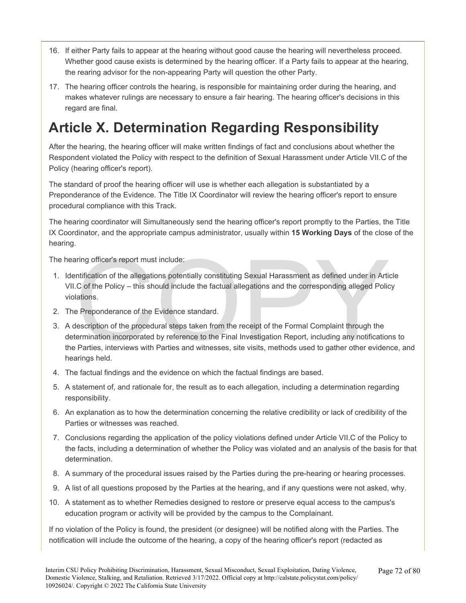- 16. If either Party fails to appear at the hearing without good cause the hearing will nevertheless proceed. Whether good cause exists is determined by the hearing officer. If a Party fails to appear at the hearing, the rearing advisor for the non-appearing Party will question the other Party.
- 17. The hearing officer controls the hearing, is responsible for maintaining order during the hearing, and makes whatever rulings are necessary to ensure a fair hearing. The hearing officer's decisions in this regard are final.

# **Article X. Determination Regarding Responsibility**

After the hearing, the hearing officer will make written findings of fact and conclusions about whether the Respondent violated the Policy with respect to the definition of Sexual Harassment under Article VII.C of the Policy (hearing officer's report).

The standard of proof the hearing officer will use is whether each allegation is substantiated by a Preponderance of the Evidence. The Title IX Coordinator will review the hearing officer's report to ensure procedural compliance with this Track.

The hearing coordinator will Simultaneously send the hearing officer's report promptly to the Parties, the Title IX Coordinator, and the appropriate campus administrator, usually within **15 Working Days** of the close of the hearing.

The hearing officer's report must include:

- 1. Identification of the allegations potentially constituting Sexual Harassment as defined under in Article VII.C of the Policy – this should include the factual allegations and the corresponding alleged Policy violations.
- 2. The Preponderance of the Evidence standard.
- inity officer's report must include:<br>
Intification of the allegations potentially constituting Sexual Harassment as defined under in Artic<br>
C. Of the Policy this should include the factual allegations and the correspondi 3. A description of the procedural steps taken from the receipt of the Formal Complaint through the determination incorporated by reference to the Final Investigation Report, including any notifications to the Parties, interviews with Parties and witnesses, site visits, methods used to gather other evidence, and hearings held.
- 4. The factual findings and the evidence on which the factual findings are based.
- 5. A statement of, and rationale for, the result as to each allegation, including a determination regarding responsibility.
- 6. An explanation as to how the determination concerning the relative credibility or lack of credibility of the Parties or witnesses was reached.
- 7. Conclusions regarding the application of the policy violations defined under Article VII.C of the Policy to the facts, including a determination of whether the Policy was violated and an analysis of the basis for that determination.
- 8. A summary of the procedural issues raised by the Parties during the pre-hearing or hearing processes.
- 9. A list of all questions proposed by the Parties at the hearing, and if any questions were not asked, why.
- 10. A statement as to whether Remedies designed to restore or preserve equal access to the campus's education program or activity will be provided by the campus to the Complainant.

If no violation of the Policy is found, the president (or designee) will be notified along with the Parties. The notification will include the outcome of the hearing, a copy of the hearing officer's report (redacted as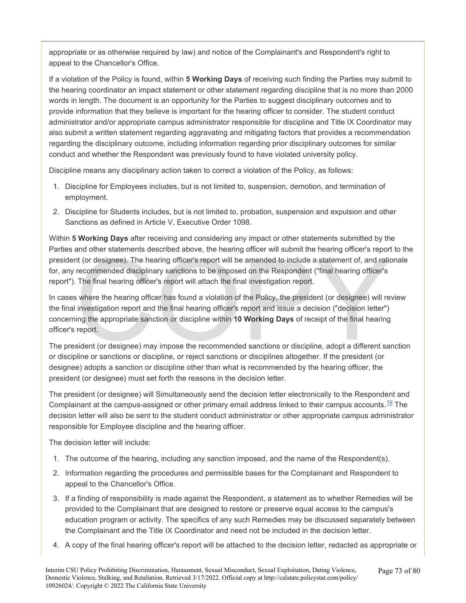appropriate or as otherwise required by law) and notice of the Complainant's and Respondent's right to appeal to the Chancellor's Office.

If a violation of the Policy is found, within **5 Working Days** of receiving such finding the Parties may submit to the hearing coordinator an impact statement or other statement regarding discipline that is no more than 2000 words in length. The document is an opportunity for the Parties to suggest disciplinary outcomes and to provide information that they believe is important for the hearing officer to consider. The student conduct administrator and/or appropriate campus administrator responsible for discipline and Title IX Coordinator may also submit a written statement regarding aggravating and mitigating factors that provides a recommendation regarding the disciplinary outcome, including information regarding prior disciplinary outcomes for similar conduct and whether the Respondent was previously found to have violated university policy.

Discipline means any disciplinary action taken to correct a violation of the Policy, as follows:

- 1. Discipline for Employees includes, but is not limited to, suspension, demotion, and termination of employment.
- 2. Discipline for Students includes, but is not limited to, probation, suspension and expulsion and other Sanctions as defined in Article V, Executive Order 1098.

Within **5 Working Days** after receiving and considering any impact or other statements submitted by the Parties and other statements described above, the hearing officer will submit the hearing officer's report to the president (or designee). The hearing officer's report will be amended to include a statement of, and rationale for, any recommended disciplinary sanctions to be imposed on the Respondent ("final hearing officer's report"). The final hearing officer's report will attach the final investigation report.

and other statements described above, the health guiter will subtitute health giotter's report of (or designee). The hearing officer's report will be amended to include a statement of, and ration recommended disciplinary s In cases where the hearing officer has found a violation of the Policy, the president (or designee) will review the final investigation report and the final hearing officer's report and issue a decision ("decision letter") concerning the appropriate sanction or discipline within **10 Working Days** of receipt of the final hearing officer's report.

The president (or designee) may impose the recommended sanctions or discipline, adopt a different sanction or discipline or sanctions or discipline, or reject sanctions or disciplines altogether. If the president (or designee) adopts a sanction or discipline other than what is recommended by the hearing officer, the president (or designee) must set forth the reasons in the decision letter.

The president (or designee) will Simultaneously send the decision letter electronically to the Respondent and Complainant at the campus-assigned or other primary email address linked to their campus accounts.<sup>[19](#page-77-0)</sup> The decision letter will also be sent to the student conduct administrator or other appropriate campus administrator responsible for Employee discipline and the hearing officer.

The decision letter will include:

- 1. The outcome of the hearing, including any sanction imposed, and the name of the Respondent(s).
- 2. Information regarding the procedures and permissible bases for the Complainant and Respondent to appeal to the Chancellor's Office.
- 3. If a finding of responsibility is made against the Respondent, a statement as to whether Remedies will be provided to the Complainant that are designed to restore or preserve equal access to the campus's education program or activity. The specifics of any such Remedies may be discussed separately between the Complainant and the Title IX Coordinator and need not be included in the decision letter.
- 4. A copy of the final hearing officer's report will be attached to the decision letter, redacted as appropriate or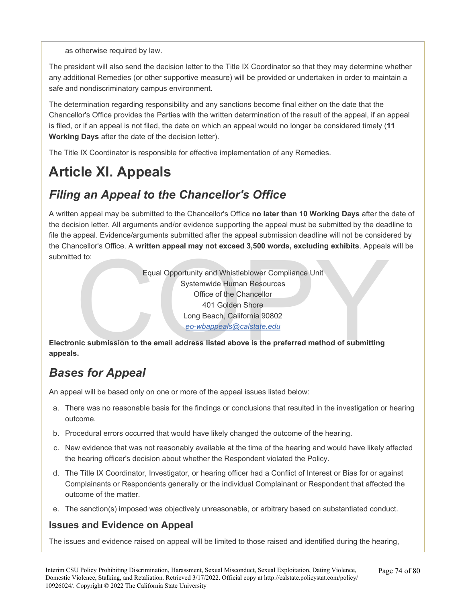as otherwise required by law.

The president will also send the decision letter to the Title IX Coordinator so that they may determine whether any additional Remedies (or other supportive measure) will be provided or undertaken in order to maintain a safe and nondiscriminatory campus environment.

The determination regarding responsibility and any sanctions become final either on the date that the Chancellor's Office provides the Parties with the written determination of the result of the appeal, if an appeal is filed, or if an appeal is not filed, the date on which an appeal would no longer be considered timely (**11 Working Days** after the date of the decision letter).

The Title IX Coordinator is responsible for effective implementation of any Remedies.

# **Article XI. Appeals**

# *Filing an Appeal to the Chancellor's Office*

A written appeal may be submitted to the Chancellor's Office **no later than 10 Working Days** after the date of the decision letter. All arguments and/or evidence supporting the appeal must be submitted by the deadline to file the appeal. Evidence/arguments submitted after the appeal submission deadline will not be considered by the Chancellor's Office. A **written appeal may not exceed 3,500 words, excluding exhibits**. Appeals will be submitted to:

Equal Opportunity and Whistleblower Compliance Unit<br>Systemwide Human Resources<br>Office of the Chancellor<br>401 Golden Shore<br>Long Beach, California 90802<br><u>eo-wbappeals@calstate.edu</u><br>nic submission to the email address listed a Equal Opportunity and Whistleblower Compliance Unit Systemwide Human Resources Office of the Chancellor 401 Golden Shore Long Beach, California 90802 *eo-wbappeals@calstate.edu* 

**Electronic submission to the email address listed above is the preferred method of submitting appeals.** 

# *Bases for Appeal*

An appeal will be based only on one or more of the appeal issues listed below:

- a. There was no reasonable basis for the findings or conclusions that resulted in the investigation or hearing outcome.
- b. Procedural errors occurred that would have likely changed the outcome of the hearing.
- c. New evidence that was not reasonably available at the time of the hearing and would have likely affected the hearing officer's decision about whether the Respondent violated the Policy.
- d. The Title IX Coordinator, Investigator, or hearing officer had a Conflict of Interest or Bias for or against Complainants or Respondents generally or the individual Complainant or Respondent that affected the outcome of the matter.
- e. The sanction(s) imposed was objectively unreasonable, or arbitrary based on substantiated conduct.

## **Issues and Evidence on Appeal**

The issues and evidence raised on appeal will be limited to those raised and identified during the hearing,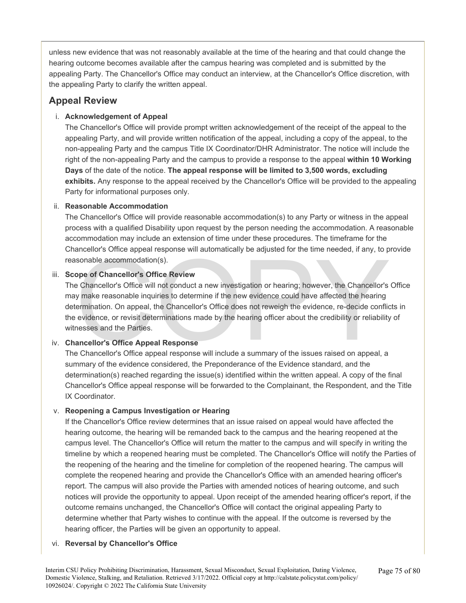unless new evidence that was not reasonably available at the time of the hearing and that could change the hearing outcome becomes available after the campus hearing was completed and is submitted by the appealing Party. The Chancellor's Office may conduct an interview, at the Chancellor's Office discretion, with the appealing Party to clarify the written appeal.

## **Appeal Review**

## i. **Acknowledgement of Appeal**

The Chancellor's Office will provide prompt written acknowledgement of the receipt of the appeal to the appealing Party, and will provide written notification of the appeal, including a copy of the appeal, to the non-appealing Party and the campus Title IX Coordinator/DHR Administrator. The notice will include the right of the non-appealing Party and the campus to provide a response to the appeal **within 10 Working Days** of the date of the notice. **The appeal response will be limited to 3,500 words, excluding exhibits.** Any response to the appeal received by the Chancellor's Office will be provided to the appealing Party for informational purposes only.

## ii. **Reasonable Accommodation**

The Chancellor's Office will provide reasonable accommodation(s) to any Party or witness in the appeal process with a qualified Disability upon request by the person needing the accommodation. A reasonable accommodation may include an extension of time under these procedures. The timeframe for the Chancellor's Office appeal response will automatically be adjusted for the time needed, if any, to provide reasonable accommodation(s).

## iii. **Scope of Chancellor's Office Review**

ancellor's Office Mondation(s).<br>
Ope of Chancellor's Office Review<br>
Chancellor's Office Review<br>
Chancellor's Office Review<br>
Chancellor's Office Review<br>
Chancellor's Office Review<br>
Chancellor's Office Review<br>
Chancellor's O The Chancellor's Office will not conduct a new investigation or hearing; however, the Chancellor's Office may make reasonable inquiries to determine if the new evidence could have affected the hearing determination. On appeal, the Chancellor's Office does not reweigh the evidence, re-decide conflicts in the evidence, or revisit determinations made by the hearing officer about the credibility or reliability of witnesses and the Parties.

## iv. **Chancellor's Office Appeal Response**

The Chancellor's Office appeal response will include a summary of the issues raised on appeal, a summary of the evidence considered, the Preponderance of the Evidence standard, and the determination(s) reached regarding the issue(s) identified within the written appeal. A copy of the final Chancellor's Office appeal response will be forwarded to the Complainant, the Respondent, and the Title IX Coordinator.

## v. **Reopening a Campus Investigation or Hearing**

If the Chancellor's Office review determines that an issue raised on appeal would have affected the hearing outcome, the hearing will be remanded back to the campus and the hearing reopened at the campus level. The Chancellor's Office will return the matter to the campus and will specify in writing the timeline by which a reopened hearing must be completed. The Chancellor's Office will notify the Parties of the reopening of the hearing and the timeline for completion of the reopened hearing. The campus will complete the reopened hearing and provide the Chancellor's Office with an amended hearing officer's report. The campus will also provide the Parties with amended notices of hearing outcome, and such notices will provide the opportunity to appeal. Upon receipt of the amended hearing officer's report, if the outcome remains unchanged, the Chancellor's Office will contact the original appealing Party to determine whether that Party wishes to continue with the appeal. If the outcome is reversed by the hearing officer, the Parties will be given an opportunity to appeal.

#### vi. **Reversal by Chancellor's Office**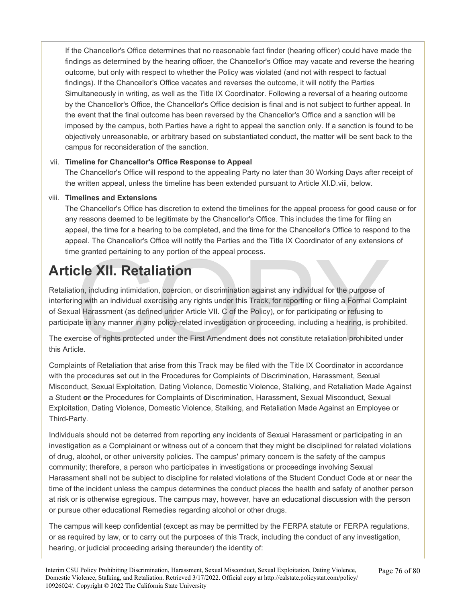If the Chancellor's Office determines that no reasonable fact finder (hearing officer) could have made the findings as determined by the hearing officer, the Chancellor's Office may vacate and reverse the hearing outcome, but only with respect to whether the Policy was violated (and not with respect to factual findings). If the Chancellor's Office vacates and reverses the outcome, it will notify the Parties Simultaneously in writing, as well as the Title IX Coordinator. Following a reversal of a hearing outcome by the Chancellor's Office, the Chancellor's Office decision is final and is not subject to further appeal. In the event that the final outcome has been reversed by the Chancellor's Office and a sanction will be imposed by the campus, both Parties have a right to appeal the sanction only. If a sanction is found to be objectively unreasonable, or arbitrary based on substantiated conduct, the matter will be sent back to the campus for reconsideration of the sanction.

#### vii. **Timeline for Chancellor's Office Response to Appeal**

The Chancellor's Office will respond to the appealing Party no later than 30 Working Days after receipt of the written appeal, unless the timeline has been extended pursuant to Article XI.D.viii, below.

#### viii. **Timelines and Extensions**

The Chancellor's Office has discretion to extend the timelines for the appeal process for good cause or for any reasons deemed to be legitimate by the Chancellor's Office. This includes the time for filing an appeal, the time for a hearing to be completed, and the time for the Chancellor's Office to respond to the appeal. The Chancellor's Office will notify the Parties and the Title IX Coordinator of any extensions of time granted pertaining to any portion of the appeal process.

# **Article XII. Retaliation**

e granted pertaining to any portion of the appeal process.<br>
Cle XII. Retaliation<br>
ion, including intimidation, coercion, or discrimination against any individual for the purpose of<br>
mg with an individual exercising any rig Retaliation, including intimidation, coercion, or discrimination against any individual for the purpose of interfering with an individual exercising any rights under this Track, for reporting or filing a Formal Complaint of Sexual Harassment (as defined under Article VII. C of the Policy), or for participating or refusing to participate in any manner in any policy-related investigation or proceeding, including a hearing, is prohibited.

The exercise of rights protected under the First Amendment does not constitute retaliation prohibited under this Article.

Complaints of Retaliation that arise from this Track may be filed with the Title IX Coordinator in accordance with the procedures set out in the Procedures for Complaints of Discrimination, Harassment, Sexual Misconduct, Sexual Exploitation, Dating Violence, Domestic Violence, Stalking, and Retaliation Made Against a Student **or** the Procedures for Complaints of Discrimination, Harassment, Sexual Misconduct, Sexual Exploitation, Dating Violence, Domestic Violence, Stalking, and Retaliation Made Against an Employee or Third-Party.

Individuals should not be deterred from reporting any incidents of Sexual Harassment or participating in an investigation as a Complainant or witness out of a concern that they might be disciplined for related violations of drug, alcohol, or other university policies. The campus' primary concern is the safety of the campus community; therefore, a person who participates in investigations or proceedings involving Sexual Harassment shall not be subject to discipline for related violations of the Student Conduct Code at or near the time of the incident unless the campus determines the conduct places the health and safety of another person at risk or is otherwise egregious. The campus may, however, have an educational discussion with the person or pursue other educational Remedies regarding alcohol or other drugs.

The campus will keep confidential (except as may be permitted by the FERPA statute or FERPA regulations, or as required by law, or to carry out the purposes of this Track, including the conduct of any investigation, hearing, or judicial proceeding arising thereunder) the identity of: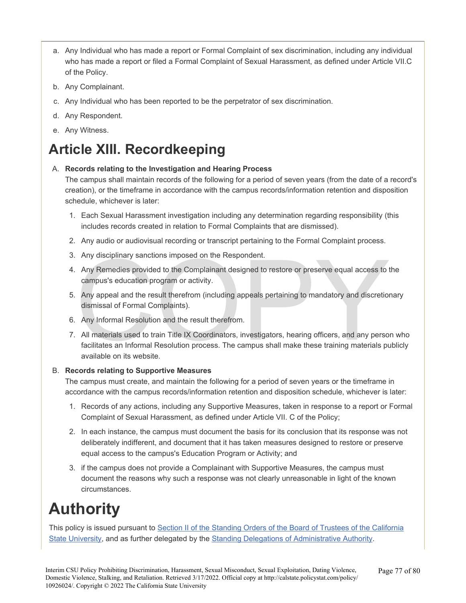- a. Any Individual who has made a report or Formal Complaint of sex discrimination, including any individual who has made a report or filed a Formal Complaint of Sexual Harassment, as defined under Article VII.C of the Policy.
- b. Any Complainant.
- c. Any Individual who has been reported to be the perpetrator of sex discrimination.
- d. Any Respondent.
- e. Any Witness.

# **Article XIII. Recordkeeping**

#### A. **Records relating to the Investigation and Hearing Process**

The campus shall maintain records of the following for a period of seven years (from the date of a record's creation), or the timeframe in accordance with the campus records/information retention and disposition schedule, whichever is later:

- 1. Each Sexual Harassment investigation including any determination regarding responsibility (this includes records created in relation to Formal Complaints that are dismissed).
- 2. Any audio or audiovisual recording or transcript pertaining to the Formal Complaint process.
- 3. Any disciplinary sanctions imposed on the Respondent.
- 4. Any Remedies provided to the Complainant designed to restore or preserve equal access to the campus's education program or activity.
- 5. Any appeal and the result therefrom (including appeals pertaining to mandatory and discretionary dismissal of Formal Complaints).
- 6. Any Informal Resolution and the result therefrom.
- Any disciplinary sanctions imposed on the Respondent.<br>
Any Remedies provided to the Complainant designed to restore or preserve equal access to t<br>
campus's education program or activity.<br>
Any appeal and the result therefro 7. All materials used to train Title IX Coordinators, investigators, hearing officers, and any person who facilitates an Informal Resolution process. The campus shall make these training materials publicly available on its website.

#### B. **Records relating to Supportive Measures**

The campus must create, and maintain the following for a period of seven years or the timeframe in accordance with the campus records/information retention and disposition schedule, whichever is later:

- 1. Records of any actions, including any Supportive Measures, taken in response to a report or Formal Complaint of Sexual Harassment, as defined under Article VII. C of the Policy;
- 2. In each instance, the campus must document the basis for its conclusion that its response was not deliberately indifferent, and document that it has taken measures designed to restore or preserve equal access to the campus's Education Program or Activity; and
- 3. if the campus does not provide a Complainant with Supportive Measures, the campus must document the reasons why such a response was not clearly unreasonable in light of the known circumstances.

# **Authority**

This policy is issued pursuant to Section II of the Standing Orders of the Board of Trustees of the California [State University,](https://calstate.policystat.com/policy/6593385/latest/#autoid-46jr3) and as further delegated by the [Standing Delegations of Administrative Authority.](https://calstate.policystat.com/policy/7646754/latest/)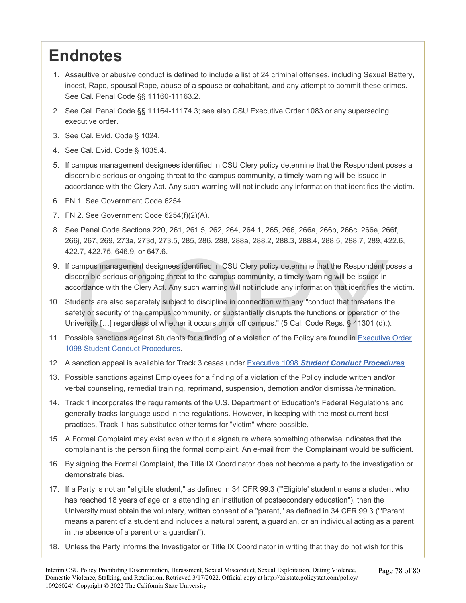# <span id="page-77-0"></span>**Endnotes**

- 1. Assaultive or abusive conduct is defined to include a list of 24 criminal offenses, including Sexual Battery, incest, Rape, spousal Rape, abuse of a spouse or cohabitant, and any attempt to commit these crimes. See Cal. Penal Code §§ 11160-11163.2.
- 2. See Cal. Penal Code §§ 11164-11174.3; see also CSU Executive Order 1083 or any superseding executive order.
- 3. See Cal. Evid. Code § 1024.
- 4. See Cal. Evid. Code § 1035.4.
- 5. If campus management designees identified in CSU Clery policy determine that the Respondent poses a discernible serious or ongoing threat to the campus community, a timely warning will be issued in accordance with the Clery Act. Any such warning will not include any information that identifies the victim.
- 6. FN 1. See Government Code 6254.
- 7. FN 2. See Government Code 6254(f)(2)(A).
- 8. See Penal Code Sections 220, 261, 261.5, 262, 264, 264.1, 265, 266, 266a, 266b, 266c, 266e, 266f, 266j, 267, 269, 273a, 273d, 273.5, 285, 286, 288, 288a, 288.2, 288.3, 288.4, 288.5, 288.7, 289, 422.6, 422.7, 422.75, 646.9, or 647.6.
- 2.7, 422.75, 646.9, or 647.6.<br>
ampus management designees identified in CSU Clery policy determine that the Respondent p<br>
cernible serious or ongoing threat to the campus community, a timely warning will be issued in<br>
cor 9. If campus management designees identified in CSU Clery policy determine that the Respondent poses a discernible serious or ongoing threat to the campus community, a timely warning will be issued in accordance with the Clery Act. Any such warning will not include any information that identifies the victim.
- 10. Students are also separately subject to discipline in connection with any "conduct that threatens the safety or security of the campus community, or substantially disrupts the functions or operation of the University [...] regardless of whether it occurs on or off campus." (5 Cal. Code Regs. § 41301 (d).).
- 11. Possible sanctions against Students for a finding of a violation of the Policy are found in [Executive Order](https://calstate.policystat.com/policy/8453518/latest/)  1098 Student Conduct Procedures.
- 12. A sanction appeal is available for Track 3 cases under Executive 1098 *[Student Conduct Procedures](https://calstate.policystat.com/policy/8453518/latest/)*.
- 13. Possible sanctions against Employees for a finding of a violation of the Policy include written and/or verbal counseling, remedial training, reprimand, suspension, demotion and/or dismissal/termination.
- 14. Track 1 incorporates the requirements of the U.S. Department of Education's Federal Regulations and generally tracks language used in the regulations. However, in keeping with the most current best practices, Track 1 has substituted other terms for "victim" where possible.
- 15. A Formal Complaint may exist even without a signature where something otherwise indicates that the complainant is the person filing the formal complaint. An e-mail from the Complainant would be sufficient.
- 16. By signing the Formal Complaint, the Title IX Coordinator does not become a party to the investigation or demonstrate bias.
- 17. If a Party is not an "eligible student," as defined in 34 CFR 99.3 ("'Eligible' student means a student who has reached 18 years of age or is attending an institution of postsecondary education"), then the University must obtain the voluntary, written consent of a "parent," as defined in 34 CFR 99.3 ("'Parent' means a parent of a student and includes a natural parent, a guardian, or an individual acting as a parent in the absence of a parent or a guardian").
- 18. Unless the Party informs the Investigator or Title IX Coordinator in writing that they do not wish for this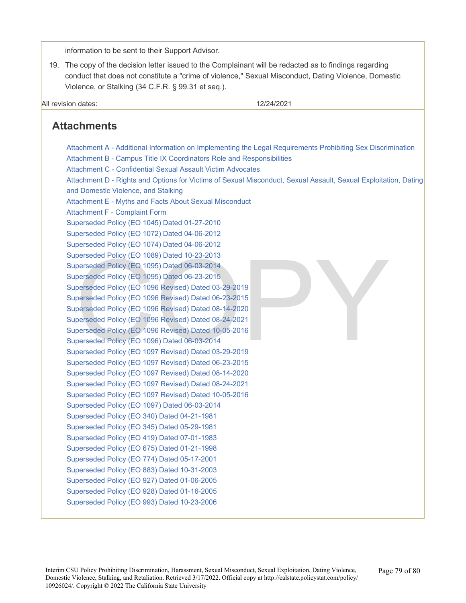information to be sent to their Support Advisor.

19. The copy of the decision letter issued to the Complainant will be redacted as to findings regarding conduct that does not constitute a "crime of violence," Sexual Misconduct, Dating Violence, Domestic Violence, or Stalking (34 C.F.R. § 99.31 et seq.).

All revision dates: 12/24/2021

## **Attachments**